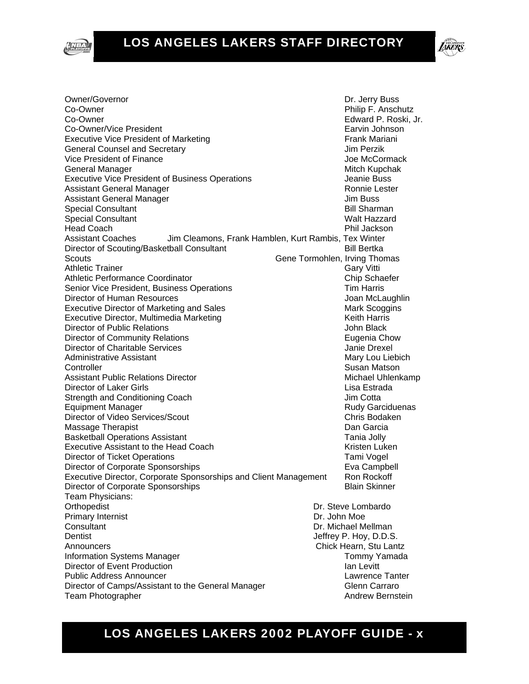



**LIKERS** Owner/Governor **Dr. Jerry Buss** 

Co-Owner **Philip F. Anschutz** Co-Owner Edward P. Roski, Jr. Co-Owner/Vice President **Earth** Earvin Johnson Executive Vice President of Marketing Frank Mariani General Counsel and Secretary **Containers** Jim Perzik Vice President of Finance **Vice President** of Finance Joe McCormack General Manager Mitch Kupchak (Mitch Kupchak Mitch Kupchak (Mitch Kupchak Mitch Kupchak Mitch Kupchak (Mitch Ku Executive Vice President of Business Operations The Music Seanie Buss Assistant General Manager Ronnie Lester Assistant General Manager **Jum Buss** Jim Buss Special Consultant **Bill Sharman** Special Consultant National Activity of the Special Consultant National Activity of the Walt Hazzard Head Coach Phil Jackson Assistant Coaches Jim Cleamons, Frank Hamblen, Kurt Rambis, Tex Winter Director of Scouting/Basketball Consultant **Bill Bertka** Bill Bertka Scouts Gene Tormohlen, Irving Thomas Athletic Trainer Gary Vitti Athletic Performance Coordinator Chip Schaefer Chip Schaefer Senior Vice President, Business Operations Tim Harris Tim Harris Director of Human Resources **All and Structures** Joan McLaughlin Executive Director of Marketing and Sales Mark Scoggins Mark Scoggins Executive Director, Multimedia Marketing Marketing Keith Harris Director of Public Relations **John Black** Director of Community Relations **Eugenia Chow** Eugenia Chow Director of Charitable Services Janie Drexel Administrative Assistant Mary Lou Liebich Mary Lou Liebich **Controller** Susan Matson Assistant Public Relations Director **Michael Uhlenkamp** Michael Uhlenkamp Director of Laker Girls Lisa Estrada Strength and Conditioning Coach **Internal Strength And Conditioning Coach** Jim Cotta Equipment Manager **Rudy Garciduenas Equipment Manager** Rudy Garciduenas Director of Video Services/Scout Chris Bodaken Massage Therapist **Dan Garcia** Dan Garcia **Dan Garcia** Basketball Operations Assistant Tania Jolly Executive Assistant to the Head Coach Theorem Assistant to the Head Coach Kristen Luken Director of Ticket Operations Tami Vogel Director of Corporate Sponsorships **Example 1** Eva Campbell Executive Director, Corporate Sponsorships and Client Management Ron Rockoff Director of Corporate Sponsorships **Blain Skinner** Blain Skinner Team Physicians: Orthopedist **Dr. Steve Lombardo** Dr. Steve Lombardo Primary Internist **Dr. John Moe** Consultant **Dr. Michael Mellman** Dentist **Dentist Dentist Jeffrey P. Hoy, D.D.S.** Announcers **Chick Hearn**, Stu Lantz Information Systems Manager Tommy Yamada Director of Event Production **Ian Levitt Ian Levitt** Public Address Announcer **Lawrence Tanter** Lawrence Tanter Director of Camps/Assistant to the General Manager Glenn Carraro Team Photographer **Andrew Bernstein Andrew Bernstein**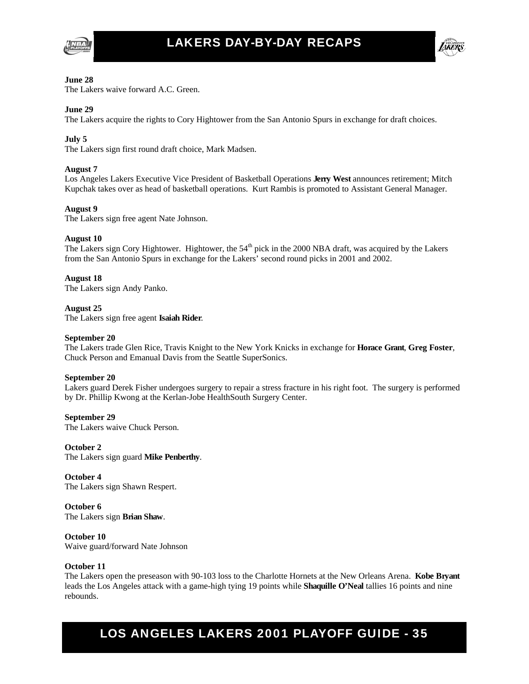



#### **June 28**

The Lakers waive forward A.C. Green.

#### **June 29**

The Lakers acquire the rights to Cory Hightower from the San Antonio Spurs in exchange for draft choices.

#### **July 5**

The Lakers sign first round draft choice, Mark Madsen.

#### **August 7**

Los Angeles Lakers Executive Vice President of Basketball Operations **Jerry West** announces retirement; Mitch Kupchak takes over as head of basketball operations. Kurt Rambis is promoted to Assistant General Manager.

#### **August 9**

The Lakers sign free agent Nate Johnson.

#### **August 10**

The Lakers sign Cory Hightower. Hightower, the 54<sup>th</sup> pick in the 2000 NBA draft, was acquired by the Lakers from the San Antonio Spurs in exchange for the Lakers' second round picks in 2001 and 2002.

#### **August 18**

The Lakers sign Andy Panko.

#### **August 25**

The Lakers sign free agent **Isaiah Rider**.

#### **September 20**

The Lakers trade Glen Rice, Travis Knight to the New York Knicks in exchange for **Horace Grant**, **Greg Foster**, Chuck Person and Emanual Davis from the Seattle SuperSonics.

#### **September 20**

Lakers guard Derek Fisher undergoes surgery to repair a stress fracture in his right foot. The surgery is performed by Dr. Phillip Kwong at the Kerlan-Jobe HealthSouth Surgery Center.

#### **September 29**

The Lakers waive Chuck Person.

#### **October 2**

The Lakers sign guard **Mike Penberthy**.

**October 4**  The Lakers sign Shawn Respert.

**October 6**  The Lakers sign **Brian Shaw**.

**October 10**  Waive guard/forward Nate Johnson

#### **October 11**

The Lakers open the preseason with 90-103 loss to the Charlotte Hornets at the New Orleans Arena. **Kobe Bryant** leads the Los Angeles attack with a game-high tying 19 points while **Shaquille O'Neal** tallies 16 points and nine rebounds.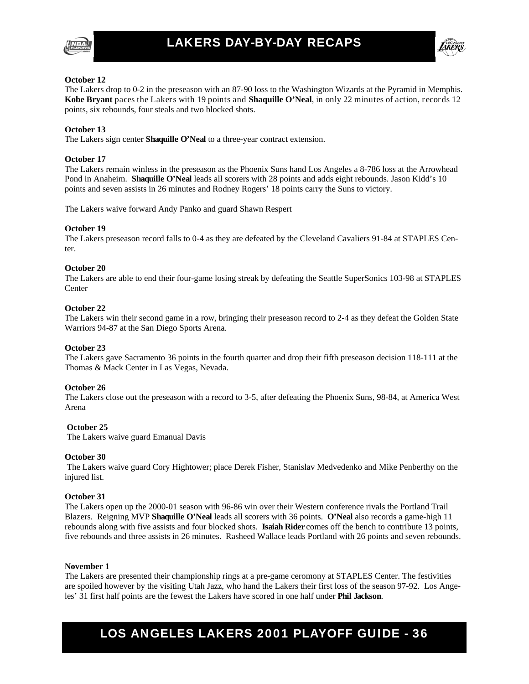



#### **October 12**

The Lakers drop to 0-2 in the preseason with an 87-90 loss to the Washington Wizards at the Pyramid in Memphis. **Kobe Bryant** paces the Lakers with 19 points and **Shaquille O'Neal**, in only 22 minutes of action, records 12 points, six rebounds, four steals and two blocked shots.

#### **October 13**

The Lakers sign center **Shaquille O'Neal** to a three-year contract extension.

#### **October 17**

The Lakers remain winless in the preseason as the Phoenix Suns hand Los Angeles a 8-786 loss at the Arrowhead Pond in Anaheim. **Shaquille O'Neal** leads all scorers with 28 points and adds eight rebounds. Jason Kidd's 10 points and seven assists in 26 minutes and Rodney Rogers' 18 points carry the Suns to victory.

The Lakers waive forward Andy Panko and guard Shawn Respert

#### **October 19**

The Lakers preseason record falls to 0-4 as they are defeated by the Cleveland Cavaliers 91-84 at STAPLES Center.

#### **October 20**

The Lakers are able to end their four-game losing streak by defeating the Seattle SuperSonics 103-98 at STAPLES **Center** 

#### **October 22**

The Lakers win their second game in a row, bringing their preseason record to 2-4 as they defeat the Golden State Warriors 94-87 at the San Diego Sports Arena.

#### **October 23**

The Lakers gave Sacramento 36 points in the fourth quarter and drop their fifth preseason decision 118-111 at the Thomas & Mack Center in Las Vegas, Nevada.

#### **October 26**

The Lakers close out the preseason with a record to 3-5, after defeating the Phoenix Suns, 98-84, at America West Arena

#### **October 25**

The Lakers waive guard Emanual Davis

#### **October 30**

The Lakers waive guard Cory Hightower; place Derek Fisher, Stanislav Medvedenko and Mike Penberthy on the injured list.

#### **October 31**

The Lakers open up the 2000-01 season with 96-86 win over their Western conference rivals the Portland Trail Blazers. Reigning MVP **Shaquille O'Neal** leads all scorers with 36 points. **O'Neal** also records a game-high 11 rebounds along with five assists and four blocked shots. **Isaiah Rider** comes off the bench to contribute 13 points, five rebounds and three assists in 26 minutes. Rasheed Wallace leads Portland with 26 points and seven rebounds.

#### **November 1**

The Lakers are presented their championship rings at a pre-game ceromony at STAPLES Center. The festivities are spoiled however by the visiting Utah Jazz, who hand the Lakers their first loss of the season 97-92. Los Angeles' 31 first half points are the fewest the Lakers have scored in one half under **Phil Jackson**.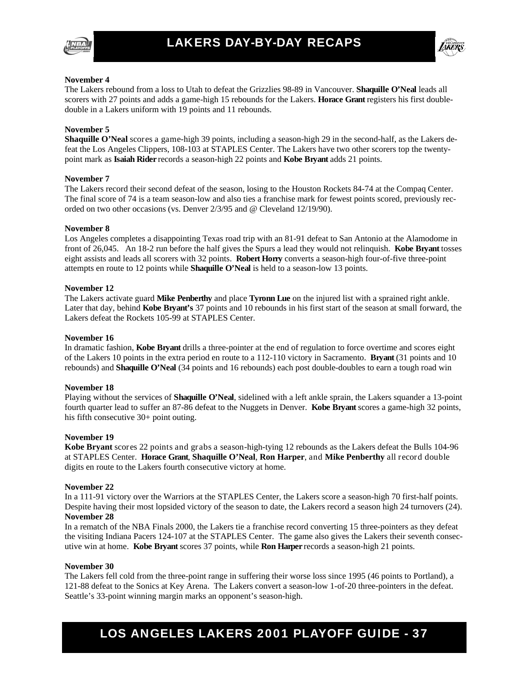



#### **November 4**

The Lakers rebound from a loss to Utah to defeat the Grizzlies 98-89 in Vancouver. **Shaquille O'Neal** leads all scorers with 27 points and adds a game-high 15 rebounds for the Lakers. **Horace Grant** registers his first doubledouble in a Lakers uniform with 19 points and 11 rebounds.

#### **November 5**

**Shaquille O'Neal** scores a game-high 39 points, including a season-high 29 in the second-half, as the Lakers defeat the Los Angeles Clippers, 108-103 at STAPLES Center. The Lakers have two other scorers top the twentypoint mark as **Isaiah Rider** records a season-high 22 points and **Kobe Bryant** adds 21 points.

#### **November 7**

The Lakers record their second defeat of the season, losing to the Houston Rockets 84-74 at the Compaq Center. The final score of 74 is a team season-low and also ties a franchise mark for fewest points scored, previously recorded on two other occasions (vs. Denver 2/3/95 and @ Cleveland 12/19/90).

#### **November 8**

Los Angeles completes a disappointing Texas road trip with an 81-91 defeat to San Antonio at the Alamodome in front of 26,045. An 18-2 run before the half gives the Spurs a lead they would not relinquish. **Kobe Bryant** tosses eight assists and leads all scorers with 32 points. **Robert Horry** converts a season-high four-of-five three-point attempts en route to 12 points while **Shaquille O'Neal** is held to a season-low 13 points.

#### **November 12**

The Lakers activate guard **Mike Penberthy** and place **Tyronn Lue** on the injured list with a sprained right ankle. Later that day, behind **Kobe Bryant's** 37 points and 10 rebounds in his first start of the season at small forward, the Lakers defeat the Rockets 105-99 at STAPLES Center.

#### **November 16**

In dramatic fashion, **Kobe Bryant** drills a three-pointer at the end of regulation to force overtime and scores eight of the Lakers 10 points in the extra period en route to a 112-110 victory in Sacramento. **Bryant** (31 points and 10 rebounds) and **Shaquille O'Neal** (34 points and 16 rebounds) each post double-doubles to earn a tough road win

#### **November 18**

Playing without the services of **Shaquille O'Neal**, sidelined with a left ankle sprain, the Lakers squander a 13-point fourth quarter lead to suffer an 87-86 defeat to the Nuggets in Denver. **Kobe Bryant** scores a game-high 32 points, his fifth consecutive 30+ point outing.

#### **November 19**

**Kobe Bryant** scores 22 points and grabs a season-high-tying 12 rebounds as the Lakers defeat the Bulls 104-96 at STAPLES Center. **Horace Grant**, **Shaquille O'Neal**, **Ron Harper**, and **Mike Penberthy** all record double digits en route to the Lakers fourth consecutive victory at home.

#### **November 22**

In a 111-91 victory over the Warriors at the STAPLES Center, the Lakers score a season-high 70 first-half points. Despite having their most lopsided victory of the season to date, the Lakers record a season high 24 turnovers (24). **November 28** 

In a rematch of the NBA Finals 2000, the Lakers tie a franchise record converting 15 three-pointers as they defeat the visiting Indiana Pacers 124-107 at the STAPLES Center. The game also gives the Lakers their seventh consecutive win at home. **Kobe Bryant** scores 37 points, while **Ron Harper** records a season-high 21 points.

#### **November 30**

The Lakers fell cold from the three-point range in suffering their worse loss since 1995 (46 points to Portland), a 121-88 defeat to the Sonics at Key Arena. The Lakers convert a season-low 1-of-20 three-pointers in the defeat. Seattle's 33-point winning margin marks an opponent's season-high.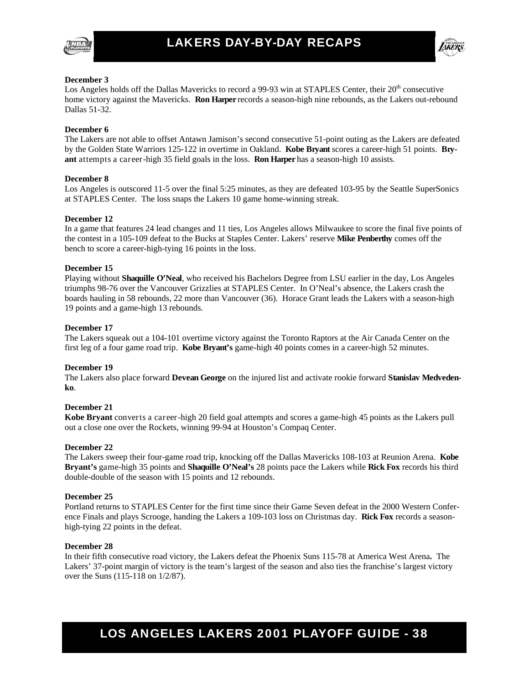



#### **December 3**

Los Angeles holds off the Dallas Mavericks to record a 99-93 win at STAPLES Center, their 20<sup>th</sup> consecutive home victory against the Mavericks. **Ron Harper** records a season-high nine rebounds, as the Lakers out-rebound Dallas 51-32.

#### **December 6**

The Lakers are not able to offset Antawn Jamison's second consecutive 51-point outing as the Lakers are defeated by the Golden State Warriors 125-122 in overtime in Oakland. **Kobe Bryant** scores a career-high 51 points. **Bryant** attempts a career-high 35 field goals in the loss. **Ron Harper** has a season-high 10 assists.

#### **December 8**

Los Angeles is outscored 11-5 over the final 5:25 minutes, as they are defeated 103-95 by the Seattle SuperSonics at STAPLES Center. The loss snaps the Lakers 10 game home-winning streak.

#### **December 12**

In a game that features 24 lead changes and 11 ties, Los Angeles allows Milwaukee to score the final five points of the contest in a 105-109 defeat to the Bucks at Staples Center. Lakers' reserve **Mike Penberthy** comes off the bench to score a career-high-tying 16 points in the loss.

#### **December 15**

Playing without **Shaquille O'Neal**, who received his Bachelors Degree from LSU earlier in the day, Los Angeles triumphs 98-76 over the Vancouver Grizzlies at STAPLES Center. In O'Neal's absence, the Lakers crash the boards hauling in 58 rebounds, 22 more than Vancouver (36). Horace Grant leads the Lakers with a season-high 19 points and a game-high 13 rebounds.

#### **December 17**

The Lakers squeak out a 104-101 overtime victory against the Toronto Raptors at the Air Canada Center on the first leg of a four game road trip. **Kobe Bryant's** game-high 40 points comes in a career-high 52 minutes.

#### **December 19**

The Lakers also place forward **Devean George** on the injured list and activate rookie forward **Stanislav Medvedenko**.

#### **December 21**

**Kobe Bryant** converts a career-high 20 field goal attempts and scores a game-high 45 points as the Lakers pull out a close one over the Rockets, winning 99-94 at Houston's Compaq Center.

#### **December 22**

The Lakers sweep their four-game road trip, knocking off the Dallas Mavericks 108-103 at Reunion Arena. **Kobe Bryant's** game-high 35 points and **Shaquille O'Neal's** 28 points pace the Lakers while **Rick Fox** records his third double-double of the season with 15 points and 12 rebounds.

#### **December 25**

Portland returns to STAPLES Center for the first time since their Game Seven defeat in the 2000 Western Conference Finals and plays Scrooge, handing the Lakers a 109-103 loss on Christmas day. **Rick Fox** records a seasonhigh-tying 22 points in the defeat.

#### **December 28**

In their fifth consecutive road victory, the Lakers defeat the Phoenix Suns 115-78 at America West Arena**.** The Lakers' 37-point margin of victory is the team's largest of the season and also ties the franchise's largest victory over the Suns (115-118 on 1/2/87).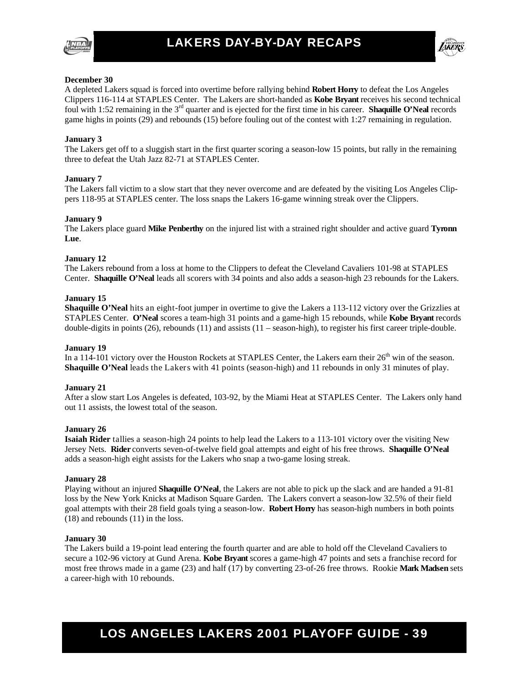



#### **December 30**

A depleted Lakers squad is forced into overtime before rallying behind **Robert Horry** to defeat the Los Angeles Clippers 116-114 at STAPLES Center. The Lakers are short-handed as **Kobe Bryant** receives his second technical foul with 1:52 remaining in the 3rd quarter and is ejected for the first time in his career. **Shaquille O'Neal** records game highs in points (29) and rebounds (15) before fouling out of the contest with 1:27 remaining in regulation.

#### **January 3**

The Lakers get off to a sluggish start in the first quarter scoring a season-low 15 points, but rally in the remaining three to defeat the Utah Jazz 82-71 at STAPLES Center.

#### **January 7**

The Lakers fall victim to a slow start that they never overcome and are defeated by the visiting Los Angeles Clippers 118-95 at STAPLES center. The loss snaps the Lakers 16-game winning streak over the Clippers.

#### **January 9**

The Lakers place guard **Mike Penberthy** on the injured list with a strained right shoulder and active guard **Tyronn Lue**.

#### **January 12**

The Lakers rebound from a loss at home to the Clippers to defeat the Cleveland Cavaliers 101-98 at STAPLES Center. **Shaquille O'Neal** leads all scorers with 34 points and also adds a season-high 23 rebounds for the Lakers.

#### **January 15**

**Shaquille O'Neal** hits an eight-foot jumper in overtime to give the Lakers a 113-112 victory over the Grizzlies at STAPLES Center. **O'Neal** scores a team-high 31 points and a game-high 15 rebounds, while **Kobe Bryant** records double-digits in points (26), rebounds (11) and assists (11 – season-high), to register his first career triple-double.

#### **January 19**

In a 114-101 victory over the Houston Rockets at STAPLES Center, the Lakers earn their 26<sup>th</sup> win of the season. **Shaquille O'Neal** leads the Lakers with 41 points (season-high) and 11 rebounds in only 31 minutes of play.

#### **January 21**

After a slow start Los Angeles is defeated, 103-92, by the Miami Heat at STAPLES Center. The Lakers only hand out 11 assists, the lowest total of the season.

#### **January 26**

**Isaiah Rider** tallies a season-high 24 points to help lead the Lakers to a 113-101 victory over the visiting New Jersey Nets. **Rider** converts seven-of-twelve field goal attempts and eight of his free throws. **Shaquille O'Neal** adds a season-high eight assists for the Lakers who snap a two-game losing streak.

#### **January 28**

Playing without an injured **Shaquille O'Neal**, the Lakers are not able to pick up the slack and are handed a 91-81 loss by the New York Knicks at Madison Square Garden. The Lakers convert a season-low 32.5% of their field goal attempts with their 28 field goals tying a season-low. **Robert Horry** has season-high numbers in both points (18) and rebounds (11) in the loss.

#### **January 30**

The Lakers build a 19-point lead entering the fourth quarter and are able to hold off the Cleveland Cavaliers to secure a 102-96 victory at Gund Arena. **Kobe Bryant** scores a game-high 47 points and sets a franchise record for most free throws made in a game (23) and half (17) by converting 23-of-26 free throws. Rookie **Mark Madsen** sets a career-high with 10 rebounds.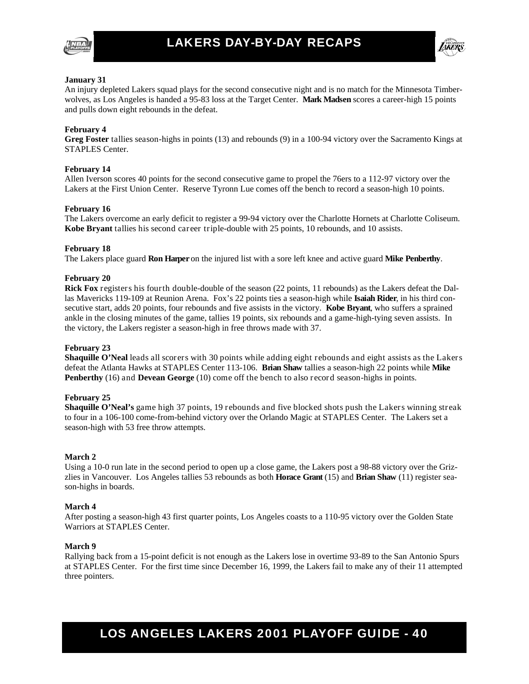



#### **January 31**

An injury depleted Lakers squad plays for the second consecutive night and is no match for the Minnesota Timberwolves, as Los Angeles is handed a 95-83 loss at the Target Center. **Mark Madsen** scores a career-high 15 points and pulls down eight rebounds in the defeat.

#### **February 4**

**Greg Foster** tallies season-highs in points (13) and rebounds (9) in a 100-94 victory over the Sacramento Kings at STAPLES Center.

#### **February 14**

Allen Iverson scores 40 points for the second consecutive game to propel the 76ers to a 112-97 victory over the Lakers at the First Union Center. Reserve Tyronn Lue comes off the bench to record a season-high 10 points.

#### **February 16**

The Lakers overcome an early deficit to register a 99-94 victory over the Charlotte Hornets at Charlotte Coliseum. **Kobe Bryant** tallies his second career triple-double with 25 points, 10 rebounds, and 10 assists.

#### **February 18**

The Lakers place guard **Ron Harper** on the injured list with a sore left knee and active guard **Mike Penberthy**.

#### **February 20**

**Rick Fox** registers his fourth double-double of the season (22 points, 11 rebounds) as the Lakers defeat the Dallas Mavericks 119-109 at Reunion Arena. Fox's 22 points ties a season-high while **Isaiah Rider**, in his third consecutive start, adds 20 points, four rebounds and five assists in the victory. **Kobe Bryant**, who suffers a sprained ankle in the closing minutes of the game, tallies 19 points, six rebounds and a game-high-tying seven assists. In the victory, the Lakers register a season-high in free throws made with 37.

#### **February 23**

**Shaquille O'Neal** leads all scorers with 30 points while adding eight rebounds and eight assists as the Lakers defeat the Atlanta Hawks at STAPLES Center 113-106. **Brian Shaw** tallies a season-high 22 points while **Mike Penberthy** (16) and **Devean George** (10) come off the bench to also record season-highs in points.

#### **February 25**

**Shaquille O'Neal's** game high 37 points, 19 rebounds and five blocked shots push the Lakers winning streak to four in a 106-100 come-from-behind victory over the Orlando Magic at STAPLES Center. The Lakers set a season-high with 53 free throw attempts.

#### **March 2**

Using a 10-0 run late in the second period to open up a close game, the Lakers post a 98-88 victory over the Grizzlies in Vancouver. Los Angeles tallies 53 rebounds as both **Horace Grant** (15) and **Brian Shaw** (11) register season-highs in boards.

#### **March 4**

After posting a season-high 43 first quarter points, Los Angeles coasts to a 110-95 victory over the Golden State Warriors at STAPLES Center.

#### **March 9**

Rallying back from a 15-point deficit is not enough as the Lakers lose in overtime 93-89 to the San Antonio Spurs at STAPLES Center. For the first time since December 16, 1999, the Lakers fail to make any of their 11 attempted three pointers.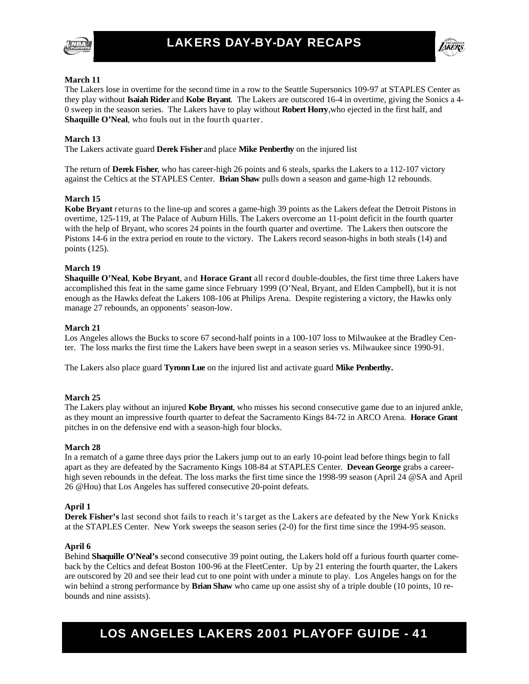



#### **March 11**

The Lakers lose in overtime for the second time in a row to the Seattle Supersonics 109-97 at STAPLES Center as they play without **Isaiah Rider** and **Kobe Bryant**. The Lakers are outscored 16-4 in overtime, giving the Sonics a 4- 0 sweep in the season series. The Lakers have to play without **Robert Horry**,who ejected in the first half, and **Shaquille O'Neal**, who fouls out in the fourth quarter.

#### **March 13**

The Lakers activate guard **Derek Fisher** and place **Mike Penberthy** on the injured list

The return of **Derek Fisher**, who has career-high 26 points and 6 steals, sparks the Lakers to a 112-107 victory against the Celtics at the STAPLES Center. **Brian Shaw** pulls down a season and game-high 12 rebounds.

#### **March 15**

**Kobe Bryant** returns to the line-up and scores a game-high 39 points as the Lakers defeat the Detroit Pistons in overtime, 125-119, at The Palace of Auburn Hills. The Lakers overcome an 11-point deficit in the fourth quarter with the help of Bryant, who scores 24 points in the fourth quarter and overtime. The Lakers then outscore the Pistons 14-6 in the extra period en route to the victory. The Lakers record season-highs in both steals (14) and points (125).

#### **March 19**

**Shaquille O'Neal**, **Kobe Bryant**, and **Horace Grant** all record double-doubles, the first time three Lakers have accomplished this feat in the same game since February 1999 (O'Neal, Bryant, and Elden Campbell), but it is not enough as the Hawks defeat the Lakers 108-106 at Philips Arena. Despite registering a victory, the Hawks only manage 27 rebounds, an opponents' season-low.

#### **March 21**

Los Angeles allows the Bucks to score 67 second-half points in a 100-107 loss to Milwaukee at the Bradley Center. The loss marks the first time the Lakers have been swept in a season series vs. Milwaukee since 1990-91.

The Lakers also place guard **Tyronn Lue** on the injured list and activate guard **Mike Penberthy.**

#### **March 25**

The Lakers play without an injured **Kobe Bryant**, who misses his second consecutive game due to an injured ankle, as they mount an impressive fourth quarter to defeat the Sacramento Kings 84-72 in ARCO Arena. **Horace Grant** pitches in on the defensive end with a season-high four blocks.

#### **March 28**

In a rematch of a game three days prior the Lakers jump out to an early 10-point lead before things begin to fall apart as they are defeated by the Sacramento Kings 108-84 at STAPLES Center. **Devean George** grabs a careerhigh seven rebounds in the defeat. The loss marks the first time since the 1998-99 season (April 24 @SA and April 26 @Hou) that Los Angeles has suffered consecutive 20-point defeats.

#### **April 1**

**Derek Fisher's** last second shot fails to reach it's target as the Lakers are defeated by the New York Knicks at the STAPLES Center. New York sweeps the season series (2-0) for the first time since the 1994-95 season.

#### **April 6**

Behind **Shaquille O'Neal's** second consecutive 39 point outing, the Lakers hold off a furious fourth quarter comeback by the Celtics and defeat Boston 100-96 at the FleetCenter. Up by 21 entering the fourth quarter, the Lakers are outscored by 20 and see their lead cut to one point with under a minute to play. Los Angeles hangs on for the win behind a strong performance by **Brian Shaw** who came up one assist shy of a triple double (10 points, 10 rebounds and nine assists).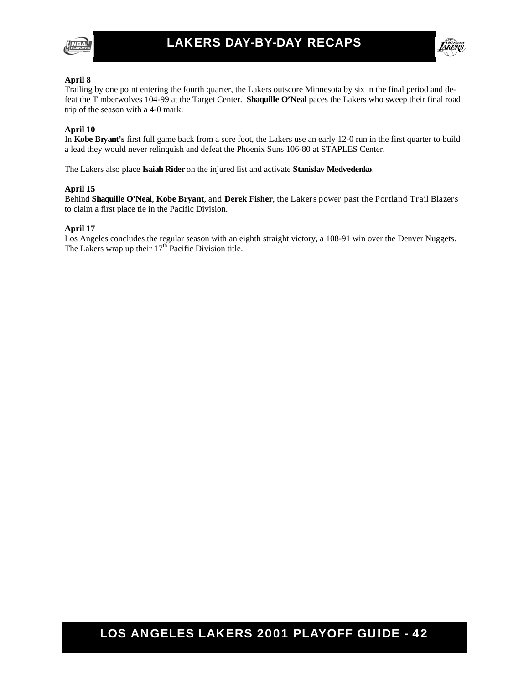



#### **April 8**

Trailing by one point entering the fourth quarter, the Lakers outscore Minnesota by six in the final period and defeat the Timberwolves 104-99 at the Target Center. **Shaquille O'Neal** paces the Lakers who sweep their final road trip of the season with a 4-0 mark.

#### **April 10**

In **Kobe Bryant's** first full game back from a sore foot, the Lakers use an early 12-0 run in the first quarter to build a lead they would never relinquish and defeat the Phoenix Suns 106-80 at STAPLES Center.

The Lakers also place **Isaiah Rider** on the injured list and activate **Stanislav Medvedenko**.

#### **April 15**

Behind **Shaquille O'Neal**, **Kobe Bryant**, and **Derek Fisher**, the Lakers power past the Portland Trail Blazers to claim a first place tie in the Pacific Division.

#### **April 17**

Los Angeles concludes the regular season with an eighth straight victory, a 108-91 win over the Denver Nuggets. The Lakers wrap up their  $17<sup>th</sup>$  Pacific Division title.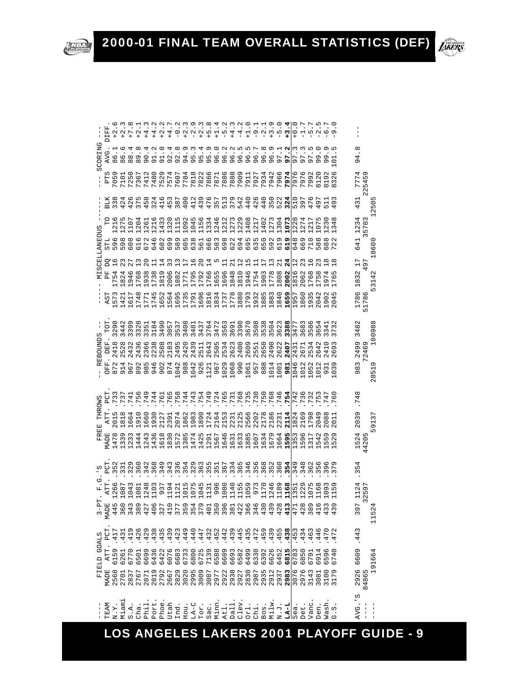|                    | DIFI           |                         |                          |                          | $\frac{1}{2}$             | $\frac{4}{1}$              | $\frac{4}{1}$ |                      | $+4$            |                       |                           |                   |                   | $-5$                                                                                                                                                                                                                                                                                                                                                                                                                    |                   |                   | $\vec{r}$                                             | $\frac{4}{1}$             |                                                                               |                 |         |                    |                               | $\frac{1}{2}$        | $\circ$                     | $-17$                               |                            | $\mathbf{\Omega}$                                  |                              | G                         |                     |                            |                                            |
|--------------------|----------------|-------------------------|--------------------------|--------------------------|---------------------------|----------------------------|---------------|----------------------|-----------------|-----------------------|---------------------------|-------------------|-------------------|-------------------------------------------------------------------------------------------------------------------------------------------------------------------------------------------------------------------------------------------------------------------------------------------------------------------------------------------------------------------------------------------------------------------------|-------------------|-------------------|-------------------------------------------------------|---------------------------|-------------------------------------------------------------------------------|-----------------|---------|--------------------|-------------------------------|----------------------|-----------------------------|-------------------------------------|----------------------------|----------------------------------------------------|------------------------------|---------------------------|---------------------|----------------------------|--------------------------------------------|
| SCORING            | <b>AVG</b>     | $\cdot$<br>86           | م.<br>.<br>86            | $80000$<br>$80000$       |                           |                            |               | 91.8                 | 4.<br>92        |                       |                           |                   |                   |                                                                                                                                                                                                                                                                                                                                                                                                                         |                   |                   |                                                       |                           |                                                                               |                 |         |                    | $\ddot{\circ}$ $\ddot{\circ}$ | $5\overline{6}$      | ō۱                          | m m m<br>$\overline{ }$<br>$\sigma$ | $\overline{ }$<br>$\sigma$ | $\circ$<br>99                                      | G<br>Ō                       | J                         | ∞<br>4<br>ጣ         |                            |                                            |
| I                  | PTS            | $\sigma$<br>705         | 7101                     | 7250                     | 7367                      | 7412                       | 7480          | 7529                 | 7574            | 7607                  | 778.                      | 7818              | 7822              | 7866                                                                                                                                                                                                                                                                                                                                                                                                                    | 7871<br>7886      |                   | 7888                                                  | 7909                      | 7911                                                                          | 7934            |         | 7942<br>7966       |                               | 797                  | 797                         | O<br>797                            | $\mathbf{\Omega}$<br>799:  | 812                                                | 819                          | 32                        | 777                 | Ō<br>545<br>$\mathcal{C}$  |                                            |
|                    |                | 338                     | 424                      | 426                      | 375                       | 458                        | 324           | 416                  | 453             | 387                   | 400                       | 412               | 439<br>476        |                                                                                                                                                                                                                                                                                                                                                                                                                         | 357               | 513               | 379                                                   | 542                       | 440                                                                           | 426             | 440     | 350<br>522         |                               | 324                  |                             |                                     |                            | ن<br>49                                            |                              | G                         | 431                 | $\sim$                     | 505<br>$\mathbf{\Omega}$                   |
| SCELLANEOUS        |                | 216<br>596              | 275<br>598               | 107<br>600               | 204<br>616                | 261<br>672                 | 1216<br>646   | 433<br>682           | 320<br>699      | ഥ<br>$\vec{H}$<br>589 | 605                       | 638               | 566<br>666        |                                                                                                                                                                                                                                                                                                                                                                                                                         | 583               |                   | 698<br>622                                            | 694                       | 695<br>635                                                                    |                 | 650     | 592                | 619                           | 619                  | 648                         | 511<br>5112<br>822<br>822<br>669    | 710                        | 588                                                | $\tilde{8}$                  | 4<br>3<br>$\mathbf{\sim}$ | 1234<br>641         | 578                        | 600                                        |
|                    |                | $\frac{8}{1}$           |                          |                          |                           |                            |               | 4                    |                 |                       |                           | ِم                |                   | 4                                                                                                                                                                                                                                                                                                                                                                                                                       |                   |                   |                                                       |                           | m                                                                             |                 |         |                    |                               | 24                   |                             |                                     | ΔO                         |                                                    |                              |                           | 17                  | 497                        | $\infty$                                   |
| NI.                | $\mathbf{p}$   | 754                     | .82                      | 194                      | 1768                      | 1938                       | 1738          | 181                  | 2006            | 882                   | 1771                      | LN<br>179         | 1796<br>1766      |                                                                                                                                                                                                                                                                                                                                                                                                                         | 1655              | 1696              | $-848$<br>$-810$                                      |                           | 9 1 9 1 9<br>9 1 9 1 9<br>9 1 9 1 0                                           |                 |         |                    | 1808                          | 2002                 | 1816<br>2062                |                                     | 1768                       | 175<br>197                                         |                              | G<br>$\overline{r}$       | 1832                |                            | $\sim$<br>4<br>$\overline{31}$             |
| т                  | A <sub>S</sub> | 573                     | 142                      | 1617                     | 174                       | 177                        | 174           | 1652                 | 1564            | 169                   |                           |                   |                   |                                                                                                                                                                                                                                                                                                                                                                                                                         |                   |                   |                                                       |                           |                                                                               |                 |         |                    | 1883<br>1840<br><b>1659</b>   |                      | 1957<br>1860<br>1935        |                                     |                            | 204                                                | 190                          | 04                        | 1786                | 51786                      | ι٢                                         |
|                    | ECT            | 290<br>3                | 442<br>$\infty$          | 399                      | 328                       | 351                        | 184           | 490                  | 057<br>$\infty$ | 537<br>$\infty$       | $-408$<br>$\infty$        | $-481$            | 437<br>764        |                                                                                                                                                                                                                                                                                                                                                                                                                         | 472               | 563               | 691                                                   |                           | 500884<br>100884<br>1008<br>$\infty$                                          |                 |         |                    | 623<br>$\infty$               | 388<br>ო             | $\frac{47}{68}$<br>$\infty$ | $\infty$                            | 586                        | نې<br>©                                            | 341                          | 3                         | 482<br>m            |                            | 00988                                      |
| <b>REBOUNDS</b>    | EF             | 418<br>$\mathbf 2$      | 528<br>$\mathbf{\Omega}$ | 432<br>$\mathbf{\Omega}$ | 1436<br>$\mathbf{\Omega}$ | 2366                       | 2238          | 2588                 | 2183            | 495<br>$\sim$         | 1420<br>$\mathbf{\Omega}$ | $\mathbf{\Omega}$ | $\mathbf{\Omega}$ | 4<br>2140<br>2010<br>2010<br>2010<br>$\mathbf{\Omega}$                                                                                                                                                                                                                                                                                                                                                                  | $\mathbf{\Omega}$ | $\mathbf{\Omega}$ | 623<br>$\mathbf{\Omega}$                              | 1400<br>$\mathbf{\Omega}$ | 2609<br>2551                                                                  |                 | 650     | 065                | 2622                          | 407                  | 43<br>$\sim$                | <b>671</b>                          | 534                        | 642                                                | $\frac{1}{4}$                | Ō<br>ဖ                    | 2499                | 2469                       |                                            |
| $\mathbf{I}$       | F)             | に へ<br>$\overline{87}$  | 9<br>169840<br>478840    |                          |                           |                            |               |                      | 874             |                       |                           |                   |                   | $\begin{array}{cccccccc} \neg\!\!\!\!\! \begin{array}{cccccccc} \neg\!\!\!\! \neg\!\!\!\! \circ\!\!\!\! &\!\!\!\! \circ\!\!\!\! &\!\!\!\! \circ\!\!\!\! &\!\!\!\! \circ\!\!\!\! &\!\!\!\! &\!\!\!\! \circ\!\!\!\! &\!\!\!\! &\!\!\!\! \circ\!\!\!\! &\!\!\!\! &\!\!\!\! &\!\!\!\! &\!\!\!\! &\!\!\!\! &\!\!\!\! &\!\!\!\! &\!\!\!\! &\!\!\!\! &\!\!\!\! &\!\!\!\! &\!\!\!\! &\!\!\!\! &\!\!\!\! &\!\!\!\! &\!\!\!\! &\$ |                   |                   |                                                       |                           |                                                                               |                 |         |                    | 1014<br>1001<br>981           |                      | 046<br>012<br>052           |                                     |                            | $-012$                                             | 93                           |                           | 3<br>$\infty$<br>Ō  | 冖                          | Ō<br>51<br>${}^{\circ}$                    |
|                    | 5              | 73                      | 73                       | 741                      | 756                       | 749                        | 744           | 761                  | 765             | 758                   | 4<br>74                   | 74                | ↤<br>75           | Ō<br>.74                                                                                                                                                                                                                                                                                                                                                                                                                |                   |                   | $7704$<br>$7704$<br>$7704$<br>$760$<br>$760$<br>$760$ |                           |                                                                               |                 |         |                    |                               | 754                  | 74                          | P<br>73                             | 73                         | 75                                                 | 74                           | G                         | ∞<br>74             |                            |                                            |
| THROWS             | ATT            | S<br>201                | $\infty$<br>181          | 4<br>166                 | $\circ$<br>191            | 1660                       | 193           | 212                  | 2391            | 207                   |                           |                   |                   |                                                                                                                                                                                                                                                                                                                                                                                                                         |                   |                   |                                                       |                           |                                                                               |                 |         | O                  | 218<br>223                    | $\frac{1}{2}$        | 4                           | $\sigma$<br>182.<br>216.<br>179.    | $\alpha$                   | თ<br>04                                            | $\infty$                     | $\overline{C}$            | ጣ<br>$\overline{0}$ |                            | 9137                                       |
| REE<br>Ĺ.          | <b>MADE</b>    | $\infty$<br>47          | ത<br>$\tilde{3}$         | 123                      | 4<br>144                  | $\infty$<br>$124$<br>$143$ | P             | $^{\circ}$<br>161    |                 |                       |                           |                   |                   |                                                                                                                                                                                                                                                                                                                                                                                                                         |                   |                   |                                                       |                           |                                                                               |                 |         |                    |                               |                      |                             | ΔO<br>135<br>1591<br>131            |                            | 154.<br>15 F                                       |                              | LO,                       | 4<br>152            | Ľ<br>420                   |                                            |
| ي<br>-             | PCT            | $\mathbf{\Omega}$<br>35 | $\overline{33}$          | 329                      | 360                       | 342                        | 368           | σ<br>$\overline{34}$ | $\overline{34}$ | 336                   |                           | 354<br>329        | $\frac{6}{3}$     | 551<br>351<br>367                                                                                                                                                                                                                                                                                                                                                                                                       |                   |                   | 334<br>365                                            |                           | 346                                                                           | 3568            |         | 352<br>360         |                               | n,<br>m              | $\frac{34}{3}$              | 348                                 | 36                         | 39.5                                               |                              |                           | 4<br>١<br>m         |                            |                                            |
| G<br>F             | ATT            | O<br>$-26$              | 108                      | S<br>104                 | 108                       | $\infty$<br>$-240$         |               | 937                  | $\frac{9}{1}$   | 112.                  | 1015<br>1075              |                   |                   | 1045<br>11960<br>10801                                                                                                                                                                                                                                                                                                                                                                                                  |                   |                   |                                                       |                           | 1140<br>11559<br>11059<br>1170                                                |                 |         | $-246$             | $\sigma$<br>$\frac{8}{18}$    | $\frac{5}{1}$        |                             | ᡡ<br>1351<br>1221<br>1071           |                            | $\frac{6}{1}$                                      | 09                           | $\overline{5}$            |                     | $-59$<br>$\mathbf{\Omega}$ |                                            |
| 튭<br>$\frac{1}{2}$ | GJ.<br>MAD     | 44                      | 36                       | 34                       | $\overline{38}$           | 42                         | 40            | $\overline{32}$      | 41              | 37                    | 35                        | $35 - 37$         |                   | 40                                                                                                                                                                                                                                                                                                                                                                                                                      | $\frac{5}{3}$     |                   | $3040$<br>$340$                                       |                           |                                                                               | $\overline{34}$ |         | $43.88$<br>$43.88$ |                               | 41                   | 47                          | $\frac{2}{3}$ 8                     |                            | $\begin{array}{c} 1\\ 4\\ 3\\ 4\\ 4\\ \end{array}$ |                              |                           | G<br>3              | 3                          | $\mathbf{\Omega}$<br>LN<br>$\overline{11}$ |
|                    | PCT            | 417                     | 431                      | 419                      | 426                       | 429                        | 438           | 435                  | ᡡ<br>43         | 42                    | ᡡ<br>44                   | 44                | 447               | 432                                                                                                                                                                                                                                                                                                                                                                                                                     | 452               | 442               | 439                                                   | 445                       | 435                                                                           | 47              | C<br>45 | ᡡ<br>43            | LO<br>45                      | $\infty$<br>43i      | 45.                         | 434                                 | 463                        | 446                                                | 47                           | 47                        | 443<br>$\cdot$      |                            |                                            |
| FIELD GOALS        | ATT            | 6159                    | 6261                     | 6770                     | 6501                      | 6699                       | 6436          | 6422                 | 6076            | 6683                  | 6733                      | 6800              | 6725              | 7139                                                                                                                                                                                                                                                                                                                                                                                                                    | 6588              | 6609              |                                                       |                           |                                                                               |                 | 6392    | G<br>662           | 6452                          | m<br>681             | 678                         | $\circ$<br>685                      | 6791                       | ↤<br>691                                           | O<br>$59$<br>$74$<br>$\circ$ | $\circ$<br>$\circ$        | 609<br>ဖ            |                            | 1664                                       |
|                    | MADE           | 2568                    | 2701                     | 2837                     | 2767                      | 2871                       | 2819          | 2792<br>2667         |                 |                       |                           |                   |                   |                                                                                                                                                                                                                                                                                                                                                                                                                         |                   |                   |                                                       |                           |                                                                               |                 |         |                    |                               |                      | 3076<br>2976<br>3143        |                                     |                            | 3081                                               | 3100                         | G<br>317                  |                     | 2926<br>14865<br>$\infty$  | G                                          |
|                    | TEAM           | N.Y.                    | Miami                    | S.A.                     | Cha.                      | Phil                       | Port          | Phoe                 | Utah            | Ind.                  |                           | Hou.<br>LA-C      | TO <sub>I</sub> . | Sac.                                                                                                                                                                                                                                                                                                                                                                                                                    | Minn              | Atl.              | Dall                                                  |                           | $\begin{array}{c} \texttt{Clev} \\ \texttt{Orl} \\ \texttt{Clin} \end{array}$ |                 | Bos.    | Milw               | $N \cdot J$ .                 | $\frac{LA-L}{Sea}$ . |                             | Det.                                | Vanc                       | Den.                                               | Wash                         | c.c                       | w<br>AVG.           | $\frac{1}{1}$              | $\mathsf I$                                |

2000-01 FINAL TEAM OVERALL STATISTICS (DEF)

NBA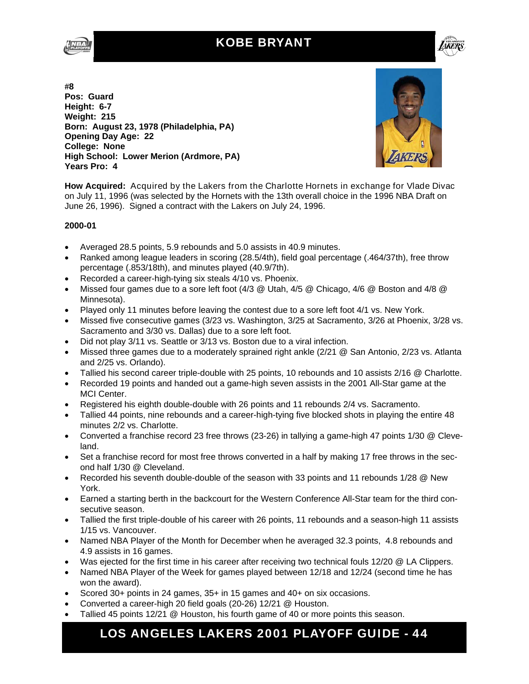### KOBE BRYANT





**#8 Pos: Guard Height: 6-7 Weight: 215 Born: August 23, 1978 (Philadelphia, PA) Opening Day Age: 22 College: None High School: Lower Merion (Ardmore, PA) Years Pro: 4** 



**How Acquired:** Acquired by the Lakers from the Charlotte Hornets in exchange for Vlade Divac on July 11, 1996 (was selected by the Hornets with the 13th overall choice in the 1996 NBA Draft on June 26, 1996). Signed a contract with the Lakers on July 24, 1996.

#### **2000-01**

- Averaged 28.5 points, 5.9 rebounds and 5.0 assists in 40.9 minutes.
- Ranked among league leaders in scoring (28.5/4th), field goal percentage (.464/37th), free throw percentage (.853/18th), and minutes played (40.9/7th).
- Recorded a career-high-tying six steals 4/10 vs. Phoenix.
- Missed four games due to a sore left foot  $(4/3 \∪$  Utah,  $4/5 \∪$  Chicago,  $4/6 \∪$  Boston and  $4/8 \∪$ Minnesota).
- Played only 11 minutes before leaving the contest due to a sore left foot 4/1 vs. New York.
- Missed five consecutive games (3/23 vs. Washington, 3/25 at Sacramento, 3/26 at Phoenix, 3/28 vs. Sacramento and 3/30 vs. Dallas) due to a sore left foot.
- Did not play 3/11 vs. Seattle or 3/13 vs. Boston due to a viral infection.
- Missed three games due to a moderately sprained right ankle (2/21 @ San Antonio, 2/23 vs. Atlanta and 2/25 vs. Orlando).
- Tallied his second career triple-double with 25 points, 10 rebounds and 10 assists 2/16 @ Charlotte.
- Recorded 19 points and handed out a game-high seven assists in the 2001 All-Star game at the MCI Center.
- Registered his eighth double-double with 26 points and 11 rebounds 2/4 vs. Sacramento.
- Tallied 44 points, nine rebounds and a career-high-tying five blocked shots in playing the entire 48 minutes 2/2 vs. Charlotte.
- Converted a franchise record 23 free throws (23-26) in tallying a game-high 47 points 1/30 @ Cleveland.
- Set a franchise record for most free throws converted in a half by making 17 free throws in the second half 1/30 @ Cleveland.
- Recorded his seventh double-double of the season with 33 points and 11 rebounds 1/28 @ New York.
- Earned a starting berth in the backcourt for the Western Conference All-Star team for the third consecutive season.
- Tallied the first triple-double of his career with 26 points, 11 rebounds and a season-high 11 assists 1/15 vs. Vancouver.
- Named NBA Player of the Month for December when he averaged 32.3 points, 4.8 rebounds and 4.9 assists in 16 games.
- Was ejected for the first time in his career after receiving two technical fouls 12/20 @ LA Clippers.
- Named NBA Player of the Week for games played between 12/18 and 12/24 (second time he has won the award).
- Scored 30+ points in 24 games, 35+ in 15 games and 40+ on six occasions.
- Converted a career-high 20 field goals (20-26) 12/21 @ Houston.
- Tallied 45 points 12/21 @ Houston, his fourth game of 40 or more points this season.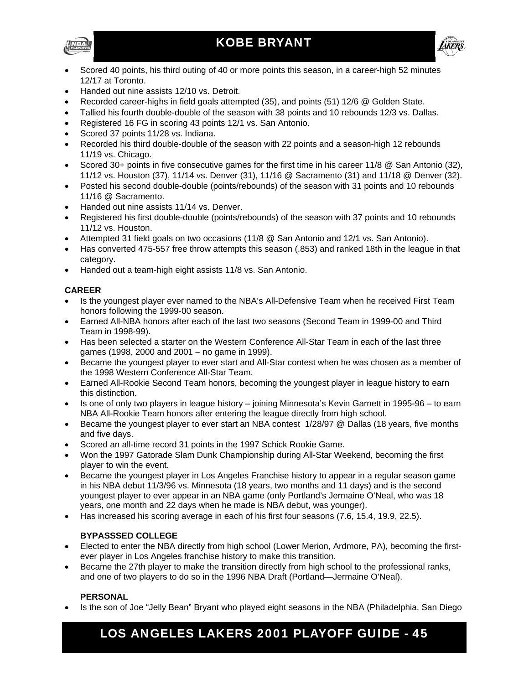



- Scored 40 points, his third outing of 40 or more points this season, in a career-high 52 minutes 12/17 at Toronto.
- Handed out nine assists 12/10 vs. Detroit.
- Recorded career-highs in field goals attempted (35), and points (51) 12/6 @ Golden State.
- Tallied his fourth double-double of the season with 38 points and 10 rebounds 12/3 vs. Dallas.
- Registered 16 FG in scoring 43 points 12/1 vs. San Antonio.
- Scored 37 points 11/28 vs. Indiana.
- Recorded his third double-double of the season with 22 points and a season-high 12 rebounds 11/19 vs. Chicago.
- Scored 30+ points in five consecutive games for the first time in his career 11/8 @ San Antonio (32), 11/12 vs. Houston (37), 11/14 vs. Denver (31), 11/16 @ Sacramento (31) and 11/18 @ Denver (32).
- Posted his second double-double (points/rebounds) of the season with 31 points and 10 rebounds 11/16 @ Sacramento.
- Handed out nine assists 11/14 vs. Denver.
- Registered his first double-double (points/rebounds) of the season with 37 points and 10 rebounds 11/12 vs. Houston.
- Attempted 31 field goals on two occasions (11/8 @ San Antonio and 12/1 vs. San Antonio).
- Has converted 475-557 free throw attempts this season (.853) and ranked 18th in the league in that category.
- Handed out a team-high eight assists 11/8 vs. San Antonio.

#### **CAREER**

- Is the youngest player ever named to the NBA's All-Defensive Team when he received First Team honors following the 1999-00 season.
- Earned All-NBA honors after each of the last two seasons (Second Team in 1999-00 and Third Team in 1998-99).
- Has been selected a starter on the Western Conference All-Star Team in each of the last three games (1998, 2000 and 2001 – no game in 1999).
- Became the youngest player to ever start and All-Star contest when he was chosen as a member of the 1998 Western Conference All-Star Team.
- Earned All-Rookie Second Team honors, becoming the youngest player in league history to earn this distinction.
- Is one of only two players in league history joining Minnesota's Kevin Garnett in 1995-96 to earn NBA All-Rookie Team honors after entering the league directly from high school.
- Became the youngest player to ever start an NBA contest 1/28/97 @ Dallas (18 years, five months and five days.
- Scored an all-time record 31 points in the 1997 Schick Rookie Game.
- Won the 1997 Gatorade Slam Dunk Championship during All-Star Weekend, becoming the first player to win the event.
- Became the youngest player in Los Angeles Franchise history to appear in a regular season game in his NBA debut 11/3/96 vs. Minnesota (18 years, two months and 11 days) and is the second youngest player to ever appear in an NBA game (only Portland's Jermaine O'Neal, who was 18 years, one month and 22 days when he made is NBA debut, was younger).
- Has increased his scoring average in each of his first four seasons (7.6, 15.4, 19.9, 22.5).

#### **BYPASSSED COLLEGE**

- Elected to enter the NBA directly from high school (Lower Merion, Ardmore, PA), becoming the firstever player in Los Angeles franchise history to make this transition.
- Became the 27th player to make the transition directly from high school to the professional ranks, and one of two players to do so in the 1996 NBA Draft (Portland—Jermaine O'Neal).

#### **PERSONAL**

Is the son of Joe "Jelly Bean" Bryant who played eight seasons in the NBA (Philadelphia, San Diego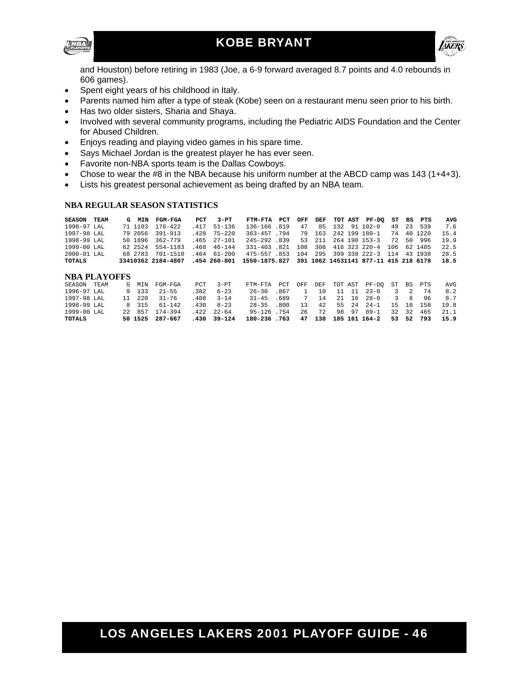



and Houston) before retiring in 1983 (Joe, a 6-9 forward averaged 8.7 points and 4.0 rebounds in 606 games).

- Spent eight years of his childhood in Italy.
- Parents named him after a type of steak (Kobe) seen on a restaurant menu seen prior to his birth.
- Has two older sisters, Sharia and Shaya.
- Involved with several community programs, including the Pediatric AIDS Foundation and the Center for Abused Children.
- Enjoys reading and playing video games in his spare time.
- Says Michael Jordan is the greatest player he has ever seen.
- Favorite non-NBA sports team is the Dallas Cowboys.
- Chose to wear the #8 in the NBA because his uniform number at the ABCD camp was 143 (1+4+3).
- Lists his greatest personal achievement as being drafted by an NBA team.

#### **NBA REGULAR SEASON STATISTICS**

| <b>SEASON</b>   | TEAM | G MIN   | <b>FGM-FGA</b>                                                                      | PCT | 3-PT              | FTM-FTA PCT                                   |    |  | OFF DEF TOT AST PF-DO ST BS PTS |    |           | AVG  |
|-----------------|------|---------|-------------------------------------------------------------------------------------|-----|-------------------|-----------------------------------------------|----|--|---------------------------------|----|-----------|------|
| 1996-97 LAL     |      | 71 1103 | $176 - 422$                                                                         |     | $.417$ 51-136     | 136-166 819                                   | 47 |  | 85 132 91 102-0                 |    | 49 23 539 | 7.6  |
| 1997-98 LAL     |      |         | 79 2056 391-913                                                                     |     | 428 75-220        | 363-457.794                                   |    |  | 79 163 242 199 180-1            | 74 | 40 1220   | 15.4 |
| 1998-99 LAL     |      |         | 50 1896 362-779                                                                     |     | $.465$ 27-101     | 245-292 839                                   |    |  | 53 211 264 190 153-3            |    | 72 50 996 | 19.9 |
| 1999-00 LAL     |      |         | 62 2524 554-1183                                                                    |     | 468 46-144        | 331-403 821 108 308 416 323 220-4 106 62 1485 |    |  |                                 |    |           | 22.5 |
| $2000 - 01$ LAL |      | 68 2783 | 701-1510                                                                            |     | $.464$ $61 - 200$ | 475-557.853 104 295 399 338 222-3 114 43 1938 |    |  |                                 |    |           | 28.5 |
| <b>TOTALS</b>   |      |         | 33410362 2184-4807 .454 260-801 1550-1875.827 391 1062 14531141 877-11 415 218 6178 |     |                   |                                               |    |  |                                 |    |           | 18.5 |

#### **NBA PLAYOFFS**

| SEASON        | TEAM | G | MTN    | FGM-FGA         | PCT   | $3-PT$        | FTM-FTA PCT     | OFF |      |          | DEF TOT AST PF-DO ST BS PTS |       |         |           | AVG  |
|---------------|------|---|--------|-----------------|-------|---------------|-----------------|-----|------|----------|-----------------------------|-------|---------|-----------|------|
| 1996-97 LAL   |      |   | 9 133  | $21 - 55$       | . 382 | $6 - 23$      | 26-30 867       |     |      | 10 11 11 | $23 - 0$                    |       |         | 3 2 74    | 8.2  |
| 1997-98 LAL   |      |   | 11 220 | $31 - 76$       | .408  | $3 - 14$      | $31 - 45$ 689   |     | 7 14 | 21 16    | $28 - 0$                    | 3     | - 8     | 96        | 87   |
| 1998-99 LAL   |      |   | 8 315  | $61 - 142$      | .430  | $8 - 23$      | $28 - 35$ $800$ | 13  | 42   |          | $55 \t24 \t24 - 1$          | 15 10 |         | 158       | 19 R |
| 1999-00 LAL   |      |   | 22 857 | 174-394         | .422  | $22 - 64$     | 95-126 754      | 26  | 72   | 98 97    | $89 - 1$                    | 32    | $-32 -$ | 465       | 21.1 |
| <b>TOTALS</b> |      |   |        | 50 1525 287-667 |       | $-430$ 39-124 | 180-236.763     |     |      |          | 47 138 185 161 164-2        |       |         | 53 52 793 | 15.9 |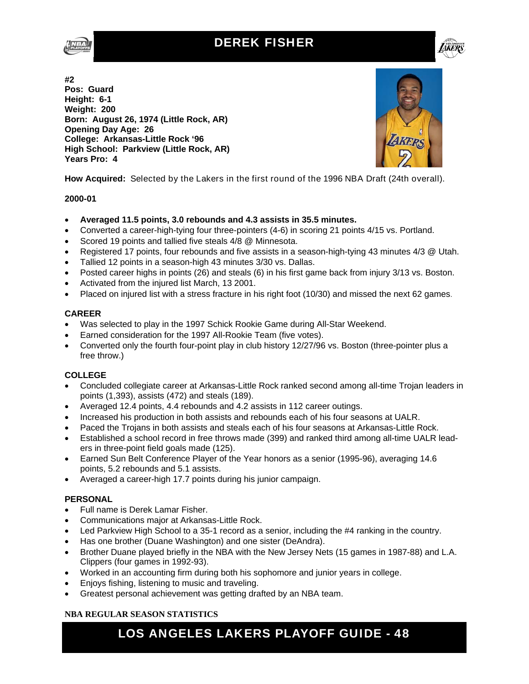### DEREK FISHER



**#2 Pos: Guard Height: 6-1 Weight: 200 Born: August 26, 1974 (Little Rock, AR) Opening Day Age: 26 College: Arkansas-Little Rock '96 High School: Parkview (Little Rock, AR) Years Pro: 4** 



1*KB* 

**How Acquired:** Selected by the Lakers in the first round of the 1996 NBA Draft (24th overall).

#### **2000-01**

- **Averaged 11.5 points, 3.0 rebounds and 4.3 assists in 35.5 minutes.**
- Converted a career-high-tying four three-pointers (4-6) in scoring 21 points 4/15 vs. Portland.
- Scored 19 points and tallied five steals 4/8 @ Minnesota.
- Registered 17 points, four rebounds and five assists in a season-high-tying 43 minutes 4/3 @ Utah.
- Tallied 12 points in a season-high 43 minutes 3/30 vs. Dallas.
- Posted career highs in points (26) and steals (6) in his first game back from injury 3/13 vs. Boston.
- Activated from the injured list March, 13 2001.
- Placed on injured list with a stress fracture in his right foot (10/30) and missed the next 62 games.

#### **CAREER**

- Was selected to play in the 1997 Schick Rookie Game during All-Star Weekend.
- Earned consideration for the 1997 All-Rookie Team (five votes).
- Converted only the fourth four-point play in club history 12/27/96 vs. Boston (three-pointer plus a free throw.)

#### **COLLEGE**

- Concluded collegiate career at Arkansas-Little Rock ranked second among all-time Trojan leaders in points (1,393), assists (472) and steals (189).
- Averaged 12.4 points, 4.4 rebounds and 4.2 assists in 112 career outings.
- Increased his production in both assists and rebounds each of his four seasons at UALR.
- Paced the Trojans in both assists and steals each of his four seasons at Arkansas-Little Rock.
- Established a school record in free throws made (399) and ranked third among all-time UALR leaders in three-point field goals made (125).
- Earned Sun Belt Conference Player of the Year honors as a senior (1995-96), averaging 14.6 points, 5.2 rebounds and 5.1 assists.
- Averaged a career-high 17.7 points during his junior campaign.

#### **PERSONAL**

- Full name is Derek Lamar Fisher.
- Communications major at Arkansas-Little Rock.
- Led Parkview High School to a 35-1 record as a senior, including the #4 ranking in the country.
- Has one brother (Duane Washington) and one sister (DeAndra).
- Brother Duane played briefly in the NBA with the New Jersey Nets (15 games in 1987-88) and L.A. Clippers (four games in 1992-93).
- Worked in an accounting firm during both his sophomore and junior years in college.
- Enjoys fishing, listening to music and traveling.
- Greatest personal achievement was getting drafted by an NBA team.

#### **NBA REGULAR SEASON STATISTICS**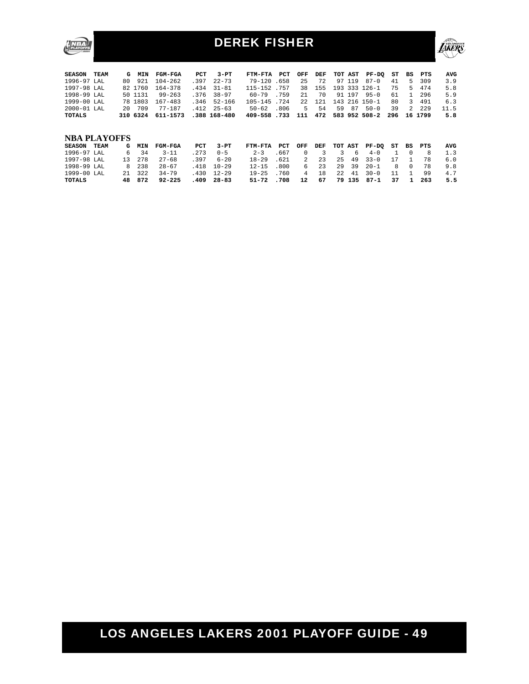

### DEREK FISHER



| <b>SEASON</b><br>TEAM | G   | <b>MIN</b> | <b>FGM-FGA</b> | PCT  | $3-PT$       | FTM-FTA     | PCT  | OFF      | DEF |         | TOT AST | $PF-DO$       | ST  | BS       | PTS  | AVG  |
|-----------------------|-----|------------|----------------|------|--------------|-------------|------|----------|-----|---------|---------|---------------|-----|----------|------|------|
| 1996-97 LAL           | 80  | 921        | $104 - 262$    | .397 | $22 - 73$    | $79 - 120$  | .658 | 25       | 72  | 97      | 119     | $87 - 0$      | 41  | 5        | 309  | 3.9  |
| 1997-98 LAL           |     | 82 1760    | 164-378        | .434 | $31 - 81$    | 115-152     | .757 | 38       | 155 |         |         | 193 333 126-1 | 75  | 5        | 474  | 5.8  |
| 1998-99 LAL           |     | 50 1131    | $99 - 263$     | .376 | $38 - 97$    | $60 - 79$   | .759 | 2.1      | 70  | 91      | 197     | $95 - 0$      | 61  |          | 296  | 5.9  |
| $1999 - 00$ LAL       |     | 78 1803    | $167 - 483$    | .346 | $52 - 166$   | $105 - 145$ | .724 | 2.2.     | 121 | 143     |         | $216$ 150-1   | 80  | 3        | 491  | 6.3  |
| $2000 - 01$ LAL       | 2.0 | 709        | $77 - 187$     | .412 | $25 - 63$    | $50 - 62$   | .806 | 5        | 54  | 59      | 87      | $50 - 0$      | 39  | 2.       | 229  | 11.5 |
| <b>TOTALS</b>         | 310 | 6324       | 611-1573       |      | .388 168-480 | $409 - 558$ | .733 | 111      | 472 | 583     | 952     | $508 - 2$     | 296 | 16       | 1799 | 5.8  |
|                       |     |            |                |      |              |             |      |          |     |         |         |               |     |          |      |      |
|                       |     |            |                |      |              |             |      |          |     |         |         |               |     |          |      |      |
| <b>NBA PLAYOFFS</b>   |     |            |                |      |              |             |      |          |     |         |         |               |     |          |      |      |
| <b>SEASON</b><br>TEAM | G   | MIN        | <b>FGM-FGA</b> | PCT  | $3-PT$       | FTM-FTA     | PCT  | OFF      | DEF | TOT AST |         | PF-DO         | ST  | BS       | PTS  | AVG  |
| $1996 - 97$ LAL       | 6   | 34         | $3 - 11$       | .273 | $0 - 5$      | $2 - 3$     | .667 | $\Omega$ | 3   | 3       | 6       | $4 - 0$       |     | 0        | 8    | 1.3  |
| 1997-98 LAL           | 13  | 278        | $27 - 68$      | .397 | $6 - 20$     | $18 - 29$   | .621 | 2.       | 23  | 2.5     | 49      | $33 - 0$      | 17  |          | 78   | 6.0  |
| 1998-99 LAL           | 8   | 238        | $28 - 67$      | .418 | $10 - 29$    | $12 - 15$   | .800 | 6        | 23  | 29      | 39      | $20 - 1$      | 8   | $\Omega$ | 78   | 9.8  |
| 1999-00 LAL           | 2.1 | 322        | $34 - 79$      | .430 | $12 - 29$    | $19 - 25$   | .760 | 4        | 18  | 2.2.    | 41      | $30 - 0$      | 11  |          | 99   | 4.7  |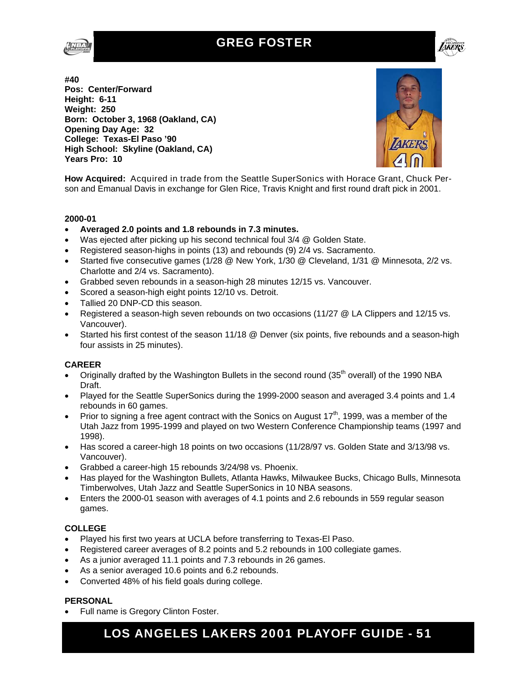### GREG FOSTER





**#40 Pos: Center/Forward Height: 6-11 Weight: 250 Born: October 3, 1968 (Oakland, CA) Opening Day Age: 32 College: Texas-El Paso '90 High School: Skyline (Oakland, CA) Years Pro: 10** 



**How Acquired:** Acquired in trade from the Seattle SuperSonics with Horace Grant, Chuck Person and Emanual Davis in exchange for Glen Rice, Travis Knight and first round draft pick in 2001.

#### **2000-01**

- **Averaged 2.0 points and 1.8 rebounds in 7.3 minutes.**
- Was ejected after picking up his second technical foul 3/4 @ Golden State.
- Registered season-highs in points (13) and rebounds (9) 2/4 vs. Sacramento.
- Started five consecutive games (1/28 @ New York, 1/30 @ Cleveland, 1/31 @ Minnesota, 2/2 vs. Charlotte and 2/4 vs. Sacramento).
- Grabbed seven rebounds in a season-high 28 minutes 12/15 vs. Vancouver.
- Scored a season-high eight points 12/10 vs. Detroit.
- Tallied 20 DNP-CD this season.
- Registered a season-high seven rebounds on two occasions (11/27 @ LA Clippers and 12/15 vs. Vancouver).
- Started his first contest of the season 11/18 @ Denver (six points, five rebounds and a season-high four assists in 25 minutes).

#### **CAREER**

- Originally drafted by the Washington Bullets in the second round (35<sup>th</sup> overall) of the 1990 NBA Draft.
- Played for the Seattle SuperSonics during the 1999-2000 season and averaged 3.4 points and 1.4 rebounds in 60 games.
- Prior to signing a free agent contract with the Sonics on August  $17<sup>th</sup>$ , 1999, was a member of the Utah Jazz from 1995-1999 and played on two Western Conference Championship teams (1997 and 1998).
- Has scored a career-high 18 points on two occasions (11/28/97 vs. Golden State and 3/13/98 vs. Vancouver).
- Grabbed a career-high 15 rebounds 3/24/98 vs. Phoenix.
- Has played for the Washington Bullets, Atlanta Hawks, Milwaukee Bucks, Chicago Bulls, Minnesota Timberwolves, Utah Jazz and Seattle SuperSonics in 10 NBA seasons.
- Enters the 2000-01 season with averages of 4.1 points and 2.6 rebounds in 559 regular season games.

#### **COLLEGE**

- Played his first two years at UCLA before transferring to Texas-El Paso.
- Registered career averages of 8.2 points and 5.2 rebounds in 100 collegiate games.
- As a junior averaged 11.1 points and 7.3 rebounds in 26 games.
- As a senior averaged 10.6 points and 6.2 rebounds.
- Converted 48% of his field goals during college.

#### **PERSONAL**

• Full name is Gregory Clinton Foster.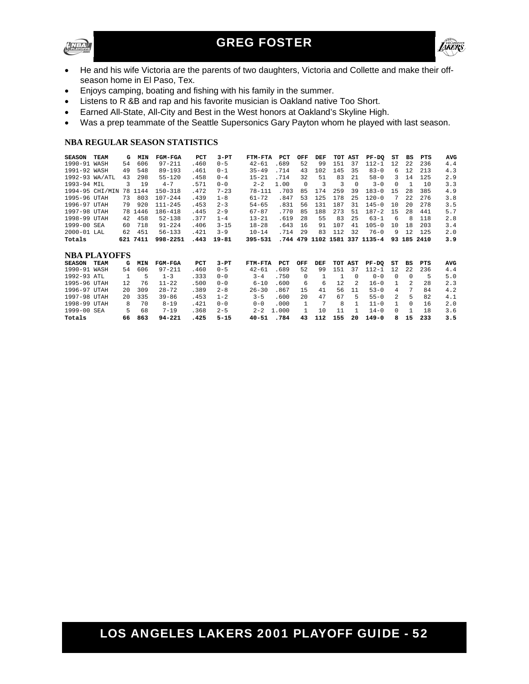



- He and his wife Victoria are the parents of two daughters, Victoria and Collette and make their offseason home in El Paso, Tex.
- Enjoys camping, boating and fishing with his family in the summer.
- Listens to R &B and rap and his favorite musician is Oakland native Too Short.
- Earned All-State, All-City and Best in the West honors at Oakland's Skyline High.
- Was a prep teammate of the Seattle Supersonics Gary Payton whom he played with last season.

#### **NBA REGULAR SEASON STATISTICS**

| <b>SEASON</b>  | <b>TEAM</b>         | G   | MIN  | FGM-FGA        | <b>PCT</b> | $3-PT$    | FTM-FTA    | PCT   | OFF          | DEF |                | TOT AST  | $PF-DO$              | ST            | <b>BS</b>      | PTS      | <b>AVG</b> |
|----------------|---------------------|-----|------|----------------|------------|-----------|------------|-------|--------------|-----|----------------|----------|----------------------|---------------|----------------|----------|------------|
| 1990-91 WASH   |                     | 54  | 606  | $97 - 211$     | .460       | $0 - 5$   | $42 - 61$  | .689  | 52           | 99  | 151            | 37       | $112 - 1$            | 12            | 2.2.           | 236      | 4.4        |
| 1991-92 WASH   |                     | 49  | 548  | $89 - 193$     | .461       | $0 - 1$   | $35 - 49$  | .714  | 43           | 102 | 145            | 35       | $83 - 0$             | 6             | 12             | 213      | 4.3        |
| 1992-93 WA/ATL |                     | 43  | 298  | $55 - 120$     | .458       | $0 - 4$   | $15 - 21$  | .714  | 32           | 51  | 83             | 21       | $58 - 0$             | 3             | 14             | 125      | 2.9        |
| 1993-94 MIL    |                     | 3   | 19   | $4 - 7$        | .571       | $0 - 0$   | $2 - 2$    | 1.00  | $\Omega$     | 3   | 3              | $\Omega$ | $3 - 0$              | $\Omega$      | $\mathbf{1}$   | 10       | 3.3        |
|                | 1994-95 CHI/MIN     | 78  | 1144 | $150 - 318$    | .472       | $7 - 23$  | $78 - 111$ | .703  | 85           | 174 | 259            | 39       | $183 - 0$            | 1.5           | 2.8            | 385      | 4.9        |
| 1995-96 UTAH   |                     | 73  | 803  | $107 - 244$    | .439       | $1 - 8$   | $61 - 72$  | .847  | 53           | 125 | 178            | 25       | $120 - 0$            |               | 2.2.           | 276      | 3.8        |
| 1996-97 UTAH   |                     | 79  | 920  | $111 - 245$    | .453       | $2 - 3$   | $54 - 65$  | .831  | 56           | 131 | 187            | 31       | $145 - 0$            | 10            | 2.0            | 278      | 3.5        |
| 1997-98 UTAH   |                     | 78  | 1446 | 186-418        | .445       | $2 - 9$   | $67 - 87$  | .770  | 85           | 188 | 273            | 51       | $187 - 2$            | 15            | 28             | 441      | 5.7        |
| 1998-99 UTAH   |                     | 42  | 458  | $52 - 138$     | .377       | $1 - 4$   | $13 - 21$  | .619  | 28           | 55  | 83             | 25       | $63 - 1$             | -6            | 8              | 118      | 2.8        |
| 1999-00 SEA    |                     | 60  | 718  | $91 - 224$     | .406       | $3 - 15$  | $18 - 28$  | .643  | 16           | 91  | 107            | 41       | $105 - 0$            | 10            | 18             | 203      | 3.4        |
| 2000-01 LAL    |                     | 62  | 451  | $56 - 133$     | .421       | $3 - 9$   | $10 - 14$  | .714  | 29           | 83  | 112            | 32       | $76 - 0$             | 9             | 12             | 125      | 2.0        |
|                |                     |     |      |                |            |           |            |       |              |     |                |          |                      |               |                |          |            |
| Totals         |                     | 621 | 7411 | 998-2251       | .443       | $19 - 81$ | 395-531    | .744  | 479          |     |                |          | 1102 1581 337 1135-4 | 93            |                | 185 2410 | 3.9        |
|                |                     |     |      |                |            |           |            |       |              |     |                |          |                      |               |                |          |            |
|                | <b>NBA PLAYOFFS</b> |     |      |                |            |           |            |       |              |     |                |          |                      |               |                |          |            |
| <b>SEASON</b>  | <b>TEAM</b>         | G   | MIN  | <b>FGM-FGA</b> | PCT        | $3-PT$    | FTM-FTA    | PCT   | OFF          | DEF | TOT            | AST      | $PF-DO$              | ST            | <b>BS</b>      | PTS      | <b>AVG</b> |
| 1990-91 WASH   |                     | 54  | 606  | $97 - 211$     | .460       | $0 - 5$   | $42 - 61$  | .689  | 52           | 99  | 151            | 37       | $112 - 1$            | 12.           | 2.2.           | 236      | 4.4        |
| 1992-93 ATL    |                     |     | 5    | $1 - 3$        | .333       | $0 - 0$   | $3 - 4$    | .750  | $\Omega$     | 1   | $\overline{1}$ | $\Omega$ | $0 - 0$              | $\Omega$      | $\Omega$       | 5        | 5.0        |
| 1995-96 UTAH   |                     | 12  | 76   | $11 - 22$      | .500       | $0 - 0$   | $6 - 10$   | .600  | 6            | 6   | 12             | 2        | $16 - 0$             |               | $\mathfrak{D}$ | 28       | 2.3        |
| 1996-97 UTAH   |                     | 20  | 309  | $28 - 72$      | .389       | $2 - 8$   | $26 - 30$  | .867  | 15           | 41  | 56             | 11       | $53 - 0$             | 4             | 7              | 84       | 4.2        |
| 1997-98 UTAH   |                     | 2.0 | 335  | $39 - 86$      | .453       | $1 - 2$   | $3 - 5$    | .600  | 20           | 47  | 67             | 5        | $55 - 0$             | $\mathcal{L}$ | 5              | 82       | 4.1        |
| 1998-99 UTAH   |                     | 8   | 70   | $8 - 19$       | .421       | $0 - 0$   | $0 - 0$    | .000  | $\mathbf{1}$ | 7   | 8              | 1        | $11 - 0$             |               | $\Omega$       | 16       | 2.0        |
| 1999-00 SEA    |                     | 5   | 68   | $7 - 19$       | .368       | $2 - 5$   | $2 - 2$    | 1.000 |              | 10  | 11             | 1        | $14 - 0$             | $\cap$        | 1              | 18       | 3.6        |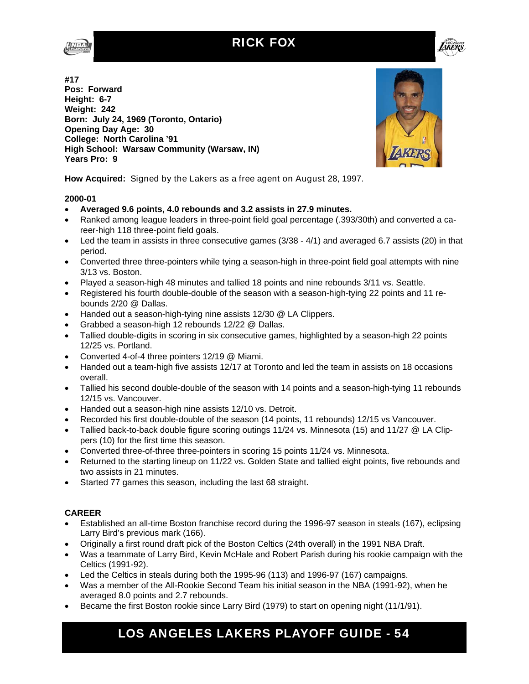





**#17 Pos: Forward Height: 6-7 Weight: 242 Born: July 24, 1969 (Toronto, Ontario) Opening Day Age: 30 College: North Carolina '91 High School: Warsaw Community (Warsaw, IN) Years Pro: 9** 



**How Acquired:** Signed by the Lakers as a free agent on August 28, 1997.

#### **2000-01**

- **Averaged 9.6 points, 4.0 rebounds and 3.2 assists in 27.9 minutes.**
- Ranked among league leaders in three-point field goal percentage (.393/30th) and converted a career-high 118 three-point field goals.
- $\bullet$  Led the team in assists in three consecutive games (3/38 4/1) and averaged 6.7 assists (20) in that period.
- Converted three three-pointers while tying a season-high in three-point field goal attempts with nine 3/13 vs. Boston.
- Played a season-high 48 minutes and tallied 18 points and nine rebounds 3/11 vs. Seattle.
- Registered his fourth double-double of the season with a season-high-tying 22 points and 11 rebounds 2/20 @ Dallas.
- Handed out a season-high-tying nine assists 12/30 @ LA Clippers.
- Grabbed a season-high 12 rebounds 12/22 @ Dallas.
- Tallied double-digits in scoring in six consecutive games, highlighted by a season-high 22 points 12/25 vs. Portland.
- Converted 4-of-4 three pointers 12/19 @ Miami.
- Handed out a team-high five assists 12/17 at Toronto and led the team in assists on 18 occasions overall.
- Tallied his second double-double of the season with 14 points and a season-high-tying 11 rebounds 12/15 vs. Vancouver.
- Handed out a season-high nine assists 12/10 vs. Detroit.
- Recorded his first double-double of the season (14 points, 11 rebounds) 12/15 vs Vancouver.
- Tallied back-to-back double figure scoring outings 11/24 vs. Minnesota (15) and 11/27 @ LA Clippers (10) for the first time this season.
- Converted three-of-three three-pointers in scoring 15 points 11/24 vs. Minnesota.
- Returned to the starting lineup on 11/22 vs. Golden State and tallied eight points, five rebounds and two assists in 21 minutes.
- Started 77 games this season, including the last 68 straight.

#### **CAREER**

- Established an all-time Boston franchise record during the 1996-97 season in steals (167), eclipsing Larry Bird's previous mark (166).
- Originally a first round draft pick of the Boston Celtics (24th overall) in the 1991 NBA Draft.
- Was a teammate of Larry Bird, Kevin McHale and Robert Parish during his rookie campaign with the Celtics (1991-92).
- Led the Celtics in steals during both the 1995-96 (113) and 1996-97 (167) campaigns.
- Was a member of the All-Rookie Second Team his initial season in the NBA (1991-92), when he averaged 8.0 points and 2.7 rebounds.
- Became the first Boston rookie since Larry Bird (1979) to start on opening night (11/1/91).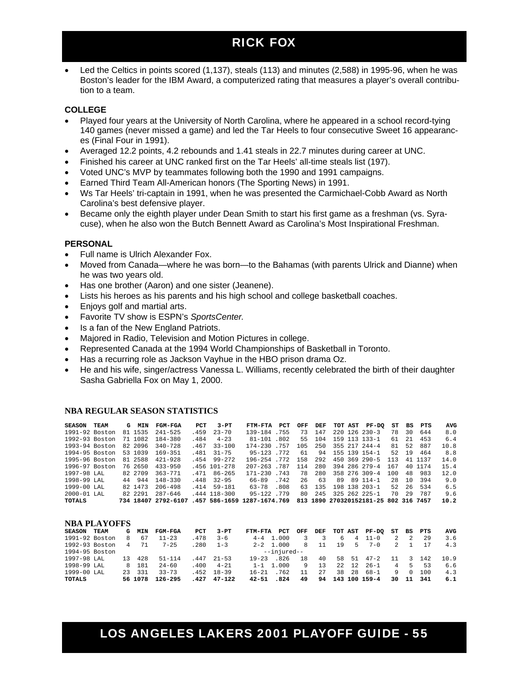### RICK FOX

 Led the Celtics in points scored (1,137), steals (113) and minutes (2,588) in 1995-96, when he was Boston's leader for the IBM Award, a computerized rating that measures a player's overall contribution to a team.

#### **COLLEGE**

- Played four years at the University of North Carolina, where he appeared in a school record-tying 140 games (never missed a game) and led the Tar Heels to four consecutive Sweet 16 appearances (Final Four in 1991).
- Averaged 12.2 points, 4.2 rebounds and 1.41 steals in 22.7 minutes during career at UNC.
- Finished his career at UNC ranked first on the Tar Heels' all-time steals list (197).
- Voted UNC's MVP by teammates following both the 1990 and 1991 campaigns.
- Earned Third Team All-American honors (The Sporting News) in 1991.
- Ws Tar Heels' tri-captain in 1991, when he was presented the Carmichael-Cobb Award as North Carolina's best defensive player.
- Became only the eighth player under Dean Smith to start his first game as a freshman (vs. Syracuse), when he also won the Butch Bennett Award as Carolina's Most Inspirational Freshman.

#### **PERSONAL**

- Full name is Ulrich Alexander Fox.
- Moved from Canada—where he was born—to the Bahamas (with parents Ulrick and Dianne) when he was two years old.
- Has one brother (Aaron) and one sister (Jeanene).
- Lists his heroes as his parents and his high school and college basketball coaches.
- Enjoys golf and martial arts.
- Favorite TV show is ESPN's *SportsCenter.*
- Is a fan of the New England Patriots.
- Majored in Radio, Television and Motion Pictures in college.
- Represented Canada at the 1994 World Championships of Basketball in Toronto.
- Has a recurring role as Jackson Vayhue in the HBO prison drama Oz.
- He and his wife, singer/actress Vanessa L. Williams, recently celebrated the birth of their daughter Sasha Gabriella Fox on May 1, 2000.

#### **NBA REGULAR SEASON STATISTICS**

| <b>SEASON</b>   | <b>TEAM</b> | G  | <b>MIN</b> | <b>FGM-FGA</b>      | PCT  | $3-PT$         | FTM-FTA                     | PCT  | OFF | DEF  | TOT AST | PF-DO                             | ST  | BS  | PTS  | AVG  |
|-----------------|-------------|----|------------|---------------------|------|----------------|-----------------------------|------|-----|------|---------|-----------------------------------|-----|-----|------|------|
| 1991-92 Boston  |             |    | 81 1535    | $241 - 525$         | .459 | $23 - 70$      | 139-184                     | .755 | 73  | 147  |         | $220 \t126 \t230 - 3$             | 78  | 30  | 644  | 8.0  |
| 1992-93 Boston  |             |    | 71 1082    | 184-380             | .484 | $4 - 23$       | $81 - 101$                  | .802 | 55  | 104  | 159     | $113$ $133 - 1$                   | 61  | 21  | 453  | 6.4  |
| 1993-94 Boston  |             |    | 82 2096    | $340 - 728$         | .467 | $33 - 100$     | $174 - 230$                 | .757 | 105 | 250  |         | $355$ $217$ $244-4$               | 81  | 52  | 887  | 10.8 |
| 1994-95 Boston  |             |    | 53 1039    | $169 - 351$         | .481 | $31 - 75$      | $95 - 123$                  | 772  | 61  | 94   |         | 155 139 154-1                     | 52  | 19  | 464  | 8.8  |
| 1995-96 Boston  |             |    | 81 2588    | $421 - 928$         | 454  | $99 - 272$     | $196 - 254$                 | 772  | 158 | 2.92 | 450     | 369 290-5                         | 113 | 41  | 1137 | 14.0 |
| 1996-97 Boston  |             |    | 76 2650    | $433 - 950$         |      | $.456$ 101-278 | $207 - 263$                 | .787 | 114 | 280  |         | $394$ 286 279-4                   | 167 | 4 N | 1174 | 15.4 |
| 1997-98 LAL     |             |    | 82 2709    | $363 - 771$         | 471  | $86 - 265$     | $171 - 230$                 | 743  | 78  | 280  |         | 358 276 309-4                     | 100 | 48  | 983  | 12.0 |
| 1998-99 LAL     |             | 44 | 944        | $148 - 330$         | 448  | $32 - 95$      | 66-89                       | .742 | 26  | 63   | 89      | 89 114-1                          | 28  | 10  | 394  | 9.0  |
| 1999-00 LAL     |             |    | 82 1473    | $206 - 498$         | .414 | 59-181         | $63 - 78$                   | .808 | 63  | 135  |         | 198 138 203-1                     | 52  | 26  | 534  | 6.5  |
| $2000 - 01$ LAL |             |    | 82 2291    | $287 - 646$         |      | .444 118-300   | $95 - 122$                  | 779  | 80. | 245  |         | $325$ 262 225-1                   | 70  | 29  | 787  | 9.6  |
| TOTALS          |             |    |            | 734 18407 2792-6107 |      |                | .457 586-1659 1287-1674.769 |      | 813 |      |         | 1890 270320152181-25 802 316 7457 |     |     |      | 10.2 |

| <b>NBA PLAYOFFS</b> |      |    |            |                |      |            |           |               |     |     |      |                |               |                |          |     |      |
|---------------------|------|----|------------|----------------|------|------------|-----------|---------------|-----|-----|------|----------------|---------------|----------------|----------|-----|------|
| <b>SEASON</b>       | TEAM | G  | <b>MIN</b> | <b>FGM-FGA</b> | PCT  | $3-PT$     | FTM-FTA   | <b>PCT</b>    | OFF | DEF |      | TOT AST        | <b>PF-DO</b>  |                | ST BS    | PTS | AVG  |
| 1991-92 Boston      |      | 8  | 67         | $11 - 23$      | .478 | $3 - 6$    |           | $4 - 4$ 1.000 |     |     | 6    | $\overline{4}$ | $11 - 0$      | $\overline{a}$ |          | 29  | 3.6  |
| 1992-93 Boston      |      | 4  | 71         | $7 - 25$       | .280 | $1 - 3$    |           | $2 - 2$ 1.000 | 8   | 11  | 19   | 5.             | $7 - 0$       | $\overline{2}$ |          | 17  | 4.3  |
| 1994-95 Boston      |      |    |            |                |      |            |           | --injured--   |     |     |      |                |               |                |          |     |      |
| 1997-98 LAL         |      | 13 | 428        | $51 - 114$     | .447 | $21 - 53$  | $19 - 23$ | - 826         | 18  | 40  | 58   | 51             | $47 - 2$      | -11            |          | 142 | 10.9 |
| 1998-99 LAL         |      |    | 8 181      | $24 - 60$      | .400 | $4 - 21$   |           | $1 - 1$ 1.000 | 9   | 13  | 2.2. | 12             | $26 - 1$      | 4              | 5.       | 53  | 6.6  |
| 1999-00 LAL         |      |    | 23 331     | $33 - 73$      | .452 | $18 - 39$  | $16 - 21$ | .762          |     | 27  | 38   | 28             | $68 - 1$      | 9.             | $\Omega$ | 100 | 4.3  |
| TOTALS              |      |    | 56 1078    | $126 - 295$    | .427 | $47 - 122$ | $42 - 51$ | .824          | 49  | 94  |      |                | 143 100 159-4 | 30             | 11       | 341 | 6.1  |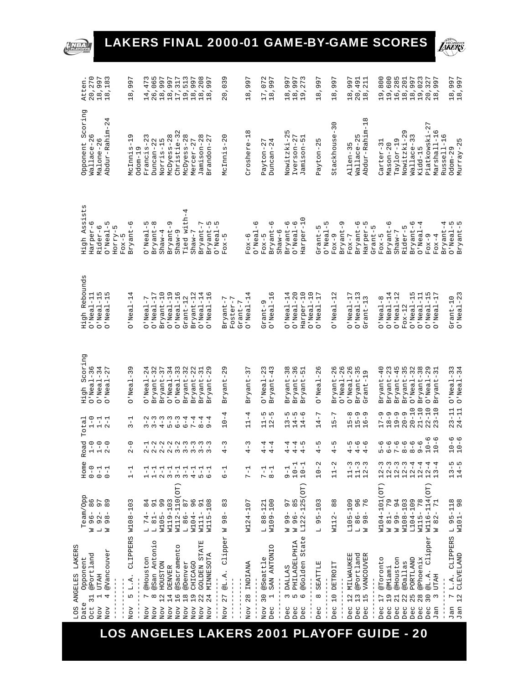# LAKERS FINAL 2000-01 GAME-BY-GAME SCORES

**NBA** 



|              | LOS ANGELES LAKERS                                  |                                                                                                       |                                                     |                                       |                                      |                              |                              |                                                       |                                                     |                                                                                                                                                                                                                                                                        |
|--------------|-----------------------------------------------------|-------------------------------------------------------------------------------------------------------|-----------------------------------------------------|---------------------------------------|--------------------------------------|------------------------------|------------------------------|-------------------------------------------------------|-----------------------------------------------------|------------------------------------------------------------------------------------------------------------------------------------------------------------------------------------------------------------------------------------------------------------------------|
| Date         | Opponent<br>$\overline{31}$                         | Team/Opp                                                                                              | Home<br>$0 - 0$                                     | Road<br>$\overline{1} - \overline{0}$ | Total                                | High Scoring                 | High Rebounds                | sts.<br>High Assi                                     | Scoring<br>Opponent                                 | Atten                                                                                                                                                                                                                                                                  |
| Oct          | @Portland                                           | 86<br>$-96$<br>Z                                                                                      |                                                     |                                       | $1 - 0$                              | $O'$ Neal-36                 | $O'$ Neal-11                 | Harper-6                                              | Wallace-26                                          | 20,270                                                                                                                                                                                                                                                                 |
| NOV<br>NOV   | @Vancouver<br><b>UTAH</b><br>4<br>Н                 | 5 0<br>8 0<br>$\mathsf I$<br>$\mathbf{I}$<br>980<br>$\overline{\phantom{a}}$ $\overline{\phantom{a}}$ | $-1$<br>$-1$<br>$0 - 1$                             | $1 - 0$<br>2 - 0                      | $1 - 1$<br>$2 - 1$                   | $O'$ Neal-34<br>$O'$ Neal-27 | $O'$ Neal-15<br>$O'$ Neal-15 | ഥ<br>Rider-6<br>$O'$ Neal-                            | 4<br>$\mathbf{\Omega}$<br>Abdur-Rahim-<br>Malone-26 | 18,997<br>18,183                                                                                                                                                                                                                                                       |
|              |                                                     |                                                                                                       |                                                     |                                       |                                      |                              |                              | ഥ<br>HOTTY-<br>$F$ ox-5                               |                                                     |                                                                                                                                                                                                                                                                        |
| Nov          | CLIPPERS<br>L.A.<br>ι∩                              | ω<br>$-10.5$<br>W108                                                                                  | 루                                                   | $2 - 0$                               | $3 - 1$                              | Ō<br>$-3$<br>D'Neal          | $O'$ Neal-1                  | ဖ<br>$\mathbf{I}$<br>Bryant                           | ᡡ<br>٦<br>McInnis<br>Odom-19                        | L<br>Q<br>଼<br>$\infty$<br>$\overline{\phantom{0}}$                                                                                                                                                                                                                    |
| NOV          | @Houston<br>L                                       | 4<br>$\infty$<br>$\mathsf I$<br>74<br>$\overline{a}$                                                  | 루                                                   |                                       |                                      | $O'$ Neal-24                 | $O'$ Neal-7                  | Б<br>$\mathbf{I}$<br>O'Neal                           | 23<br>$\mathsf I$<br>Francis                        |                                                                                                                                                                                                                                                                        |
| $_{\rm NOV}$ | Q<br>@San Antoni<br>$\infty$                        | 99<br>$\mathsf I$<br>$L$ 81                                                                           | 루                                                   |                                       | u w<br>$\frac{1}{3}$ $\frac{1}{3}$   | Bryant-32                    | $O'$ Neal-17                 | $\infty$<br>Bryant                                    | Z<br>$D$ uncan- $2$                                 | $\begin{array}{l} 14\, ,\, 4\, 7\\ 2\, 6\, ,\, 0\, 6\, 9\\ 2\, 9\, ,\, 9\, ,\, 9\, ,\, 7\\ 1\, 2\, ,\, 9\, ,\, 9\, ,\, 7\\ 2\, ,\, 9\, ,\, 9\, ,\, 7\\ 3\, ,\, 9\, ,\, 7\, ,\, 9\, ,\, 9\, ,\, 9\, ,\, 7\\ 1\, ,\, 9\, ,\, 9\, ,\, 9\, ,\, 9\, ,\, 9\, ,\, 1\\ 1\, ,\$ |
| NOV          | HOUSTON<br>12                                       | $\mathsf I$<br>W105                                                                                   |                                                     |                                       | w w<br>$\frac{1}{4}$                 | Bryant-37                    | Bryant-10                    | $Shaw-4$                                              | E<br>Norris-1                                       |                                                                                                                                                                                                                                                                        |
| Nov          | DENVER<br>14                                        | W119-103                                                                                              |                                                     |                                       | $\overline{5}$                       | $O'$ $N$ eal-34              | $O'$ Neal-19                 | G<br>$\mathbf{I}$<br>Bryant                           | McDyess-28                                          |                                                                                                                                                                                                                                                                        |
| Nov          | @Sacramento<br>$\frac{6}{1}$                        | <b>DD</b><br>W112-110                                                                                 |                                                     |                                       | $\epsilon$<br>$\frac{1}{6}$          | $O'$ Neal-33                 | $O'$ Neal-16                 | $Shaw-9$                                              | $Christite-32$                                      |                                                                                                                                                                                                                                                                        |
| NOV          | @Denver<br>18                                       | $\overline{ }$<br>$\infty$<br>$\mathsf I$<br>186                                                      |                                                     |                                       | 4<br>$\dot{\circ}$                   | Bryant-32                    | $G$ rant-12                  | ried with-4                                           | McDyess-28                                          |                                                                                                                                                                                                                                                                        |
| NOV          | CHICAGO<br>$\frac{9}{1}$                            | 96<br>W104                                                                                            |                                                     |                                       | $7 - 4$                              | Bryant-22                    | Bryant-12                    | $Shaw-7$                                              | $Mercer-27$                                         |                                                                                                                                                                                                                                                                        |
| NOV          | <b>STATE</b><br><b>NACTODE</b><br>22                | $\overline{5}$<br>$\mathsf I$<br>W111                                                                 |                                                     |                                       | $8 - 4$                              | Bryant-31                    | $O'$ Neal-14                 | r<br>Bryant-                                          | Jamison-28                                          |                                                                                                                                                                                                                                                                        |
| NOV          | MINNESOTA<br>24                                     | $\infty$<br>$\cup$<br>루<br>W115                                                                       |                                                     |                                       | $-4$<br>$\sigma$                     | Ō<br>Bryant-2                | $O'$ Neal-16                 | Б<br>Bryant-                                          | 27<br>Brandon-                                      |                                                                                                                                                                                                                                                                        |
|              |                                                     |                                                                                                       |                                                     |                                       |                                      |                              |                              | 5<br>$O'$ Neal-                                       |                                                     |                                                                                                                                                                                                                                                                        |
| NOV          | Clipper<br>$@L.A.$<br>27                            | 3<br>${}^{\circ}$<br>${}^{\circ}$<br>Ō<br>N                                                           | $\frac{1}{6}$                                       | $4 - 3$                               | $10 - 4$                             | Q<br>Bryant-2                | Bryant-7                     | $F$ O $x$ -5                                          | $Mctmn1s-20$                                        | G<br>20,03                                                                                                                                                                                                                                                             |
|              |                                                     |                                                                                                       |                                                     |                                       |                                      |                              | Foster-7                     |                                                       |                                                     |                                                                                                                                                                                                                                                                        |
|              |                                                     |                                                                                                       |                                                     |                                       |                                      |                              | $G$ rant-7                   |                                                       |                                                     |                                                                                                                                                                                                                                                                        |
| NOV          | INDIANA<br>${}^{\infty}$<br>Ν                       | W124-107                                                                                              | $7 - 1$                                             | 3<br>$\frac{1}{4}$                    | 4<br>$\mathbf{I}$<br>$\Box$          | 3<br>Bryant-                 | $O'$ Neal-1                  | G<br>$\overline{\phantom{a}}$<br>$O'$ Neal<br>$Fox-6$ | $^{\circ}$<br>Croshere-1                            | L<br>G<br>$\overline{a}$<br>$\frac{8}{1}$                                                                                                                                                                                                                              |
| NOV          | @Seattle<br>30                                      | $L 88 - 121$                                                                                          | $7 - 1$                                             | $4 - 4$                               |                                      |                              | $3x$ ant-9                   | $F$ ox-5                                              | Payton-27                                           |                                                                                                                                                                                                                                                                        |
| Dec          | SAN ANTONIO<br>$\overline{\phantom{0}}$             | W109-100                                                                                              | $\frac{1}{8}$                                       | $4-4$                                 | 5<br>5<br>5<br>$11 - 1$<br>$12 - 1$  | $O'$ Neal-23<br>Bryant-43    | G<br>$O'$ Neal-1             | G<br>Bryant                                           | 4<br>$D$ uncan- $2$                                 | 17,072<br>18,997                                                                                                                                                                                                                                                       |
|              |                                                     |                                                                                                       |                                                     |                                       |                                      |                              |                              | $Shaw-6$                                              |                                                     |                                                                                                                                                                                                                                                                        |
| Dec          | <b>DALLAS</b><br>$\sim$                             | L<br>Ō<br>$-66$                                                                                       | $-1$                                                | $4-4$                                 |                                      | Bryant-38                    | $O'$ Neal-14                 | Bryant-6                                              | Б<br>Nowitzki-2                                     | 18,997<br>18,997<br>19,273                                                                                                                                                                                                                                             |
| Dec          | PHILADELPHIA<br>LO.                                 | $\frac{5}{8}$<br>$-96$<br>$\geq$ $\geq$                                                               | $10 - 1$                                            | $4 - 5$                               | $13 - 5$<br>$14 - 6$<br>$14 - 6$     | $Bryant-36$                  | $O'$ Neal-20                 | $O'$ Neal-6                                           | Iverson-27                                          |                                                                                                                                                                                                                                                                        |
| Dec          | State<br>@Golden<br>G                               | (OT)<br>LO<br>$L122 - 12$                                                                             | $10 - 1$                                            |                                       |                                      | Bryant-51                    | Harper-10                    | Harper-10                                             | 51<br>Jamison-                                      |                                                                                                                                                                                                                                                                        |
|              |                                                     |                                                                                                       |                                                     |                                       |                                      |                              | $O'$ Neal-10                 |                                                       |                                                     |                                                                                                                                                                                                                                                                        |
| Dec          | SEATTLE<br>$\infty$                                 | $-103$<br>Б<br>Ō<br>$\overline{a}$                                                                    | $10 - 2$                                            | $4 - 5$                               | $14 - 7$                             | $O'$ Neal-26                 | $O'$ Neal-17                 | ഥ<br>۱ŋ<br>$O'$ Neal-<br>- Jusz5                      | L<br>Payton-2                                       | L<br>G<br>$\overline{Q}$<br>$\frac{8}{1}$                                                                                                                                                                                                                              |
| Dec          | DETROIT<br>$\circ$<br>$\overline{\phantom{0}}$      | $\infty$<br>${}^{\infty}$<br>W112                                                                     | $11 - 2$                                            | $4 - 5$                               | L<br>$\mathbf{I}$<br>$\frac{1}{10}$  | Bryant-26                    | $O'$ Neal-12                 | $F$ O $x-9$                                           | 30<br>Stackhouse-                                   | L<br>G<br>$\overline{a}$<br>$\frac{8}{1}$                                                                                                                                                                                                                              |
|              |                                                     |                                                                                                       |                                                     |                                       |                                      | $O'$ Neal-26                 |                              | Ō<br>Bryant                                           |                                                     |                                                                                                                                                                                                                                                                        |
| Dec          | MILWAUKEE<br>$\frac{2}{1}$                          | $-109$<br>L105                                                                                        | $11 - 3$                                            | $4 - 6$<br>$4 - 6$<br>$4 - 4$         | ${}^{\circ}$<br>$15 - 1$<br>$16 - 1$ | $O'$ Neal-26                 | $O'$ Neal-17                 | $F$ ox-7                                              | ١<br>$A1len-3$                                      | 18,997                                                                                                                                                                                                                                                                 |
| Dec          | @Portland<br>$\mathfrak{L}$                         | $\circ$ $\circ$<br>$\circ$ $\sim$<br>$-98 -$<br>$-98 -$                                               | $11 - 3$<br>$12 - 3$                                |                                       | $\circ$ $\circ$                      | Bryant-35                    | $O'$ Neal-13                 | $\frac{8}{1}$<br>Bryant                               | Wallace-25                                          | 20,491<br>18,211                                                                                                                                                                                                                                                       |
| Dec          | VANCOUVER<br>LO<br>$\overline{ }$                   |                                                                                                       |                                                     |                                       |                                      | $\sigma$<br>$3$ rant-1       | $G$ rant $-13$               | натрет-<br>۱                                          | $\infty$<br>Abdur-Rahim-1                           |                                                                                                                                                                                                                                                                        |
|              |                                                     |                                                                                                       |                                                     |                                       |                                      |                              |                              | Grant-<br>$F$ ox-5                                    |                                                     |                                                                                                                                                                                                                                                                        |
| Dec          | @Toronto<br>17                                      | W104-101 (OT)                                                                                         | $2 - 3$<br>$\overline{\phantom{0}}$                 | $6 - 6$                               | c<br>$17 -$                          | Bryant-40                    | $O'$ Neal-8                  |                                                       | $C$ arter-3                                         | 19,800<br>19,600<br>16,285                                                                                                                                                                                                                                             |
| Dec          | @Miami<br>$\frac{9}{1}$                             | $\sigma$<br>$\overline{ }$<br>$W 81 -$                                                                | $2 - 3$                                             | $6 - 6$<br>7 – 6                      | $\sigma$<br>$18 -$                   | $Bryant-23$                  | $O'$ Neal-14                 | ە<br>ا<br>Bryant                                      | $M$ ason-20                                         |                                                                                                                                                                                                                                                                        |
| Dec          | @Houston<br>21                                      | 94<br>$-66M$                                                                                          | $12 - 3$                                            |                                       | $19 - 9$                             | Bryant-45                    | $O'$ Neal-1                  | $Shaw-7$                                              | $Taylor-19$                                         |                                                                                                                                                                                                                                                                        |
| Dec          | @Dallas<br>22                                       | W108-103                                                                                              | $\tilde{3}$<br>$\sim$ $\sim$<br>$\overline{ }$      | $8 - 6$                               | $20 - 9$                             | Bryant-35                    | $Fox-12$                     | Rider-5                                               | Ō<br>$\ddot{a}$<br>Nowitzki                         | 18,201<br>18,997                                                                                                                                                                                                                                                       |
| Dec          | PORTLAND<br>25                                      | L104-109                                                                                              | $\overline{4}$<br>$\overline{ }$                    | $8 - 6$                               | $20 - 10$                            | $O'$ Neal-32                 | $O'$ Neal-15                 | Bryant                                                | Wallace-33                                          |                                                                                                                                                                                                                                                                        |
| Dec          | @Phoenix<br>28                                      | $\infty$<br>$\overline{r}$<br>$\sf I$<br>W115                                                         | $-4$<br>$\mathbf{\Omega}$<br>$\overline{ }$         | $9 - 6$                               | $21 - 10$                            | Bryant-38                    | $O'$ Neal-11                 | $O$ 'Neal                                             | Kidd-15                                             | 19,023                                                                                                                                                                                                                                                                 |
| Dec          | Clipper<br>@L.A.<br>30                              | OT)<br>W116-114                                                                                       | $\frac{4}{1}$<br>2<br>3<br>$\overline{\phantom{0}}$ | $10 - 6$                              | $22 - 10$                            | $O'$ Neal-29                 | $O'$ Neal-15                 | $F$ O $x-9$                                           | Piatkowski-27                                       | 20,327<br>18,997                                                                                                                                                                                                                                                       |
| Jan          | <b>UTAH</b><br>3                                    | ᆏ<br>$\overline{r}$<br>$\mathbf{\Omega}$<br>$\infty$<br>$\geq$                                        | $\vec{A}$<br>- 1                                    | $10 - 6$                              | $23 - 10$                            | $Bryant-31$                  | $O'$ Neal-17                 | $F$ ox-4                                              | Marshall-16                                         |                                                                                                                                                                                                                                                                        |
|              |                                                     |                                                                                                       |                                                     |                                       |                                      |                              |                              | 4<br>Bryant-                                          | O<br>Russell-1                                      |                                                                                                                                                                                                                                                                        |
| Jan          | CLIPPERS<br>L.A.<br>$\frac{2}{1}$<br>$\overline{ }$ | $L 95 - 118$<br>$W101-$                                                                               | $13 - 5$<br>$14 - 5$                                | $10 - 6$<br>$10 - 6$                  | $23 - 11$<br>$24 - 11$               | $O'$ Neal-34<br>$O'$ Neal-33 | $Grant-10$                   | O'Neal-5<br>Bryant-5                                  | Odom-29                                             | 18,997<br>18,997                                                                                                                                                                                                                                                       |
| Jan          | <b>CLEVELAND</b>                                    | $\frac{8}{9}$                                                                                         |                                                     |                                       |                                      |                              | $O'$ Neal-23                 |                                                       | Murray-25                                           |                                                                                                                                                                                                                                                                        |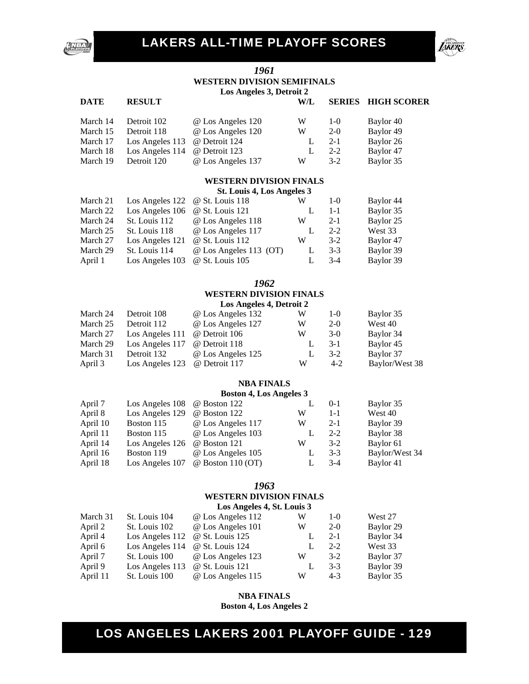



#### *1961*  **WESTERN DIVISION SEMIFINALS Los Angeles 3, Detroit 2**

#### **DATE RESULT W/L SERIES HIGH SCORER**

| March 14 | Detroit 102                   | @ Los Angeles 120 | W | $1 - \Omega$ | Baylor 40 |
|----------|-------------------------------|-------------------|---|--------------|-----------|
| March 15 | Detroit 118                   | @ Los Angeles 120 | W | $2-0$        | Baylor 49 |
| March 17 | Los Angeles 113 @ Detroit 124 |                   |   | $2 - 1$      | Baylor 26 |
| March 18 | Los Angeles 114               | @ Detroit 123     |   | $2 - 2$      | Baylor 47 |
| March 19 | Detroit 120                   | @ Los Angeles 137 | W | $3-2$        | Baylor 35 |

#### **WESTERN DIVISION FINALS**

**St. Louis 4, Los Angeles 3** 

| March 21 | Los Angeles $122 \quad \textcircled{e}$ St. Louis 118 |                        | W | $1-0$   | Baylor 44 |
|----------|-------------------------------------------------------|------------------------|---|---------|-----------|
| March 22 | Los Angeles 106                                       | @ St. Louis 121        |   | $1 - 1$ | Baylor 35 |
| March 24 | St. Louis 112                                         | @ Los Angeles 118      | W | $2 - 1$ | Baylor 25 |
| March 25 | St. Louis 118                                         | @ Los Angeles 117      |   | $2 - 2$ | West 33   |
| March 27 | Los Angeles 121                                       | @ St. Louis 112        | W | $3-2$   | Baylor 47 |
| March 29 | St. Louis 114                                         | @ Los Angeles 113 (OT) | L | $3-3$   | Baylor 39 |
| April 1  | Los Angeles 103                                       | @ St. Louis 105        |   | $3-4$   | Baylor 39 |
|          |                                                       |                        |   |         |           |

#### *1962*  **WESTERN DIVISION FINALS Los Angeles 4, Detroit 2**

|          |                 | $Los$ Allectes $\pi$ , Detteit 2 |   |        |                |
|----------|-----------------|----------------------------------|---|--------|----------------|
| March 24 | Detroit 108     | @ Los Angeles 132                | W | $1-()$ | Baylor 35      |
| March 25 | Detroit 112     | @ Los Angeles 127                | W | $2-0$  | West 40        |
| March 27 | Los Angeles 111 | @ Detroit 106                    | W | $3-0$  | Baylor 34      |
| March 29 | Los Angeles 117 | @ Detroit 118                    |   | $3-1$  | Baylor 45      |
| March 31 | Detroit 132     | @ Los Angeles 125                |   | $3-2$  | Baylor 37      |
| April 3  | Los Angeles 123 | @ Detroit 117                    | W | $4-2$  | Baylor/West 38 |

#### **NBA FINALS**

#### **Boston 4, Los Angeles 3**

| April 7  | Los Angeles 108 | @ Boston 122        |   | $0-1$   | Baylor 35      |
|----------|-----------------|---------------------|---|---------|----------------|
| April 8  | Los Angeles 129 | $\omega$ Boston 122 | W | $1 - 1$ | West 40        |
| April 10 | Boston 115      | @ Los Angeles 117   | W | $2 - 1$ | Baylor 39      |
| April 11 | Boston 115      | @ Los Angeles 103   |   | $2 - 2$ | Baylor 38      |
| April 14 | Los Angeles 126 | @ Boston 121        | W | $3-2$   | Baylor 61      |
| April 16 | Boston 119      | @ Los Angeles 105   |   | $3-3$   | Baylor/West 34 |
| April 18 | Los Angeles 107 | $@$ Boston 110 (OT) |   | $3-4$   | Baylor 41      |
|          |                 |                     |   |         |                |

#### *1963*  **WESTERN DIVISION FINALS**

|          | Los Angeles 4, St. Louis 3 |                   |   |         |           |  |  |
|----------|----------------------------|-------------------|---|---------|-----------|--|--|
| March 31 | St. Louis 104              | @ Los Angeles 112 | W | $1-0$   | West 27   |  |  |
| April 2  | St. Louis 102              | @ Los Angeles 101 | W | $2-0$   | Baylor 29 |  |  |
| April 4  | Los Angeles 112            | @ St. Louis 125   |   | $2 - 1$ | Baylor 34 |  |  |
| April 6  | Los Angeles 114            | @ St. Louis 124   |   | $2 - 2$ | West 33   |  |  |
| April 7  | St. Louis 100              | @ Los Angeles 123 | W | $3-2$   | Baylor 37 |  |  |
| April 9  | Los Angeles 113            | @ St. Louis 121   |   | $3 - 3$ | Baylor 39 |  |  |
| April 11 | St. Louis 100              | @ Los Angeles 115 | W | $4 - 3$ | Baylor 35 |  |  |

### **NBA FINALS**

**Boston 4, Los Angeles 2**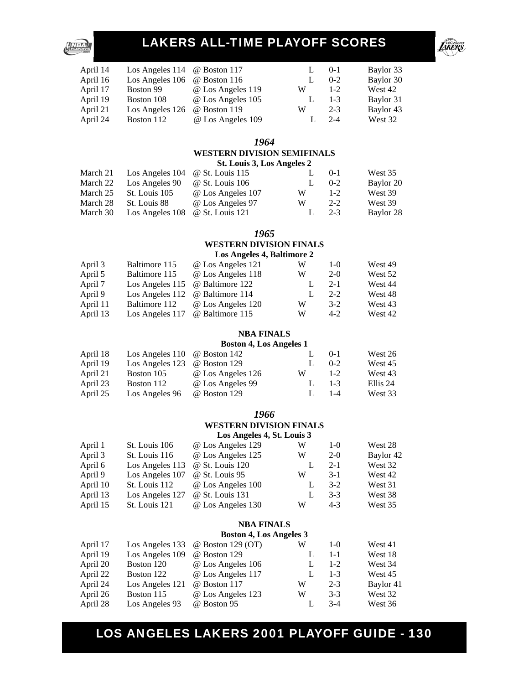

|                 |                   |                                     | $0-1$   | Baylor 33 |
|-----------------|-------------------|-------------------------------------|---------|-----------|
| Los Angeles 106 | @ Boston 116      |                                     | $0 - 2$ | Baylor 30 |
| Boston 99       | @ Los Angeles 119 | W                                   | $1 - 2$ | West 42   |
| Boston 108      | @ Los Angeles 105 |                                     | $1 - 3$ | Baylor 31 |
| Los Angeles 126 | @ Boston 119      | w                                   | $2 - 3$ | Baylor 43 |
| Boston 112      | @ Los Angeles 109 |                                     | $2 - 4$ | West 32   |
|                 |                   | Los Angeles 114 $\omega$ Boston 117 |         |           |

#### *1964*

#### **WESTERN DIVISION SEMIFINALS**

|          | St. Louis 3, Los Angeles 2 |                   |   |         |           |
|----------|----------------------------|-------------------|---|---------|-----------|
| March 21 | Los Angeles 104            | @ St. Louis 115   |   | $0-1$   | West 35   |
| March 22 | Los Angeles 90             | @ St. Louis 106   |   | $0 - 2$ | Baylor 20 |
| March 25 | St. Louis 105              | @ Los Angeles 107 | W | $1 - 2$ | West 39   |
| March 28 | St. Louis 88               | @ Los Angeles 97  | W | $2 - 2$ | West 39   |
| March 30 | Los Angeles 108            | @ St. Louis 121   |   | $2 - 3$ | Baylor 28 |

#### *1965*

#### **WESTERN DIVISION FINALS Los Angeles 4, Baltimore 2**

| April 3  | Baltimore 115   | @ Los Angeles 121 | W | $1 - 0$ | West 49 |
|----------|-----------------|-------------------|---|---------|---------|
| April 5  | Baltimore 115   | @ Los Angeles 118 | W | $2-0$   | West 52 |
| April 7  | Los Angeles 115 | @ Baltimore 122   |   | $2 - 1$ | West 44 |
| April 9  | Los Angeles 112 | @ Baltimore 114   |   | $2 - 2$ | West 48 |
| April 11 | Baltimore 112   | @ Los Angeles 120 | W | $3-2$   | West 43 |
| April 13 | Los Angeles 117 | @ Baltimore 115   | W | $4-2$   | West 42 |

#### **NBA FINALS**

#### **Boston 4, Los Angeles 1**

| April 18 | Los Angeles $110 \quad \omega$ Boston 142 |                   | L. | $0-1$   | West 26  |
|----------|-------------------------------------------|-------------------|----|---------|----------|
| April 19 | Los Angeles 123                           | @ Boston 129      |    | $0 - 2$ | West 45  |
| April 21 | Boston 105                                | @ Los Angeles 126 | W  | $1 - 2$ | West 43  |
| April 23 | Boston 112                                | @ Los Angeles 99  | L. | $1 - 3$ | Ellis 24 |
| April 25 | Los Angeles 96                            | @ Boston 129      |    | $1 - 4$ | West 33  |

#### *1966*

#### **WESTERN DIVISION FINALS Los Angeles 4, St. Louis 3**

| April 1  | St. Louis 106   | @ Los Angeles 129 | W | $1-0$   | West 28   |
|----------|-----------------|-------------------|---|---------|-----------|
| April 3  | St. Louis 116   | @ Los Angeles 125 | W | $2-0$   | Baylor 42 |
| April 6  | Los Angeles 113 | @ St. Louis 120   |   | $2 - 1$ | West 32   |
| April 9  | Los Angeles 107 | @ St. Louis 95    | W | $3-1$   | West 42   |
| April 10 | St. Louis 112   | @ Los Angeles 100 |   | $3-2$   | West 31   |
| April 13 | Los Angeles 127 | @ St. Louis 131   |   | $3-3$   | West 38   |
| April 15 | St. Louis 121   | @ Los Angeles 130 | W | $4 - 3$ | West 35   |

#### **NBA FINALS**

#### **Boston 4, Los Angeles 3**

| April 17 |                 | Los Angeles 133 $\circledcirc$ Boston 129 (OT) | W | $1-0$   | West 41   |
|----------|-----------------|------------------------------------------------|---|---------|-----------|
| April 19 | Los Angeles 109 | @ Boston 129                                   |   | $1 - 1$ | West 18   |
| April 20 | Boston 120      | @ Los Angeles 106                              |   | $1 - 2$ | West 34   |
| April 22 | Boston 122      | @ Los Angeles 117                              |   | $1 - 3$ | West 45   |
| April 24 | Los Angeles 121 | @ Boston 117                                   | W | $2 - 3$ | Baylor 41 |
| April 26 | Boston 115      | @ Los Angeles 123                              | W | $3-3$   | West 32   |
| April 28 | Los Angeles 93  | @ Boston 95                                    |   | $3-4$   | West 36   |
|          |                 |                                                |   |         |           |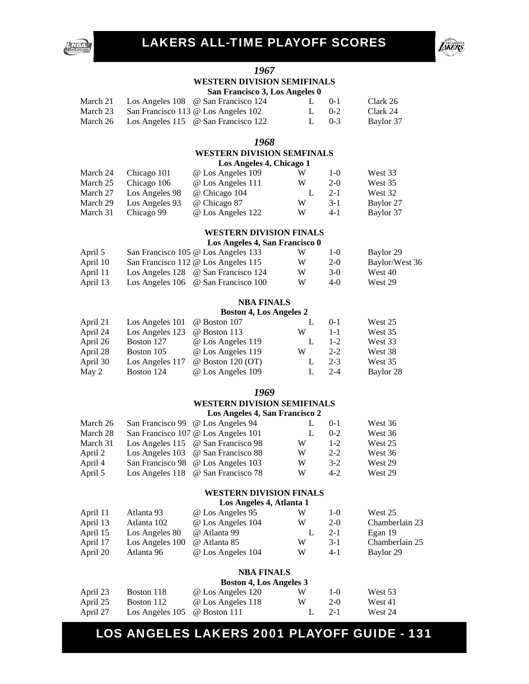





#### *1967*  **WESTERN DIVISION SEMIFINALS San Francisco 3, Los Angeles 0**

|  | San Francisco 3, Los Angeles 0 |                                              |      |  |                   |  |  |  |
|--|--------------------------------|----------------------------------------------|------|--|-------------------|--|--|--|
|  |                                | March 21 Los Angeles 108 @ San Francisco 124 | 1.01 |  | Clark 26          |  |  |  |
|  |                                | $\alpha$ $\Gamma$ $(10.01 \pm 1.00)$         |      |  | $\sim$ 1 $\sim$ 4 |  |  |  |

| March 23 San Francisco 113 @ Los Angeles 102 |         | $1.0 - 2$ | Clark 24  |
|----------------------------------------------|---------|-----------|-----------|
| March 26 Los Angeles 115 @ San Francisco 122 | $1.0-3$ |           | Baylor 37 |

#### *1968*

### **WESTERN DIVISION SEMFINALS**

|          |                | Los Angeles 4, Chicago 1 |   |         |           |  |
|----------|----------------|--------------------------|---|---------|-----------|--|
| March 24 | Chicago 101    | @ Los Angeles 109        | W | $1-()$  | West 33   |  |
| March 25 | Chicago 106    | @ Los Angeles 111        | W | $2-0$   | West 35   |  |
| March 27 | Los Angeles 98 | @ Chicago 104            |   | $2 - 1$ | West 32   |  |
| March 29 | Los Angeles 93 | @ Chicago 87             | W | $3 - 1$ | Baylor 27 |  |
| March 31 | Chicago 99     | @ Los Angeles 122        | W | $4-1$   | Baylor 37 |  |

#### **WESTERN DIVISION FINALS**

### **Los Angeles 4, San Francisco 0**

| April 5  | San Francisco 105 @ Los Angeles 133                         | W | $1-()$ | Baylor 29      |
|----------|-------------------------------------------------------------|---|--------|----------------|
| April 10 | San Francisco 112 @ Los Angeles 115                         | W | $2-0$  | Baylor/West 36 |
| April 11 | Los Angeles 128 @ San Francisco 124                         | W | $3-0$  | West 40        |
| April 13 | Los Angeles $106 \quad \textcircled{e}$ San Francisco $100$ | W | $4-0$  | West 29        |

#### **NBA FINALS**

#### **Boston 4, Los Angeles 2**

|                 |                     |                                                      | $0-1$   | West 25   |
|-----------------|---------------------|------------------------------------------------------|---------|-----------|
| Los Angeles 123 | @ Boston 113        | W                                                    | $1 - 1$ | West 35   |
| Boston 127      | @ Los Angeles 119   |                                                      | $1 - 2$ | West 33   |
| Boston 105      | @ Los Angeles 119   | W                                                    | $2 - 2$ | West 38   |
| Los Angeles 117 | $@$ Boston 120 (OT) |                                                      | $2 - 3$ | West 35   |
| Boston 124      | @ Los Angeles 109   |                                                      | $2 - 4$ | Baylor 28 |
|                 |                     | Los Angeles $101 \quad \textcircled{e}$ Boston $107$ |         |           |

#### *1969*

#### **WESTERN DIVISION SEMIFINALS**

#### **Los Angeles 4, San Francisco 2**

| March 26 | San Francisco 99 @ Los Angeles 94   |   | $0-1$   | West 36 |
|----------|-------------------------------------|---|---------|---------|
| March 28 | San Francisco 107 @ Los Angeles 101 |   | $0 - 2$ | West 36 |
| March 31 | Los Angeles 115 @ San Francisco 98  | W | $1 - 2$ | West 25 |
| April 2  | Los Angeles 103 @ San Francisco 88  | W | $2 - 2$ | West 36 |
| April 4  | San Francisco 98 @ Los Angeles 103  | W | $3-2$   | West 29 |
| April 5  | Los Angeles 118 @ San Francisco 78  | W | $4-2$   | West 29 |

#### **WESTERN DIVISION FINALS**

#### **Los Angeles 4, Atlanta 1**

| April 11 | Atlanta 93      | @ Los Angeles 95  | W | $1-()$  | West 25        |
|----------|-----------------|-------------------|---|---------|----------------|
| April 13 | Atlanta 102     | @ Los Angeles 104 | W | $2-0$   | Chamberlain 23 |
| April 15 | Los Angeles 80  | @ Atlanta 99      |   | $2 - 1$ | Egan 19        |
| April 17 | Los Angeles 100 | @ Atlanta 85      | W | $3-1$   | Chamberlain 25 |
| April 20 | Atlanta 96      | @ Los Angeles 104 | W | 4-1     | Baylor 29      |

#### **NBA FINALS**

|          |                                           | <b>Boston 4, Los Angeles 3</b> |    |         |         |
|----------|-------------------------------------------|--------------------------------|----|---------|---------|
| April 23 | Boston 118                                | @ Los Angeles 120              | W  | $1-()$  | West 53 |
| April 25 | Boston 112                                | @ Los Angeles 118              | W  | $2-0$   | West 41 |
| April 27 | Los Angeles $105 \quad \omega$ Boston 111 |                                | Ъ. | $2 - 1$ | West 24 |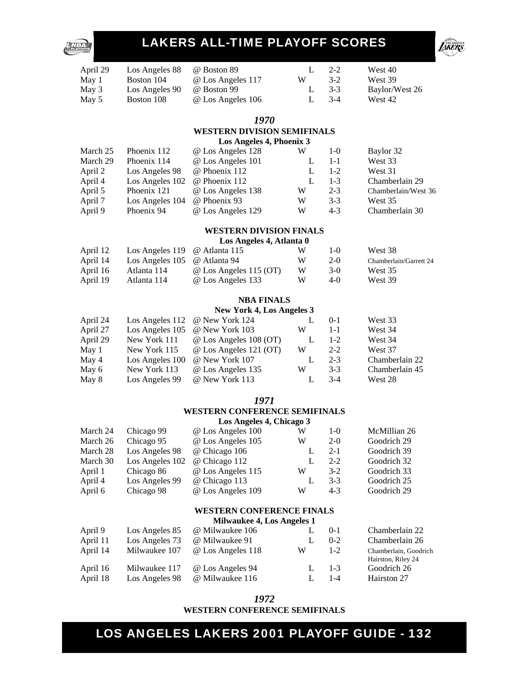

| April 29 | Los Angeles 88 | @ Boston 89       |   | $2 - 2$ | West 40        |
|----------|----------------|-------------------|---|---------|----------------|
| May 1    | Boston 104     | @ Los Angeles 117 | W | $3-2$   | West 39        |
| May 3    | Los Angeles 90 | @ Boston 99       |   | $3-3$   | Baylor/West 26 |
| May 5    | Boston 108     | @ Los Angeles 106 |   | $3-4$   | West 42        |

#### *1970*

#### **WESTERN DIVISION SEMIFINALS Los Angeles 4, Phoenix 3**

|          |                 | <b>EVALUED A</b> HOUSE OF |   |         |                     |
|----------|-----------------|---------------------------|---|---------|---------------------|
| March 25 | Phoenix 112     | @ Los Angeles 128         | W | $1-0$   | Baylor 32           |
| March 29 | Phoenix 114     | @ Los Angeles 101         |   | $1 - 1$ | West 33             |
| April 2  | Los Angeles 98  | @ Phoenix 112             |   | $1 - 2$ | West 31             |
| April 4  | Los Angeles 102 | @ Phoenix 112             |   | $1 - 3$ | Chamberlain 29      |
| April 5  | Phoenix 121     | @ Los Angeles 138         | W | $2 - 3$ | Chamberlain/West 36 |
| April 7  | Los Angeles 104 | @ Phoenix 93              | W | $3-3$   | West 35             |
| April 9  | Phoenix 94      | @ Los Angeles 129         | W | $4 - 3$ | Chamberlain 30      |
|          |                 |                           |   |         |                     |

#### **WESTERN DIVISION FINALS**

|          |                                           | Los Angeles 4, Atlanta 0      |   |        |                        |
|----------|-------------------------------------------|-------------------------------|---|--------|------------------------|
| April 12 | Los Angeles $119$ @ Atlanta $115$         |                               | W | $1-()$ | West 38                |
| April 14 | Los Angeles $105 \quad \omega$ Atlanta 94 |                               | W | $2-0$  | Chamberlain/Garrett 24 |
| April 16 | Atlanta 114                               | $\omega$ Los Angeles 115 (OT) | W | $3-0$  | West 35                |
| April 19 | Atlanta 114                               | @ Los Angeles 133             | W | $4-0$  | West 39                |

#### **NBA FINALS**

#### **New York 4, Los Angeles 3**

| April 24 | Los Angeles 112 @ New York 124         |   | $0-1$   | West 33        |  |  |
|----------|----------------------------------------|---|---------|----------------|--|--|
| April 27 | @ New York 103<br>Los Angeles 105      | W | $1 - 1$ | West 34        |  |  |
| April 29 | @ Los Angeles 108 (OT)<br>New York 111 |   | $1 - 2$ | West 34        |  |  |
| May 1    | @ Los Angeles 121 (OT)<br>New York 115 | W | $2 - 2$ | West 37        |  |  |
| May 4    | @ New York 107<br>Los Angeles 100      |   | $2 - 3$ | Chamberlain 22 |  |  |
| May 6    | New York 113<br>@ Los Angeles 135      | W | $3-3$   | Chamberlain 45 |  |  |
| May 8    | @ New York 113<br>Los Angeles 99       |   | $3-4$   | West 28        |  |  |
|          |                                        |   |         |                |  |  |

#### *1971*

#### **WESTERN CONFERENCE SEMIFINALS Los Angeles 4, Chicago 3**

|          | $200$ $\ldots$ $200$ $\ldots$ $200$ |                   |   |         |              |  |
|----------|-------------------------------------|-------------------|---|---------|--------------|--|
| March 24 | Chicago 99                          | @ Los Angeles 100 | W | $1-0$   | McMillian 26 |  |
| March 26 | Chicago 95                          | @ Los Angeles 105 | W | $2-0$   | Goodrich 29  |  |
| March 28 | Los Angeles 98                      | @ Chicago 106     |   | $2 - 1$ | Goodrich 39  |  |
| March 30 | Los Angeles 102                     | @ Chicago 112     |   | $2 - 2$ | Goodrich 32  |  |
| April 1  | Chicago 86                          | @ Los Angeles 115 | W | $3-2$   | Goodrich 33  |  |
| April 4  | Los Angeles 99                      | @ Chicago 113     |   | $3-3$   | Goodrich 25  |  |
| April 6  | Chicago 98                          | @ Los Angeles 109 | W | $4 - 3$ | Goodrich 29  |  |
|          |                                     |                   |   |         |              |  |

#### **WESTERN CONFERENCE FINALS**

#### **Milwaukee 4, Los Angeles 1**

| April 9  | Los Angeles 85 | @ Milwaukee 106   | L | $0 - 1$ | Chamberlain     |
|----------|----------------|-------------------|---|---------|-----------------|
| April 11 | Los Angeles 73 | @ Milwaukee 91    |   | $0 - 2$ | Chamberlain     |
| April 14 | Milwaukee 107  | @ Los Angeles 118 | W | $1-2$   | Chamberlain, C  |
|          |                |                   |   |         | Hairston, Riley |
| April 16 | Milwaukee 117  | @ Los Angeles 94  | L | $1 - 3$ | Goodrich 26     |
| April 18 | Los Angeles 98 | @ Milwaukee 116   |   | $1 - 4$ | Hairston 27     |
|          |                |                   |   |         |                 |

*1972*  **WESTERN CONFERENCE SEMIFINALS**  Chamberlain 22 Chamberlain 26 Chamberlain, Goodrich Hairston, Riley 24 Goodrich 26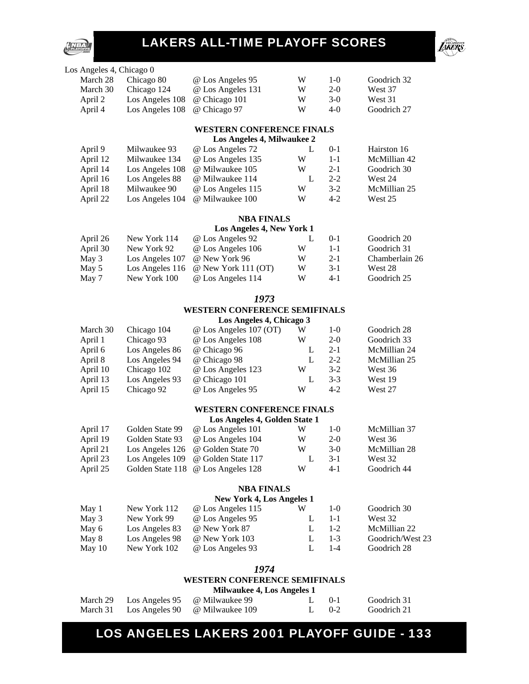



| Los Angeles 4, Chicago 0 |                              |                   |   |        |             |
|--------------------------|------------------------------|-------------------|---|--------|-------------|
| March 28                 | Chicago 80                   | @ Los Angeles 95  | W | $1-()$ | Goodrich 32 |
| March 30                 | Chicago 124                  | @ Los Angeles 131 | W | $2-0$  | West 37     |
| April 2                  | Los Angeles 108              | @ Chicago 101     | W | $3-0$  | West 31     |
| April 4                  | Los Angeles 108 @ Chicago 97 |                   | W | $4-0$  | Goodrich 27 |
|                          |                              |                   |   |        |             |

#### **WESTERN CONFERENCE FINALS Los Angeles 4, Milwaukee 2**

|          | LOS Allgeles 4, Millwaukee $\Delta$ |                   |   |          |              |  |  |
|----------|-------------------------------------|-------------------|---|----------|--------------|--|--|
| April 9  | Milwaukee 93                        | @ Los Angeles 72  |   | $() - 1$ | Hairston 16  |  |  |
| April 12 | Milwaukee 134                       | @ Los Angeles 135 | W | $1 - 1$  | McMillian 42 |  |  |
| April 14 | Los Angeles 108                     | @ Milwaukee 105   | W | $2 - 1$  | Goodrich 30  |  |  |
| April 16 | Los Angeles 88                      | @ Milwaukee 114   |   | $2 - 2$  | West 24      |  |  |
| April 18 | Milwaukee 90                        | @ Los Angeles 115 | W | $3-2$    | McMillian 25 |  |  |
| April 22 | Los Angeles 104                     | @ Milwaukee 100   | W | $4 - 2$  | West 25      |  |  |
|          |                                     |                   |   |          |              |  |  |

#### **NBA FINALS**

#### **Los Angeles 4, New York 1**

| April 26 | New York 114    | @ Los Angeles 92                           |   | $() - 1$ | Goodrich 20    |
|----------|-----------------|--------------------------------------------|---|----------|----------------|
| April 30 | New York 92     | @ Los Angeles 106                          | W | $1 - 1$  | Goodrich 31    |
| May 3    | Los Angeles 107 | @ New York 96                              | W | $2 - 1$  | Chamberlain 26 |
| May 5    |                 | Los Angeles 116 $\omega$ New York 111 (OT) | W | $3-1$    | West 28        |
| May 7    | New York 100    | @ Los Angeles 114                          | W | $4-1$    | Goodrich 25    |

#### *1973*

#### **WESTERN CONFERENCE SEMIFINALS**

**Los Angeles 4, Chicago 3** 

| March 30 | Chicago 104    | @ Los Angeles 107 (OT) | W | $1 - 0$ | Goodrich 28  |
|----------|----------------|------------------------|---|---------|--------------|
| April 1  | Chicago 93     | @ Los Angeles 108      | W | $2-0$   | Goodrich 33  |
| April 6  | Los Angeles 86 | @ Chicago 96           |   | $2 - 1$ | McMillian 24 |
| April 8  | Los Angeles 94 | @ Chicago 98           |   | $2 - 2$ | McMillian 25 |
| April 10 | Chicago 102    | @ Los Angeles 123      | W | $3-2$   | West 36      |
| April 13 | Los Angeles 93 | @ Chicago 101          |   | $3-3$   | West 19      |
| April 15 | Chicago 92     | @ Los Angeles 95       | W | $4-2$   | West 27      |

#### **WESTERN CONFERENCE FINALS**

**Los Angeles 4, Golden State 1** 

| April 17 | Golden State 99 | @ Los Angeles 101                  | W | $1-()$  | McMillian 37 |
|----------|-----------------|------------------------------------|---|---------|--------------|
| April 19 | Golden State 93 | @ Los Angeles 104                  | W | $2-0$   | West 36      |
| April 21 |                 | Los Angeles 126 @ Golden State 70  | W | $3-0$   | McMillian 28 |
| April 23 |                 | Los Angeles 109 @ Golden State 117 |   | $3-1$   | West 32      |
| April 25 |                 | Golden State 118 @ Los Angeles 128 | W | $4 - 1$ | Goodrich 44  |

#### **NBA FINALS**

#### **New York 4, Los Angeles 1**

| May 1    |              |                                                  | W                                                                                            | $1-()$  | Goodrich 30      |
|----------|--------------|--------------------------------------------------|----------------------------------------------------------------------------------------------|---------|------------------|
| May 3    | New York 99  |                                                  |                                                                                              | $1 - 1$ | West 32          |
| May 6    |              |                                                  |                                                                                              | $1 - 2$ | McMillian 22     |
| May 8    |              |                                                  |                                                                                              | $1 - 3$ | Goodrich/West 23 |
| May $10$ | New York 102 |                                                  |                                                                                              | $1 - 4$ | Goodrich 28      |
|          |              | New York 112<br>Los Angeles 83<br>Los Angeles 98 | @ Los Angeles 115<br>@ Los Angeles 95<br>@ New York 87<br>@ New York 103<br>@ Los Angeles 93 |         |                  |

#### *1974*

#### **WESTERN CONFERENCE SEMIFINALS**

| <b>Milwaukee 4, Los Angeles 1</b> |  |  |  |  |  |
|-----------------------------------|--|--|--|--|--|
|-----------------------------------|--|--|--|--|--|

|  | March 29 Los Angeles 95 @ Milwaukee 99  | $1.0 - -1$ | Goodrich 31 |
|--|-----------------------------------------|------------|-------------|
|  | March 31 Los Angeles 90 @ Milwaukee 109 | $1.0 - 2$  | Goodrich 21 |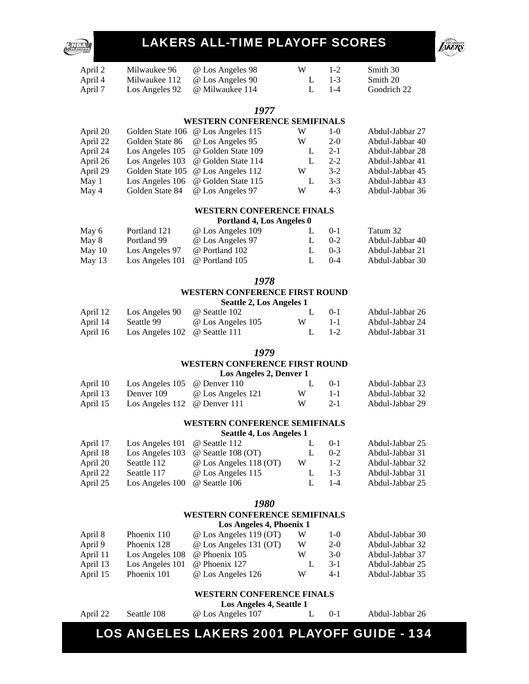

| April 2 | Milwaukee 96  | @ Los Angeles 98                      | W | $1-2$   | Smith 30    |
|---------|---------------|---------------------------------------|---|---------|-------------|
| April 4 | Milwaukee 112 | @ Los Angeles 90                      |   | 1.13    | Smith 20    |
| April 7 |               | Los Angeles 92 <i>@</i> Milwaukee 114 |   | $1 - 4$ | Goodrich 22 |

#### *1977*

#### **WESTERN CONFERENCE SEMIFINALS**

| April 20 | Golden State 106 @ Los Angeles 115 | W | $1-0$   | Abdul-Jabbar 27 |
|----------|------------------------------------|---|---------|-----------------|
| April 22 | Golden State 86 @ Los Angeles 95   | W | $2-0$   | Abdul-Jabbar 40 |
| April 24 | Los Angeles 105 @ Golden State 109 |   | $2 - 1$ | Abdul-Jabbar 28 |
| April 26 | Los Angeles 103 @ Golden State 114 |   | $2 - 2$ | Abdul-Jabbar 41 |
| April 29 | Golden State 105 @ Los Angeles 112 | W | $3-2$   | Abdul-Jabbar 45 |
| May 1    | Los Angeles 106 @ Golden State 115 |   | $3-3$   | Abdul-Jabbar 43 |
| May 4    | Golden State 84 @ Los Angeles 97   | W | $4 - 3$ | Abdul-Jabbar 36 |

#### **WESTERN CONFERENCE FINALS**

**Portland 4, Los Angeles 0** 

| May 6  | Portland 121                                           | @ Los Angeles 109 |              | $() - 1$  | Tatum 32        |
|--------|--------------------------------------------------------|-------------------|--------------|-----------|-----------------|
| May 8  | Portland 99                                            | @ Los Angeles 97  | $\mathbf{L}$ | $0 - 2$   | Abdul-Jabbar 40 |
| May 10 | Los Angeles 97                                         | @ Portland 102    | $\mathbf{L}$ | $(1) - 3$ | Abdul-Jabbar 21 |
| May 13 | Los Angeles $101 \quad \textcircled{e}$ Portland $105$ |                   |              | $(1) - 4$ | Abdul-Jabbar 30 |

*1978* 

#### **WESTERN CONFERENCE FIRST ROUND**

**Seattle 2, Los Angeles 1** 

| April 12 | Los Angeles 90 @ Seattle 102               |                   |   | $1.0 - 0.1$ | Abdul-Jabbar 26 |
|----------|--------------------------------------------|-------------------|---|-------------|-----------------|
| April 14 | Seattle 99                                 | @ Los Angeles 105 | W | $1 - 1$     | Abdul-Jabbar 24 |
| April 16 | Los Angeles $102 \quad \omega$ Seattle 111 |                   |   | $1. 1-2.$   | Abdul-Jabbar 31 |

#### *1979*

#### **WESTERN CONFERENCE FIRST ROUND Los Angeles 2, Denver 1**

| April 10 | Los Angeles $105 \quad \textcircled{e}$ Denver $110 \quad$ |                   |    | $1.0$ $0-1$ | Abdul-Jabbar 23 |
|----------|------------------------------------------------------------|-------------------|----|-------------|-----------------|
| April 13 | Denver 109                                                 | @ Los Angeles 121 | W. | $1 - 1$     | Abdul-Jabbar 32 |
| April 15 | Los Angeles 112 $\omega$ Denver 111                        |                   | W. | $2-1$       | Abdul-Jabbar 29 |

#### **WESTERN CONFERENCE SEMIFINALS**

**Seattle 4, Los Angeles 1** 

|                 |                        |                               | $0-1$   | Abdul-Jabbar 25 |
|-----------------|------------------------|-------------------------------|---------|-----------------|
| Los Angeles 103 | @ Seattle 108 (OT)     |                               | $0 - 2$ | Abdul-Jabbar 31 |
| Seattle 112     | @ Los Angeles 118 (OT) | W                             | $1-2$   | Abdul-Jabbar 32 |
| Seattle 117     | @ Los Angeles 115      | $\mathbf{L}$                  | $1 - 3$ | Abdul-Jabbar 31 |
| Los Angeles 100 | @ Seattle 106          |                               | $1 - 4$ | Abdul-Jabbar 25 |
|                 |                        | Los Angeles 101 @ Seattle 112 |         |                 |

#### *1980*

#### **WESTERN CONFERENCE SEMIFINALS**

| Los Angeles 4, Phoenix 1 |                 |                               |   |       |                 |  |  |
|--------------------------|-----------------|-------------------------------|---|-------|-----------------|--|--|
| April 8                  | Phoenix 110     | @ Los Angeles 119 (OT)        | W | 1-0   | Abdul-Jabbar 30 |  |  |
| April 9                  | Phoenix 128     | $\omega$ Los Angeles 131 (OT) | W | $2-0$ | Abdul-Jabbar 32 |  |  |
| April 11                 | Los Angeles 108 | @ Phoenix 105                 | W | $3-0$ | Abdul-Jabbar 37 |  |  |
| April 13                 | Los Angeles 101 | @ Phoenix 127                 |   | $3-1$ | Abdul-Jabbar 25 |  |  |
| April 15                 | Phoenix 101     | @ Los Angeles 126             | W | $4-1$ | Abdul-Jabbar 35 |  |  |

#### **WESTERN CONFERENCE FINALS**

**Los Angeles 4, Seattle 1** 

April 22 Seattle 108 @ Los Angeles 107 L 0-1 Abdul-Jabbar 26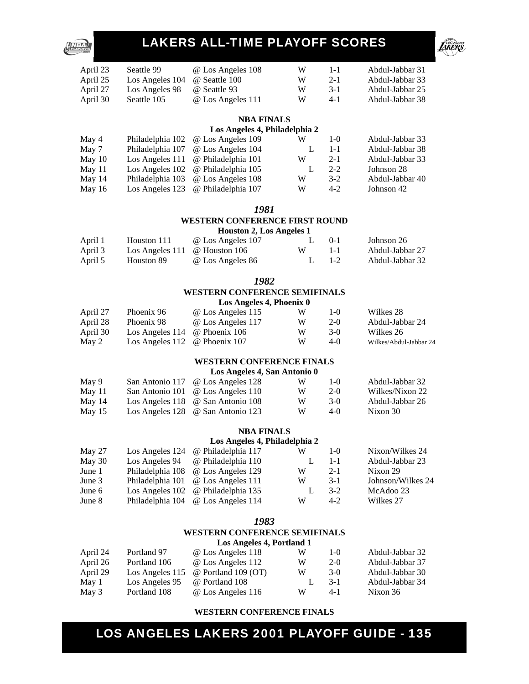

| April 23 | Seattle 99      | @ Los Angeles 108 | W | $1 - 1$ | Abdul-Jabbar 31 |
|----------|-----------------|-------------------|---|---------|-----------------|
| April 25 | Los Angeles 104 | @ Seattle 100     | W | $2-1$   | Abdul-Jabbar 33 |
| April 27 | Los Angeles 98  | @ Seattle 93      | W | $3-1$   | Abdul-Jabbar 25 |
| April 30 | Seattle 105     | @ Los Angeles 111 | W | $4 - 1$ | Abdul-Jabbar 38 |

#### **NBA FINALS**

#### **Los Angeles 4, Philadelphia 2**

| May 4    | Philadelphia 102 @ Los Angeles 109                       | W | $1 - \Omega$ | Abdul-Jabbar 33 |
|----------|----------------------------------------------------------|---|--------------|-----------------|
| May 7    | Philadelphia 107 @ Los Angeles 104                       |   | $1 - 1$      | Abdul-Jabbar 38 |
| May 10   | Los Angeles $111 \quad \textcircled{e}$ Philadelphia 101 | w | $2 - 1$      | Abdul-Jabbar 33 |
| May 11   | Los Angeles $102 \quad \omega$ Philadelphia $105$        |   | $2 - 2$      | Johnson 28      |
| May $14$ | Philadelphia 103 @ Los Angeles 108                       | W | $3-2$        | Abdul-Jabbar 40 |
| May $16$ | Los Angeles 123 @ Philadelphia 107                       | W | $4 - 2$      | Johnson 42      |

*1981* 

### **WESTERN CONFERENCE FIRST ROUND**

**Houston 2, Los Angeles 1** 

| April 1 | Houston 111                                         | @ Los Angeles 107 |   | $() - 1$ | Johnson 26      |
|---------|-----------------------------------------------------|-------------------|---|----------|-----------------|
| April 3 | Los Angeles $111 \quad \textcircled{e}$ Houston 106 |                   | W | $1 - 1$  | Abdul-Jabbar 27 |
| April 5 | Houston 89                                          | @ Los Angeles 86  |   | $1-2$    | Abdul-Jabbar 32 |

### *1982*  **WESTERN CONFERENCE SEMIFINALS**

| April 27 | Phoenix 96                                 | @ Los Angeles 115 |   | $1-()$ | Wilkes 28       |
|----------|--------------------------------------------|-------------------|---|--------|-----------------|
| April 28 | Phoenix 98                                 | @ Los Angeles 117 | W | $2-0$  | Abdul-Jabbar 24 |
| April 30 | Los Angeles $114 \quad \omega$ Phoenix 106 |                   | W | 3-Q    | Wilkes 26       |

|       | $1.1$ pm 50 $-$ 1000 $1.1$ $\mu$ <sub>1</sub> $\mu$ <sub>1</sub> $\mu$ <sub>0</sub> $\mu$ <sub>1</sub> $\mu$ <sub>0</sub> $\mu$ <sub>1</sub> $\mu$ <sub>0</sub> |   |        | $\cdots$               |
|-------|-----------------------------------------------------------------------------------------------------------------------------------------------------------------|---|--------|------------------------|
| May 2 | Los Angeles 112 $\omega$ Phoenix 107                                                                                                                            | W | $4-()$ | Wilkes/Abdul-Jabbar 24 |
|       |                                                                                                                                                                 |   |        |                        |

#### **WESTERN CONFERENCE FINALS Los Angeles 4, San Antonio 0**

|          | $\log$ Aligencs $\pi$ , ball Alitonity $\theta$ |                                                |   |        |                 |  |
|----------|-------------------------------------------------|------------------------------------------------|---|--------|-----------------|--|
| May 9    |                                                 | San Antonio 117 @ Los Angeles 128              | W | $1-()$ | Abdul-Jabbar 32 |  |
| May 11   |                                                 | San Antonio 101 @ Los Angeles 110              | W | $2-0$  | Wilkes/Nixon 22 |  |
| May $14$ |                                                 | Los Angeles $118 \quad \omega$ San Antonio 108 | W | $3-0$  | Abdul-Jabbar 26 |  |
| May $15$ |                                                 | Los Angeles $128 \quad \omega$ San Antonio 123 | W | $4-0$  | Nixon 30        |  |

#### **NBA FINALS**

#### **Los Angeles 4, Philadelphia 2**

| May 27 | Los Angeles 124 @ Philadelphia 117       | W | $1 - \Omega$ | Nixon/Wilkes 24   |
|--------|------------------------------------------|---|--------------|-------------------|
| May 30 | Los Angeles 94 $\omega$ Philadelphia 110 |   | $1 - 1$      | Abdul-Jabbar 23   |
| June 1 | Philadelphia 108 @ Los Angeles 129       | W | $2 - 1$      | Nixon 29          |
| June 3 | Philadelphia 101 @ Los Angeles 111       | W | $3-1$        | Johnson/Wilkes 24 |
| June 6 | Los Angeles 102 @ Philadelphia 135       |   | $3-2$        | McAdoo 23         |
| June 8 | Philadelphia 104 @ Los Angeles 114       | W | $4-2$        | Wilkes 27         |
|        |                                          |   |              |                   |

#### *1983*

#### **WESTERN CONFERENCE SEMIFINALS Los Angeles 4, Portland 1**

| LOS Aligeres 4, Portianu 1 |                 |                            |   |        |                 |
|----------------------------|-----------------|----------------------------|---|--------|-----------------|
| April 24                   | Portland 97     | @ Los Angeles 118          | w | $1-()$ | Abdul-Jabbar 32 |
| April 26                   | Portland 106    | @ Los Angeles 112          | W | $2-0$  | Abdul-Jabbar 37 |
| April 29                   | Los Angeles 115 | $\omega$ Portland 109 (OT) | W | $3-0$  | Abdul-Jabbar 30 |
| May 1                      | Los Angeles 95  | @ Portland 108             |   | $3-1$  | Abdul-Jabbar 34 |
| May 3                      | Portland 108    | @ Los Angeles 116          | W | 4-1    | Nixon 36        |

#### **WESTERN CONFERENCE FINALS**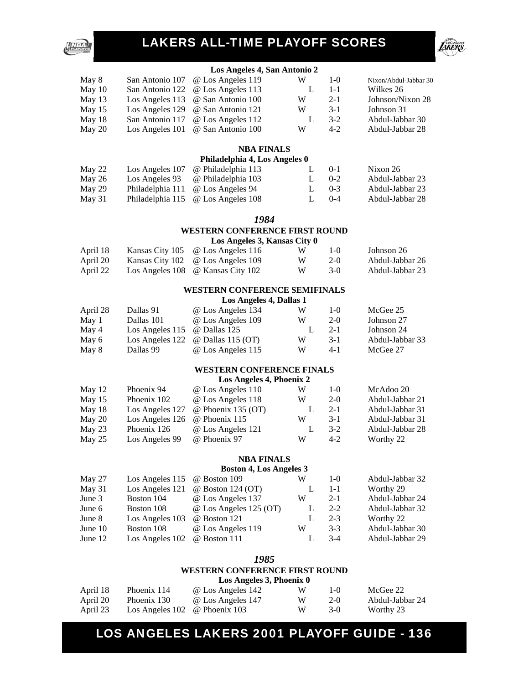#### **Los Angeles 4, San Antonio 2**

**LIKERS** 

| May 8    | San Antonio 107 @ Los Angeles 119         | W | $1-0$   | Nixon/Abdul-Jabbar 30 |
|----------|-------------------------------------------|---|---------|-----------------------|
| May 10   | San Antonio 122 @ Los Angeles 113         |   | $1 - 1$ | Wilkes 26             |
| May $13$ | Los Angeles 113 $\circ$ San Antonio 100   | W | $2 - 1$ | Johnson/Nixon 28      |
| May $15$ | Los Angeles 129 $\oslash$ San Antonio 121 | W | $3-1$   | Johnson 31            |
| May 18   | San Antonio 117 @ Los Angeles 112         | L | $3-2$   | Abdul-Jabbar 30       |
| May 20   | Los Angeles 101 @ San Antonio 100         | W | $4-2$   | Abdul-Jabbar 28       |
|          |                                           |   |         |                       |

#### **NBA FINALS**

#### **Philadelphia 4, Los Angeles 0**

| May 22 |                | Los Angeles 107 @ Philadelphia 113        |  | $() - 1$    | Nixon 26        |
|--------|----------------|-------------------------------------------|--|-------------|-----------------|
| May 26 | Los Angeles 93 | @ Philadelphia 103                        |  | $1.0 - -2.$ | Abdul-Jabbar 23 |
| May 29 |                | Philadelphia 111 @ Los Angeles 94         |  | $1.0-3$     | Abdul-Jabbar 23 |
| May 31 |                | Philadelphia 115 $\omega$ Los Angeles 108 |  | $0 - 4$     | Abdul-Jabbar 28 |

#### *1984*

#### **WESTERN CONFERENCE FIRST ROUND**

#### **Los Angeles 3, Kansas City 0**

| April 18 | Kansas City 105 @ Los Angeles 116 | W. | $1-(1)$ | Johnson 26      |
|----------|-----------------------------------|----|---------|-----------------|
| April 20 | Kansas City 102 @ Los Angeles 109 | W. | $2-0$   | Abdul-Jabbar 26 |
| April 22 | Los Angeles 108 @ Kansas City 102 | W. | $3-0$   | Abdul-Jabbar 23 |

#### **WESTERN CONFERENCE SEMIFINALS**

#### **Los Angeles 4, Dallas 1**

| April 28 | Dallas 91                                   | @ Los Angeles 134                        | W | $1-0$   | McGee 25        |
|----------|---------------------------------------------|------------------------------------------|---|---------|-----------------|
| May 1    | Dallas 101                                  | @ Los Angeles 109                        | W | $2-0$   | Johnson 27      |
| May 4    | Los Angeles $115 \quad \omega$ Dallas $125$ |                                          |   | $2 - 1$ | Johnson 24      |
| May 6    |                                             | Los Angeles 122 $\omega$ Dallas 115 (OT) | W | $3-1$   | Abdul-Jabbar 33 |
| May 8    | Dallas 99                                   | @ Los Angeles 115                        | W | $4 - 1$ | McGee 27        |

#### **WESTERN CONFERENCE FINALS**

#### **Los Angeles 4, Phoenix 2**

| May $12$ | Phoenix 94      | @ Los Angeles 110         | W | $1-0$   | McAdoo 20       |
|----------|-----------------|---------------------------|---|---------|-----------------|
| May $15$ | Phoenix 102     | @ Los Angeles 118         | W | $2-0$   | Abdul-Jabbar 21 |
| May $18$ | Los Angeles 127 | $\omega$ Phoenix 135 (OT) |   | $2 - 1$ | Abdul-Jabbar 31 |
| May 20   | Los Angeles 126 | @ Phoenix 115             | w | $3-1$   | Abdul-Jabbar 31 |
| May 23   | Phoenix 126     | @ Los Angeles 121         |   | $3-2$   | Abdul-Jabbar 28 |
| May $25$ | Los Angeles 99  | @ Phoenix 97              | w | $4-2$   | Worthy 22       |

#### **NBA FINALS**

#### **Boston 4, Los Angeles 3**

| May 27    | Los Angeles 115 $\quad \omega$ Boston 109 |                          | W | $1-0$   | Abdul-Jabbar 32 |
|-----------|-------------------------------------------|--------------------------|---|---------|-----------------|
| May 31    | Los Angeles 121                           | $\omega$ Boston 124 (OT) |   | $1 - 1$ | Worthy 29       |
| June 3    | Boston 104                                | @ Los Angeles 137        | W | $2 - 1$ | Abdul-Jabbar 24 |
| June 6    | Boston 108                                | @ Los Angeles 125 (OT)   |   | $2 - 2$ | Abdul-Jabbar 32 |
| June 8    | Los Angeles 103                           | @ Boston 121             |   | $2 - 3$ | Worthy 22       |
| June $10$ | Boston 108                                | @ Los Angeles 119        | W | $3-3$   | Abdul-Jabbar 30 |
| June $12$ | Los Angeles 102                           | @ Boston 111             |   | $3-4$   | Abdul-Jabbar 29 |

#### *1985*

#### **WESTERN CONFERENCE FIRST ROUND**

|          | Los Angeles 3, Phoenix 0                   |                   |   |        |                 |  |  |  |  |
|----------|--------------------------------------------|-------------------|---|--------|-----------------|--|--|--|--|
| April 18 | Phoenix 114                                | @ Los Angeles 142 | W | $1-()$ | McGee 22        |  |  |  |  |
| April 20 | Phoenix 130                                | @ Los Angeles 147 | W | $2-0$  | Abdul-Jabbar 24 |  |  |  |  |
| April 23 | Los Angeles $102 \quad \omega$ Phoenix 103 |                   | W | $3-0$  | Worthy 23       |  |  |  |  |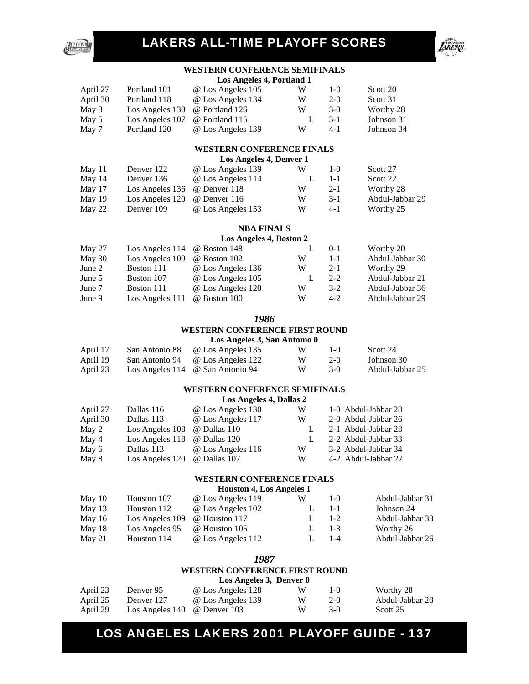



#### **WESTERN CONFERENCE SEMIFINALS**

| April 27 | Portland 101    | @ Los Angeles 105 | W | $1-()$  | Scott 20   |
|----------|-----------------|-------------------|---|---------|------------|
| April 30 | Portland 118    | @ Los Angeles 134 | W | $2-0$   | Scott 31   |
| May 3    | Los Angeles 130 | @ Portland 126    | W | $3-0$   | Worthy 28  |
| May 5    | Los Angeles 107 | @ Portland 115    |   | $3 - 1$ | Johnson 31 |
| May 7    | Portland 120    | @ Los Angeles 139 | W | $4-1$   | Johnson 34 |

#### **WESTERN CONFERENCE FINALS**

**Los Angeles 4, Denver 1** 

| W | $1 - \Omega$                                                | Scott 27        |
|---|-------------------------------------------------------------|-----------------|
|   | $1 - 1$                                                     | Scott 22        |
| W | $2 - 1$                                                     | Worthy 28       |
| W | $3-1$                                                       | Abdul-Jabbar 29 |
| W | $4 - 1$                                                     | Worthy 25       |
|   | @ Los Angeles 139<br>@ Los Angeles 114<br>@ Los Angeles 153 |                 |

#### **NBA FINALS**

#### **Los Angeles 4, Boston 2**

| May 27 | Los Angeles 114 $\quad \omega$ Boston 148 |                   |   | $0-1$   | Worthy 20       |
|--------|-------------------------------------------|-------------------|---|---------|-----------------|
| May 30 | Los Angeles 109                           | @ Boston 102      | W | $1 - 1$ | Abdul-Jabbar 30 |
| June 2 | Boston 111                                | @ Los Angeles 136 | W | $2 - 1$ | Worthy 29       |
| June 5 | Boston 107                                | @ Los Angeles 105 |   | $2 - 2$ | Abdul-Jabbar 21 |
| June 7 | Boston 111                                | @ Los Angeles 120 | W | $3-2$   | Abdul-Jabbar 36 |
| June 9 | Los Angeles 111                           | @ Boston 100      | W | $4-2$   | Abdul-Jabbar 29 |

#### *1986*

#### **WESTERN CONFERENCE FIRST ROUND**

#### **Los Angeles 3, San Antonio 0**

| April 17 | San Antonio 88 <i>@</i> Los Angeles 135       | W | $1-(1)$ | Scott 24        |
|----------|-----------------------------------------------|---|---------|-----------------|
| April 19 | San Antonio 94 @ Los Angeles 122              | W | $2-0$   | Johnson 30      |
| April 23 | Los Angeles 114 $\circledcirc$ San Antonio 94 | W | $3-()$  | Abdul-Jabbar 25 |

#### **WESTERN CONFERENCE SEMIFINALS**

#### **Los Angeles 4, Dallas 2**

| April 27 | Dallas 116                   | @ Los Angeles 130 | W | 1-0 Abdul-Jabbar 28 |
|----------|------------------------------|-------------------|---|---------------------|
| April 30 | Dallas 113                   | @ Los Angeles 117 | W | 2-0 Abdul-Jabbar 26 |
| May 2    | Los Angeles 108 @ Dallas 110 |                   |   | 2-1 Abdul-Jabbar 28 |
| May 4    | Los Angeles 118 @ Dallas 120 |                   |   | 2-2 Abdul-Jabbar 33 |
| May 6    | Dallas 113                   | @ Los Angeles 116 | W | 3-2 Abdul-Jabbar 34 |
| May 8    | Los Angeles 120              | @ Dallas 107      | W | 4-2 Abdul-Jabbar 27 |

#### **WESTERN CONFERENCE FINALS**

#### **Houston 4, Los Angeles 1**

| May 10   | Houston 107     | @ Los Angeles 119 | W | $1-()$  | Abdul-Jabbar 31 |
|----------|-----------------|-------------------|---|---------|-----------------|
| May $13$ | Houston 112     | @ Los Angeles 102 |   | $1 - 1$ | Johnson 24      |
| May $16$ | Los Angeles 109 | @ Houston 117     |   | $1 - 2$ | Abdul-Jabbar 33 |
| May $18$ | Los Angeles 95  | @ Houston 105     |   | $1 - 3$ | Worthy 26       |
| May 21   | Houston 114     | @ Los Angeles 112 |   | 1-4     | Abdul-Jabbar 26 |

#### *1987*

#### **WESTERN CONFERENCE FIRST ROUND**

|          |                                  | Los Angeles 3, Denver 0 |   |              |                 |
|----------|----------------------------------|-------------------------|---|--------------|-----------------|
| April 23 | Denver 95                        | @ Los Angeles 128       | W | $1 - \Omega$ | Worthy 28       |
| April 25 | Denver 127                       | @ Los Angeles 139       | W | $2-0$        | Abdul-Jabbar 28 |
| April 29 | Los Angeles $140$ @ Denver $103$ |                         | W | $3-0$        | Scott 25        |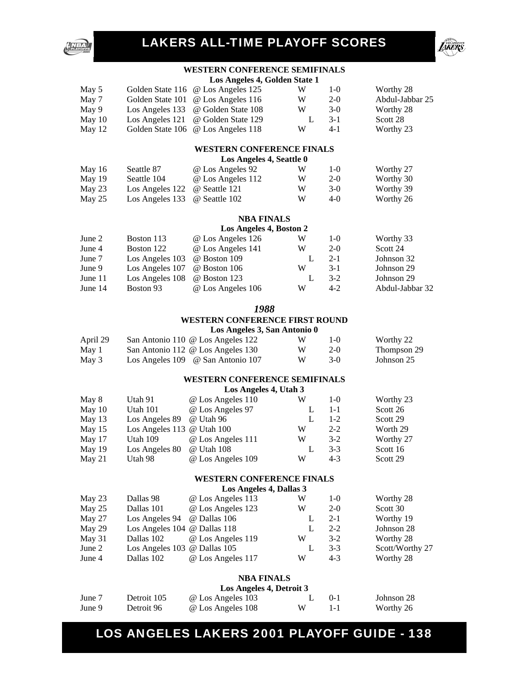



#### **WESTERN CONFERENCE SEMIFINALS**

|          | Los Angeles 4, Golden State 1 |                                    |   |        |                 |  |  |  |  |
|----------|-------------------------------|------------------------------------|---|--------|-----------------|--|--|--|--|
| May 5    |                               | Golden State 116 @ Los Angeles 125 | W | $1-()$ | Worthy 28       |  |  |  |  |
| May 7    |                               | Golden State 101 @ Los Angeles 116 | W | $2-0$  | Abdul-Jabbar 25 |  |  |  |  |
| May 9    |                               | Los Angeles 133 @ Golden State 108 | W | $3-0$  | Worthy 28       |  |  |  |  |
| May $10$ |                               | Los Angeles 121 @ Golden State 129 |   | $3-1$  | Scott 28        |  |  |  |  |
| May $12$ |                               | Golden State 106 @ Los Angeles 118 | W | $4-1$  | Worthy 23       |  |  |  |  |

#### **WESTERN CONFERENCE FINALS**

**Los Angeles 4, Seattle 0** 

| May 16 | Seattle 87                                 | @ Los Angeles 92  | W | $1-()$ | Worthy 27 |
|--------|--------------------------------------------|-------------------|---|--------|-----------|
| May 19 | Seattle 104                                | @ Los Angeles 112 | W | $2-0$  | Worthy 30 |
| May 23 | Los Angeles $122 \quad \omega$ Seattle 121 |                   | W | $3-0$  | Worthy 39 |
| May 25 | Los Angeles $133 \quad \omega$ Seattle 102 |                   | W | $4-()$ | Worthy 26 |

#### **NBA FINALS**

#### **Los Angeles 4, Boston 2**

| June 2    | Boston 113                                | @ Los Angeles 126 | W | $1 - \Omega$ | Worthy 33       |
|-----------|-------------------------------------------|-------------------|---|--------------|-----------------|
| June 4    | Boston 122                                | @ Los Angeles 141 | W | $2-0$        | Scott 24        |
| June 7    | Los Angeles $103 \quad \omega$ Boston 109 |                   |   | $2 - 1$      | Johnson 32      |
| June 9    | Los Angeles $107$ @ Boston $106$          |                   | W | $3-1$        | Johnson 29      |
| June $11$ | Los Angeles 108                           | @ Boston 123      |   | $3-2$        | Johnson 29      |
| June $14$ | Boston 93                                 | @ Los Angeles 106 | W | $4 - 2$      | Abdul-Jabbar 32 |

#### *1988*

#### **WESTERN CONFERENCE FIRST ROUND**

#### **Los Angeles 3, San Antonio 0**

| April 29 | San Antonio 110 @ Los Angeles 122                       | W | $1-(1)$ | Worthy 22   |
|----------|---------------------------------------------------------|---|---------|-------------|
| May 1    | San Antonio 112 @ Los Angeles 130                       |   | $2-0$   | Thompson 29 |
| May 3    | Los Angeles $109 \quad \textcircled{e}$ San Antonio 107 |   | $3-0$   | Johnson 25  |

#### **WESTERN CONFERENCE SEMIFINALS**

#### **Los Angeles 4, Utah 3**

| May 8    | Utah 91                      | @ Los Angeles 110 | W | $1-()$  | Worthy 23 |
|----------|------------------------------|-------------------|---|---------|-----------|
| May 10   | Utah 101                     | @ Los Angeles 97  |   | $1 - 1$ | Scott 26  |
| May $13$ | Los Angeles 89               | @ Utah 96         |   | $1 - 2$ | Scott 29  |
| May $15$ | Los Angeles 113 $@$ Utah 100 |                   | W | $2 - 2$ | Worth 29  |
| May 17   | Utah 109                     | @ Los Angeles 111 | W | $3-2$   | Worthy 27 |
| May $19$ | Los Angeles 80               | @ Utah 108        |   | $3-3$   | Scott 16  |
| May $21$ | Utah 98                      | @ Los Angeles 109 | W | $4-3$   | Scott 29  |
|          |                              |                   |   |         |           |

#### **WESTERN CONFERENCE FINALS**

**Los Angeles 4, Dallas 3** 

| Dallas 98<br>W                                       | $1-0$   |                 |
|------------------------------------------------------|---------|-----------------|
| @ Los Angeles 113<br>May $23$                        |         | Worthy 28       |
| @ Los Angeles 123<br>May $25$<br>Dallas 101<br>W     | $2-0$   | Scott 30        |
| Los Angeles 94 $\quad \omega$ Dallas 106<br>May $27$ | $2 - 1$ | Worthy 19       |
| Los Angeles 104 @ Dallas 118<br>May 29               | $2 - 2$ | Johnson 28      |
| Dallas 102 @ Los Angeles 119<br>May $31$<br>W        | $3 - 2$ | Worthy 28       |
| Los Angeles 103 @ Dallas 105<br>June 2               | $3-3$   | Scott/Worthy 27 |
| @ Los Angeles 117<br>June 4<br>W<br>Dallas 102       | $4-3$   | Worthy 28       |

#### **NBA FINALS**

|        | Los Angeles 4, Detroit 3 |                   |   |          |            |  |  |
|--------|--------------------------|-------------------|---|----------|------------|--|--|
| June 7 | Detroit 105              | @ Los Angeles 103 |   | $() - 1$ | Johnson 28 |  |  |
| June 9 | Detroit 96               | @ Los Angeles 108 | W |          | Worthy 26  |  |  |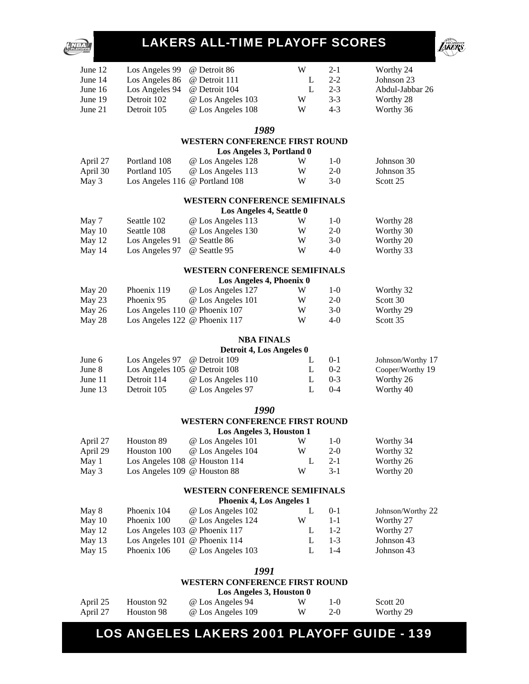

|                                                                                          |                                                                                                                                                                                                                           | <b>LAKERS ALL-TIME PLAYOFF SCORES</b>                                                                                                                                                                                                                        |                                           |                                                                                         |                                                                                                                    |
|------------------------------------------------------------------------------------------|---------------------------------------------------------------------------------------------------------------------------------------------------------------------------------------------------------------------------|--------------------------------------------------------------------------------------------------------------------------------------------------------------------------------------------------------------------------------------------------------------|-------------------------------------------|-----------------------------------------------------------------------------------------|--------------------------------------------------------------------------------------------------------------------|
| June 12                                                                                  | Los Angeles 99                                                                                                                                                                                                            | @ Detroit 86                                                                                                                                                                                                                                                 | W                                         | $2 - 1$                                                                                 | Worthy 24                                                                                                          |
| June 14                                                                                  | Los Angeles 86                                                                                                                                                                                                            | @ Detroit 111                                                                                                                                                                                                                                                | L                                         | $2 - 2$                                                                                 | Johnson 23                                                                                                         |
| June 16                                                                                  | Los Angeles 94                                                                                                                                                                                                            | @ Detroit 104                                                                                                                                                                                                                                                | L                                         | $2 - 3$                                                                                 | Abdul-Jabbar 26                                                                                                    |
| June 19                                                                                  | Detroit 102                                                                                                                                                                                                               | @ Los Angeles 103                                                                                                                                                                                                                                            | W                                         | $3 - 3$                                                                                 | Worthy 28                                                                                                          |
| June 21                                                                                  | Detroit 105                                                                                                                                                                                                               | @ Los Angeles 108                                                                                                                                                                                                                                            | W                                         | $4 - 3$                                                                                 | Worthy 36                                                                                                          |
|                                                                                          |                                                                                                                                                                                                                           | 1989<br><b>WESTERN CONFERENCE FIRST ROUND</b>                                                                                                                                                                                                                |                                           |                                                                                         |                                                                                                                    |
|                                                                                          |                                                                                                                                                                                                                           | Los Angeles 3, Portland 0                                                                                                                                                                                                                                    |                                           |                                                                                         |                                                                                                                    |
| April 27                                                                                 | Portland 108                                                                                                                                                                                                              | @ Los Angeles 128                                                                                                                                                                                                                                            | W                                         | $1-0$                                                                                   | Johnson 30                                                                                                         |
| April 30                                                                                 | Portland 105                                                                                                                                                                                                              | @ Los Angeles 113                                                                                                                                                                                                                                            | W                                         | $2 - 0$                                                                                 | Johnson 35                                                                                                         |
| May 3                                                                                    | Los Angeles 116 @ Portland 108                                                                                                                                                                                            |                                                                                                                                                                                                                                                              | W                                         | $3-0$                                                                                   | Scott 25                                                                                                           |
|                                                                                          |                                                                                                                                                                                                                           | <b>WESTERN CONFERENCE SEMIFINALS</b>                                                                                                                                                                                                                         |                                           |                                                                                         |                                                                                                                    |
|                                                                                          |                                                                                                                                                                                                                           | Los Angeles 4, Seattle 0                                                                                                                                                                                                                                     |                                           |                                                                                         |                                                                                                                    |
| May 7<br>May 10                                                                          | Seattle 102<br>Seattle 108                                                                                                                                                                                                | @ Los Angeles 113<br>@ Los Angeles 130                                                                                                                                                                                                                       | W<br>W                                    | $1-0$<br>$2-0$                                                                          | Worthy 28<br>Worthy 30                                                                                             |
| May 12                                                                                   | Los Angeles 91                                                                                                                                                                                                            | @ Seattle 86                                                                                                                                                                                                                                                 | W                                         | $3-0$                                                                                   | Worthy 20                                                                                                          |
| May 14                                                                                   | Los Angeles 97                                                                                                                                                                                                            | @ Seattle 95                                                                                                                                                                                                                                                 | W                                         | $4 - 0$                                                                                 | Worthy 33                                                                                                          |
|                                                                                          |                                                                                                                                                                                                                           | <b>WESTERN CONFERENCE SEMIFINALS</b>                                                                                                                                                                                                                         |                                           |                                                                                         |                                                                                                                    |
|                                                                                          |                                                                                                                                                                                                                           | Los Angeles 4, Phoenix 0                                                                                                                                                                                                                                     |                                           |                                                                                         |                                                                                                                    |
| May 20                                                                                   | Phoenix 119                                                                                                                                                                                                               | @ Los Angeles 127                                                                                                                                                                                                                                            | W                                         | $1-0$                                                                                   | Worthy 32                                                                                                          |
| May 23                                                                                   | Phoenix 95                                                                                                                                                                                                                | @ Los Angeles 101                                                                                                                                                                                                                                            | W                                         | $2 - 0$                                                                                 | Scott 30                                                                                                           |
| May 26                                                                                   | Los Angeles 110 @ Phoenix 107                                                                                                                                                                                             |                                                                                                                                                                                                                                                              | W                                         | $3-0$                                                                                   | Worthy 29                                                                                                          |
|                                                                                          |                                                                                                                                                                                                                           |                                                                                                                                                                                                                                                              |                                           |                                                                                         |                                                                                                                    |
|                                                                                          |                                                                                                                                                                                                                           | <b>NBA FINALS</b>                                                                                                                                                                                                                                            |                                           |                                                                                         |                                                                                                                    |
| June 6                                                                                   | Los Angeles 97                                                                                                                                                                                                            | @ Detroit 109                                                                                                                                                                                                                                                | L                                         | $0-1$                                                                                   | Johnson/Worthy 17                                                                                                  |
| June 8                                                                                   | Los Angeles 105 @ Detroit 108                                                                                                                                                                                             |                                                                                                                                                                                                                                                              | L                                         | $0 - 2$                                                                                 | Cooper/Worthy 19                                                                                                   |
| June 11                                                                                  | Detroit 114                                                                                                                                                                                                               | @ Los Angeles 110                                                                                                                                                                                                                                            | L                                         | $0 - 3$                                                                                 | Worthy 26                                                                                                          |
| June 13                                                                                  |                                                                                                                                                                                                                           |                                                                                                                                                                                                                                                              | L                                         | $0 - 4$                                                                                 |                                                                                                                    |
|                                                                                          |                                                                                                                                                                                                                           | 1990                                                                                                                                                                                                                                                         |                                           |                                                                                         |                                                                                                                    |
|                                                                                          |                                                                                                                                                                                                                           |                                                                                                                                                                                                                                                              |                                           |                                                                                         |                                                                                                                    |
|                                                                                          |                                                                                                                                                                                                                           |                                                                                                                                                                                                                                                              |                                           |                                                                                         |                                                                                                                    |
|                                                                                          |                                                                                                                                                                                                                           |                                                                                                                                                                                                                                                              |                                           |                                                                                         |                                                                                                                    |
|                                                                                          |                                                                                                                                                                                                                           |                                                                                                                                                                                                                                                              |                                           |                                                                                         |                                                                                                                    |
| May 3                                                                                    | Los Angeles 109 @ Houston 88                                                                                                                                                                                              |                                                                                                                                                                                                                                                              | W                                         | $3 - 1$                                                                                 | Worthy 20                                                                                                          |
|                                                                                          |                                                                                                                                                                                                                           | <b>WESTERN CONFERENCE SEMIFINALS</b>                                                                                                                                                                                                                         |                                           |                                                                                         |                                                                                                                    |
|                                                                                          |                                                                                                                                                                                                                           | <b>Phoenix 4, Los Angeles 1</b>                                                                                                                                                                                                                              |                                           |                                                                                         |                                                                                                                    |
|                                                                                          |                                                                                                                                                                                                                           |                                                                                                                                                                                                                                                              |                                           |                                                                                         | Johnson/Worthy 22                                                                                                  |
|                                                                                          |                                                                                                                                                                                                                           |                                                                                                                                                                                                                                                              |                                           |                                                                                         |                                                                                                                    |
|                                                                                          |                                                                                                                                                                                                                           |                                                                                                                                                                                                                                                              |                                           |                                                                                         |                                                                                                                    |
|                                                                                          |                                                                                                                                                                                                                           |                                                                                                                                                                                                                                                              |                                           |                                                                                         |                                                                                                                    |
|                                                                                          |                                                                                                                                                                                                                           |                                                                                                                                                                                                                                                              |                                           |                                                                                         |                                                                                                                    |
|                                                                                          |                                                                                                                                                                                                                           | 1991                                                                                                                                                                                                                                                         |                                           |                                                                                         |                                                                                                                    |
| May 28<br>April 27<br>April 29<br>May 1<br>May 8<br>May 10<br>May 12<br>May 13<br>May 15 | Los Angeles 122 @ Phoenix 117<br>Detroit 105<br>Houston 89<br>Houston 100<br>Los Angeles 108 @ Houston 114<br>Phoenix 104<br>Phoenix 100<br>Los Angeles 103 @ Phoenix 117<br>Los Angeles 101 @ Phoenix 114<br>Phoenix 106 | Detroit 4, Los Angeles 0<br>@ Los Angeles 97<br><b>WESTERN CONFERENCE FIRST ROUND</b><br>Los Angeles 3, Houston 1<br>@ Los Angeles 101<br>@ Los Angeles 104<br>@ Los Angeles 102<br>@ Los Angeles 124<br>@ Los Angeles 103<br>WESTERN CONFERENCE FIRST ROUND | W<br>W<br>W<br>L<br>L<br>W<br>L<br>L<br>L | 4-0<br>$1-0$<br>$2 - 0$<br>$2 - 1$<br>$0 - 1$<br>$1 - 1$<br>$1-2$<br>$1 - 3$<br>$1 - 4$ | Scott 35<br>Worthy 40<br>Worthy 34<br>Worthy 32<br>Worthy 26<br>Worthy 27<br>Worthy 27<br>Johnson 43<br>Johnson 43 |

#### **Los Angeles 3, Houston 0**

|          | $\frac{1}{2}$ |                   |    |         |           |  |  |
|----------|---------------|-------------------|----|---------|-----------|--|--|
| April 25 | Houston 92    | @ Los Angeles 94  | W. | $1-(1)$ | Scott 20  |  |  |
| April 27 | Houston 98    | @ Los Angeles 109 | W  | $2-0$   | Worthy 29 |  |  |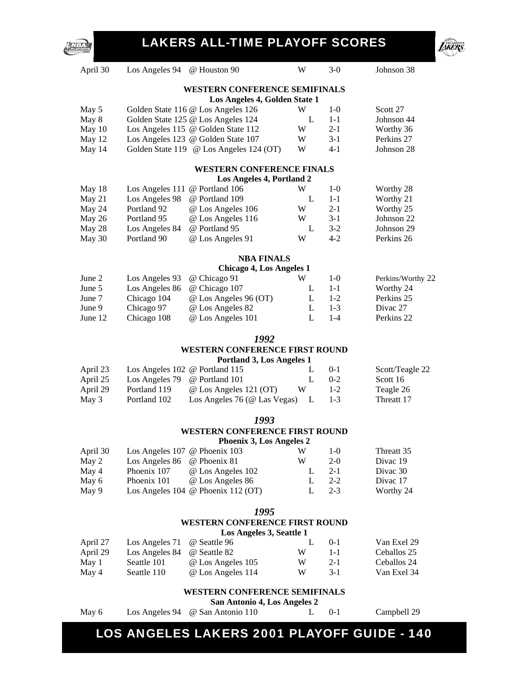

| April 30 | Los Angeles 94                 | @ Houston 90                            | W | $3-0$   | Johnson 38            |
|----------|--------------------------------|-----------------------------------------|---|---------|-----------------------|
|          |                                | <b>WESTERN CONFERENCE SEMIFINALS</b>    |   |         |                       |
|          |                                | Los Angeles 4, Golden State 1           |   |         |                       |
| May 5    |                                | Golden State 116 @ Los Angeles 126      | W | $1-0$   | Scott 27              |
| May 8    |                                | Golden State 125 @ Los Angeles 124      | L | $1 - 1$ | Johnson 44            |
| May 10   |                                | Los Angeles 115 @ Golden State 112      | W | $2 - 1$ | Worthy 36             |
| May 12   |                                | Los Angeles 123 @ Golden State 107      | W | $3-1$   | Perkins 27            |
| May 14   |                                | Golden State 119 @ Los Angeles 124 (OT) | W | $4 - 1$ | Johnson 28            |
|          |                                | <b>WESTERN CONFERENCE FINALS</b>        |   |         |                       |
|          |                                | Los Angeles 4, Portland 2               |   |         |                       |
| May 18   | Los Angeles 111                | @ Portland 106                          | W | $1-0$   | Worthy 28             |
| May 21   | Los Angeles 98                 | @ Portland 109                          | L | $1 - 1$ | Worthy 21             |
| May 24   | Portland 92                    | @ Los Angeles 106                       | W | $2 - 1$ | Worthy 25             |
| May 26   | Portland 95                    | @ Los Angeles 116                       | W | $3-1$   | Johnson 22            |
| May 28   | Los Angeles 84                 | @ Portland 95                           | L | $3 - 2$ | Johnson 29            |
| May 30   | Portland 90                    | @ Los Angeles 91                        | W | $4 - 2$ | Perkins 26            |
|          |                                | <b>NBA FINALS</b>                       |   |         |                       |
|          |                                | <b>Chicago 4, Los Angeles 1</b>         |   |         |                       |
| June 2   | Los Angeles 93                 | @ Chicago 91                            | W | $1-0$   | Perkins/Worthy 22     |
| June 5   | Los Angeles 86                 | @ Chicago 107                           | L | $1 - 1$ | Worthy 24             |
| June 7   | Chicago 104                    | @ Los Angeles 96 (OT)                   | L | $1 - 2$ | Perkins <sub>25</sub> |
| June 9   | Chicago 97                     | @ Los Angeles 82                        | L | $1 - 3$ | Divac 27              |
| June 12  | Chicago 108                    | @ Los Angeles 101                       | L | $1-4$   | Perkins <sub>22</sub> |
|          |                                | 1992                                    |   |         |                       |
|          |                                | <b>WESTERN CONFERENCE FIRST ROUND</b>   |   |         |                       |
|          |                                | Portland 3, Los Angeles 1               |   |         |                       |
| April 23 | Los Angeles 102 @ Portland 115 |                                         | L | $0-1$   | Scott/Teagle 22       |
| April 25 | Los Angeles 79                 | @ Portland 101                          | L | $0 - 2$ | Scott 16              |
| April 29 | Portland 119                   | @ Los Angeles 121 (OT)                  | W | $1 - 2$ | Teagle 26             |
| May 3    | Portland 102                   | Los Angeles 76 (@ Las Vegas)            | L | $1 - 3$ | Threatt 17            |
|          |                                | 1993                                    |   |         |                       |
|          |                                | <b>WESTERN CONFERENCE FIRST ROUND</b>   |   |         |                       |
|          |                                | <b>Phoenix 3, Los Angeles 2</b>         |   |         |                       |
| April 30 | Los Angeles 107 @ Phoenix 103  |                                         | W | $1-0$   | Threatt 35            |
| May 2    | Los Angeles 86                 | @ Phoenix 81                            | W | $2 - 0$ | Divac 19              |
| May 4    | Phoenix 107                    | @ Los Angeles 102                       | L | $2 - 1$ | Divac 30              |
| May 6    | Phoenix 101                    | @ Los Angeles 86                        | L | $2 - 2$ | Divac 17              |
| May 9    |                                | Los Angeles 104 @ Phoenix 112 (OT)      | L | $2 - 3$ | Worthy 24             |
|          |                                | 1995                                    |   |         |                       |
|          |                                | <b>WESTERN CONFERENCE FIRST ROUND</b>   |   |         |                       |
|          |                                | Los Angeles 3, Seattle 1                |   |         |                       |
| April 27 | Los Angeles 71                 | @ Seattle 96                            | L | $0 - 1$ | Van Exel 29           |
| April 29 | Los Angeles 84                 | @ Seattle 82                            | W | $1 - 1$ | Ceballos 25           |
| May 1    | Seattle 101                    | @ Los Angeles 105                       | W | $2 - 1$ | Ceballos 24           |
| May 4    | Seattle 110                    | @ Los Angeles 114                       | W | $3 - 1$ | Van Exel 34           |

#### **WESTERN CONFERENCE SEMIFINALS**

**San Antonio 4, Los Angeles 2** 

NBA

May 6 Los Angeles 94 @ San Antonio 110 L 0-1 Campbell 29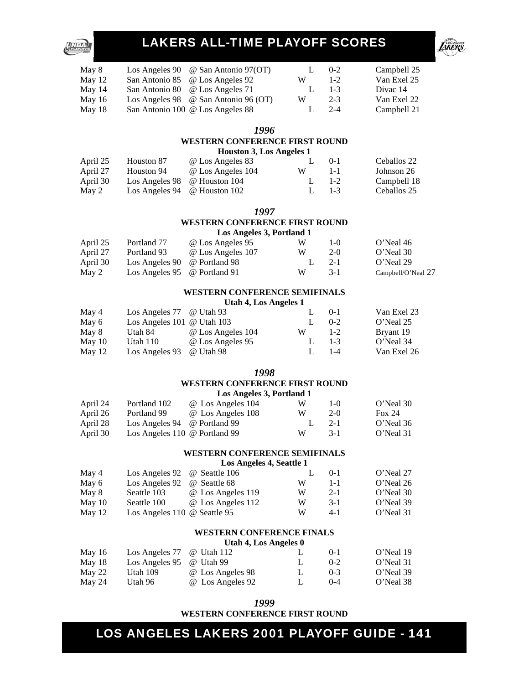

| May 8    | Los Angeles 90 $\circledcirc$ San Antonio 97(OT)  |   | $0 - 2$ | Campbell 25 |
|----------|---------------------------------------------------|---|---------|-------------|
| May $12$ | San Antonio 85 @ Los Angeles 92                   | W | $1 - 2$ | Van Exel 25 |
| May 14   | San Antonio 80 @ Los Angeles 71                   |   | $1 - 3$ | Divac 14    |
| May $16$ | Los Angeles 98 $\circledcirc$ San Antonio 96 (OT) | W | $2 - 3$ | Van Exel 22 |
| May $18$ | San Antonio 100 @ Los Angeles 88                  |   | $2 - 4$ | Campbell 21 |

#### *1996*

### **WESTERN CONFERENCE FIRST ROUND**<br> **Houston 3 Los Angeles 1**

|          | Houston 3, Los Angeles 1 |                  |  |      |             |  |  |
|----------|--------------------------|------------------|--|------|-------------|--|--|
| April 25 | Houston 87               | @ Los Angeles 83 |  | 1.01 | Ceballos 22 |  |  |

| 1.19111100 | 11000001101                               | $\sim$ 200 $\mu$ mess 00 |         |         | $\sim$      |
|------------|-------------------------------------------|--------------------------|---------|---------|-------------|
| April 27   | Houston 94                                | @ Los Angeles 104        | W       | $1 - 1$ | Johnson 26  |
| April 30   | Los Angeles $98 \quad \omega$ Houston 104 |                          | L $1-2$ |         | Campbell 18 |
| May 2      | Los Angeles 94 $\omega$ Houston 102       |                          | L $1-3$ |         | Ceballos 25 |
|            |                                           |                          |         |         |             |

*1997* 

#### **WESTERN CONFERENCE FIRST ROUND Los Angeles 3, Portland 1**

| April 25 | Portland 77                                          | @ Los Angeles 95  | W  | $1-()$ | O'Neal 46          |
|----------|------------------------------------------------------|-------------------|----|--------|--------------------|
| April 27 | Portland 93                                          | @ Los Angeles 107 | W  | $2-0$  | O'Neal 30          |
| April 30 | Los Angeles $90 \quad \omega$ Portland $98$          |                   | L. | $2-1$  | O'Neal 29          |
| May 2    | Los Angeles $95 \quad \textcircled{e}$ Portland $91$ |                   | W  | $3-1$  | Campbell/O'Neal 27 |

#### **WESTERN CONFERENCE SEMIFINALS**

**Utah 4, Los Angeles 1** 

| May 4    | Los Angeles $77 \quad \omega$ Utah 93 |                   |   | $() - 1$ | Van Exel 23 |
|----------|---------------------------------------|-------------------|---|----------|-------------|
| May 6    | Los Angeles $101 \∪$ Utah $103$       |                   |   | $0 - 2$  | O'Neal 25   |
| May 8    | Utah 84                               | @ Los Angeles 104 | W | $1 - 2$  | Bryant 19   |
| May $10$ | Utah $110$                            | @ Los Angeles 95  |   | $1 - 3$  | O'Neal 34   |
| May 12   | Los Angeles 93 @ Utah 98              |                   |   | $1 - 4$  | Van Exel 26 |

#### *1998*

#### **WESTERN CONFERENCE FIRST ROUND**

|          |                               | Los Angeles 3, Portland 1 |   |         |           |
|----------|-------------------------------|---------------------------|---|---------|-----------|
| April 24 | Portland 102                  | @ Los Angeles 104         | w | $1 - 0$ | O'Neal 30 |
| April 26 | Portland 99                   | @ Los Angeles 108         | W | $2-0$   | Fox $24$  |
| April 28 | Los Angeles 94 @ Portland 99  |                           |   | $2 - 1$ | O'Neal 36 |
| April 30 | Los Angeles 110 @ Portland 99 |                           | W | $3-1$   | O'Neal 31 |

#### **WESTERN CONFERENCE SEMIFINALS**

**Los Angeles 4, Seattle 1** 

| May 4    | Los Angeles 92 @ Seattle 106        |                   |   | $() - 1$ | O'Neal 27 |
|----------|-------------------------------------|-------------------|---|----------|-----------|
| May 6    | Los Angeles 92                      | @ Seattle 68      | W | 1-1      | O'Neal 26 |
| May 8    | Seattle 103                         | @ Los Angeles 119 | W | $2 - 1$  | O'Neal 30 |
| May $10$ | Seattle 100                         | @ Los Angeles 112 | W | $3-1$    | O'Neal 39 |
| May $12$ | Los Angeles 110 $\omega$ Seattle 95 |                   | W | $4-1$    | O'Neal 31 |

#### **WESTERN CONFERENCE FINALS**

**Utah 4, Los Angeles 0** 

| May $16$ | Los Angeles $77 \quad \omega$ Utah 112          |                  | $(1 - 1)$ | O'Neal 19 |
|----------|-------------------------------------------------|------------------|-----------|-----------|
| May 18   | Los Angeles $95 \quad \omega$ Utah $99 \approx$ |                  | $(1-2)$   | O'Neal 31 |
| May 22   | Utah 109                                        | @ Los Angeles 98 | $(1) - 3$ | O'Neal 39 |
| May 24   | Utah 96                                         | @ Los Angeles 92 | $(1-4)$   | O'Neal 38 |

| 1999                           |  |
|--------------------------------|--|
| WESTERN CONFERENCE FIRST ROUND |  |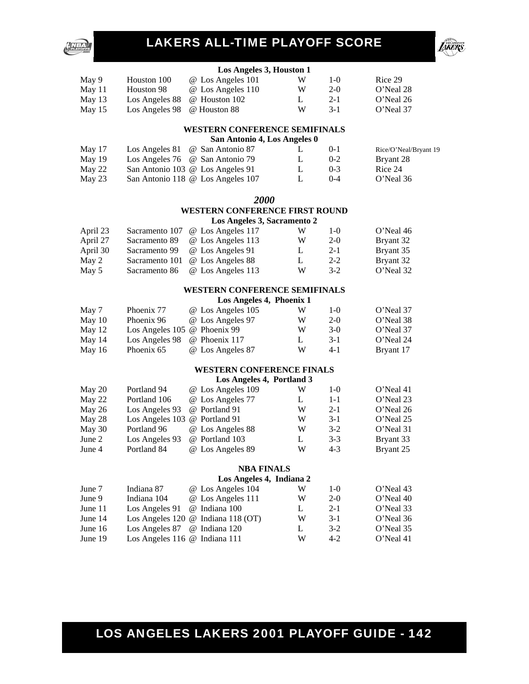



#### **Los Angeles 3, Houston 1**

| May 9    | Houston 100                              | @ Los Angeles 101                         | W | $1-()$  | Rice 29   |
|----------|------------------------------------------|-------------------------------------------|---|---------|-----------|
| May 11   | Houston 98                               | @ Los Angeles 110                         | W | $2-0$   | O'Neal 28 |
| May 13   |                                          | Los Angeles $88 \quad \omega$ Houston 102 |   | $2-1$   | O'Neal 26 |
| May $15$ | Los Angeles $98 \quad \omega$ Houston 88 |                                           | W | $3 - 1$ | O'Neal 37 |

#### **WESTERN CONFERENCE SEMIFINALS**

| San Antonio 4, Los Angeles 0 |  |  |  |
|------------------------------|--|--|--|
|------------------------------|--|--|--|

| May 17 | Los Angeles $81 \quad \omega$ San Antonio 87 |  | $() - 1$ | Rice/O'Neal/Bryant 19 |
|--------|----------------------------------------------|--|----------|-----------------------|
| May 19 | Los Angeles $76 \quad \omega$ San Antonio 79 |  | $0 - 2$  | Bryant 28             |
| May 22 | San Antonio 103 @ Los Angeles 91             |  | $0-3$    | Rice 24               |
| May 23 | San Antonio 118 @ Los Angeles 107            |  | $(1-4)$  | O'Neal 36             |

#### *2000*

#### **WESTERN CONFERENCE FIRST ROUND Los Angeles 3, Sacramento 2**

|          | $\log$ Angeles 9, Baci amento 2 |                                  |   |         |           |  |  |  |
|----------|---------------------------------|----------------------------------|---|---------|-----------|--|--|--|
| April 23 |                                 | Sacramento 107 @ Los Angeles 117 | W | $1-()$  | O'Neal 46 |  |  |  |
| April 27 | Sacramento 89                   | @ Los Angeles 113                | W | $2-0$   | Bryant 32 |  |  |  |
| April 30 | Sacramento 99                   | @ Los Angeles 91                 |   | $2 - 1$ | Bryant 35 |  |  |  |
| May 2    |                                 | Sacramento 101 @ Los Angeles 88  |   | $2 - 2$ | Bryant 32 |  |  |  |
| May 5    | Sacramento 86                   | @ Los Angeles 113                | W | $3-2$   | O'Neal 32 |  |  |  |

#### **WESTERN CONFERENCE SEMIFINALS**

#### **Los Angeles 4, Phoenix 1**

| May 7    | Phoenix 77                              | @ Los Angeles 105 | W | $1-()$ | O'Neal 37 |
|----------|-----------------------------------------|-------------------|---|--------|-----------|
|          |                                         |                   |   |        |           |
| May $10$ | Phoenix 96                              | @ Los Angeles 97  | W | $2-0$  | O'Neal 38 |
| May 12   | Los Angeles $105 \& \text{Phoenix } 99$ |                   | W | $3-0$  | O'Neal 37 |
| May $14$ | Los Angeles 98                          | @ Phoenix 117     |   | $3-1$  | O'Neal 24 |
| May $16$ | Phoenix 65                              | @ Los Angeles 87  | W | $4-1$  | Bryant 17 |

#### **WESTERN CONFERENCE FINALS**

#### **Los Angeles 4, Portland 3**

| May 20 | Portland 94                   | @ Los Angeles 109 | W | $1-0$   | O'Neal 41 |
|--------|-------------------------------|-------------------|---|---------|-----------|
| May 22 | Portland 106                  | @ Los Angeles 77  |   | $1 - 1$ | O'Neal 23 |
| May 26 | Los Angeles 93                | @ Portland 91     | W | $2 - 1$ | O'Neal 26 |
| May 28 | Los Angeles 103 @ Portland 91 |                   | W | $3-1$   | O'Neal 25 |
| May 30 | Portland 96                   | @ Los Angeles 88  | W | $3-2$   | O'Neal 31 |
| June 2 | Los Angeles 93                | @ Portland 103    |   | $3-3$   | Bryant 33 |
| June 4 | Portland 84                   | @ Los Angeles 89  | W | $4 - 3$ | Bryant 25 |
|        |                               |                   |   |         |           |

#### **NBA FINALS**

|           |                                           | Los Angeles 4, Indiana 2 |   |         |           |
|-----------|-------------------------------------------|--------------------------|---|---------|-----------|
| June 7    | Indiana 87                                | @ Los Angeles 104        | W | $1-()$  | O'Neal 43 |
| June 9    | Indiana 104                               | @ Los Angeles 111        | W | $2-0$   | O'Neal 40 |
| June $11$ | Los Angeles 91                            | @ Indiana 100            |   | $2 - 1$ | O'Neal 33 |
| June $14$ | Los Angeles 120 $\omega$ Indiana 118 (OT) |                          | W | $3-1$   | O'Neal 36 |
| June $16$ | Los Angeles 87 @ Indiana 120              |                          |   | $3-2$   | O'Neal 35 |
| June $19$ | Los Angeles 116 @ Indiana 111             |                          | W | $4-2$   | O'Neal 41 |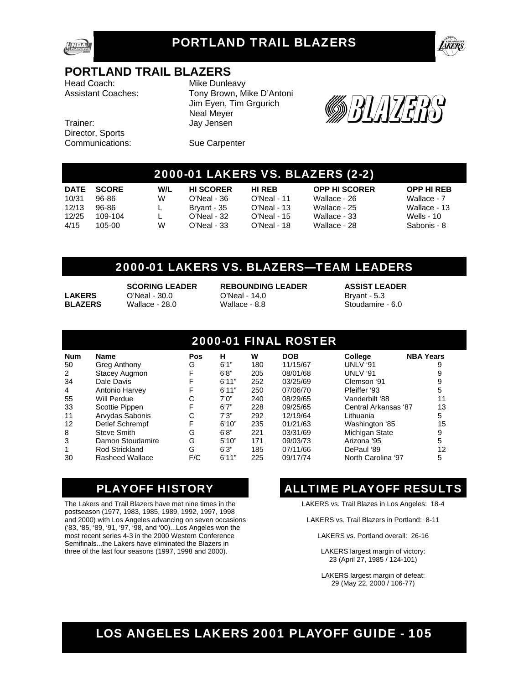

### PORTLAND TRAIL BLAZERS



### **PORTLAND TRAIL BLAZERS**

Head Coach: Mike Dunleavy

Trainer: Jay Jensen Director, Sports Communications: Sue Carpenter

Assistant Coaches: Tony Brown, Mike D'Antoni Jim Eyen, Tim Grgurich Neal Meyer



### 2000-01 LAKERS VS. BLAZERS (2-2)

|       | DATE SCORE | W/L | <b>HI SCORFR</b> | <b>HI RFR</b> | <b>OPP HI SCORER</b> | <b>OPP HI RFR</b> |
|-------|------------|-----|------------------|---------------|----------------------|-------------------|
| 10/31 | 96-86      | W   | O'Neal - 36      | O'Neal - 11   | Wallace - 26         | Wallace - 7       |
| 12/13 | 96-86      |     | Brvant - 35      | O'Neal - 13   | Wallace - 25         | Wallace - 13      |
| 12/25 | 109-104    |     | O'Neal - 32      | O'Neal - 15   | Wallace - 33         | Wells - 10        |
| 4/15  | 105-00.    | W   | O'Neal - 33      | O'Neal - 18   | Wallace - 28         | Sabonis - 8       |

**W/L HI SCORER HI REB OPP HI SCORER OPP HI REB**<br>W O'Neal - 36 O'Neal - 11 Wallace - 26 Wallace - 7

### 2000-01 LAKERS VS. BLAZERS—TEAM LEADERS

 **SCORING LEADER REBOUNDING LEADER ASSIST LEADER LAKERS** O'Neal - 30.0 O'Neal - 14.0 Bryant - 5.3 **BLAZERS** Wallace - 28.0 Wallace - 8.8 Stoudamire - 6.0

### 2000-01 FINAL ROSTER

| <b>Num</b> | <b>Name</b>          | Pos | н     | w   | <b>DOB</b> | College              | <b>NBA Years</b> |
|------------|----------------------|-----|-------|-----|------------|----------------------|------------------|
| 50         | Greg Anthony         | G   | 6'1'' | 180 | 11/15/67   | UNLV '91             |                  |
| 2          | <b>Stacey Augmon</b> | F   | 6'8'' | 205 | 08/01/68   | UNLV '91             | 9                |
| 34         | Dale Davis           |     | 6'11" | 252 | 03/25/69   | Clemson '91          | 9                |
| 4          | Antonio Harvey       | F   | 6'11" | 250 | 07/06/70   | Pfeiffer '93         | 5                |
| 55         | Will Perdue          | С   | 7'0"  | 240 | 08/29/65   | Vanderbilt '88       | 11               |
| 33         | Scottie Pippen       | F   | 6'7'' | 228 | 09/25/65   | Central Arkansas '87 | 13               |
| 11         | Arvydas Sabonis      | С   | 7'3'' | 292 | 12/19/64   | Lithuania            | 5                |
| 12         | Detlef Schrempf      | F   | 6'10" | 235 | 01/21/63   | Washington '85       | 15               |
| 8          | Steve Smith          | G   | 6'8'' | 221 | 03/31/69   | Michigan State       | 9                |
| 3          | Damon Stoudamire     | G   | 5'10" | 171 | 09/03/73   | Arizona '95          | 5                |
|            | Rod Strickland       | G   | 6'3'' | 185 | 07/11/66   | DePaul '89           | 12               |
| 30         | Rasheed Wallace      | F/C | 6'11" | 225 | 09/17/74   | North Carolina '97   | 5                |

The Lakers and Trail Blazers have met nine times in the postseason (1977, 1983, 1985, 1989, 1992, 1997, 1998 and 2000) with Los Angeles advancing on seven occasions ('83, '85, '89, '91, '97, '98, and '00)...Los Angeles won the most recent series 4-3 in the 2000 Western Conference Semifinals...the Lakers have eliminated the Blazers in three of the last four seasons (1997, 1998 and 2000).

### PLAYOFF HISTORY **ALLTIME PLAYOFF RESULTS**

LAKERS vs. Trail Blazes in Los Angeles: 18-4

LAKERS vs. Trail Blazers in Portland: 8-11

LAKERS vs. Portland overall: 26-16

LAKERS largest margin of victory: 23 (April 27, 1985 / 124-101)

LAKERS largest margin of defeat: 29 (May 22, 2000 / 106-77)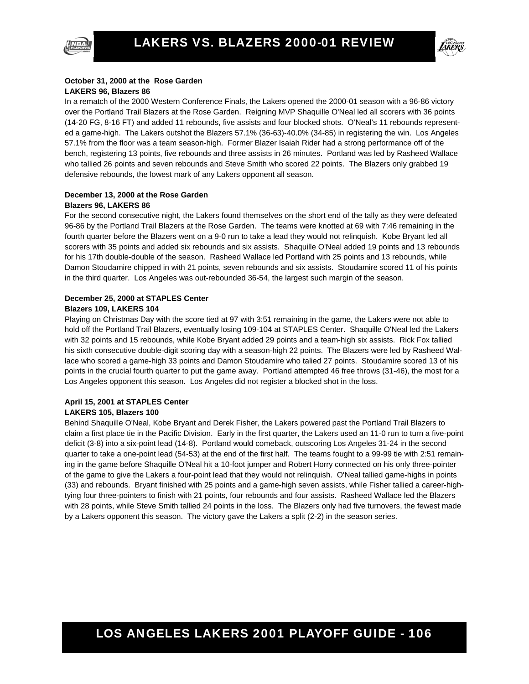



#### **October 31, 2000 at the Rose Garden LAKERS 96, Blazers 86**

In a rematch of the 2000 Western Conference Finals, the Lakers opened the 2000-01 season with a 96-86 victory over the Portland Trail Blazers at the Rose Garden. Reigning MVP Shaquille O'Neal led all scorers with 36 points (14-20 FG, 8-16 FT) and added 11 rebounds, five assists and four blocked shots. O'Neal's 11 rebounds represented a game-high. The Lakers outshot the Blazers 57.1% (36-63)-40.0% (34-85) in registering the win. Los Angeles 57.1% from the floor was a team season-high. Former Blazer Isaiah Rider had a strong performance off of the bench, registering 13 points, five rebounds and three assists in 26 minutes. Portland was led by Rasheed Wallace who tallied 26 points and seven rebounds and Steve Smith who scored 22 points. The Blazers only grabbed 19 defensive rebounds, the lowest mark of any Lakers opponent all season.

#### **December 13, 2000 at the Rose Garden Blazers 96, LAKERS 86**

For the second consecutive night, the Lakers found themselves on the short end of the tally as they were defeated 96-86 by the Portland Trail Blazers at the Rose Garden. The teams were knotted at 69 with 7:46 remaining in the fourth quarter before the Blazers went on a 9-0 run to take a lead they would not relinquish. Kobe Bryant led all scorers with 35 points and added six rebounds and six assists. Shaquille O'Neal added 19 points and 13 rebounds for his 17th double-double of the season. Rasheed Wallace led Portland with 25 points and 13 rebounds, while Damon Stoudamire chipped in with 21 points, seven rebounds and six assists. Stoudamire scored 11 of his points in the third quarter. Los Angeles was out-rebounded 36-54, the largest such margin of the season.

#### **December 25, 2000 at STAPLES Center Blazers 109, LAKERS 104**

Playing on Christmas Day with the score tied at 97 with 3:51 remaining in the game, the Lakers were not able to hold off the Portland Trail Blazers, eventually losing 109-104 at STAPLES Center. Shaquille O'Neal led the Lakers with 32 points and 15 rebounds, while Kobe Bryant added 29 points and a team-high six assists. Rick Fox tallied his sixth consecutive double-digit scoring day with a season-high 22 points. The Blazers were led by Rasheed Wallace who scored a game-high 33 points and Damon Stoudamire who talied 27 points. Stoudamire scored 13 of his points in the crucial fourth quarter to put the game away. Portland attempted 46 free throws (31-46), the most for a Los Angeles opponent this season. Los Angeles did not register a blocked shot in the loss.

#### **April 15, 2001 at STAPLES Center LAKERS 105, Blazers 100**

Behind Shaquille O'Neal, Kobe Bryant and Derek Fisher, the Lakers powered past the Portland Trail Blazers to claim a first place tie in the Pacific Division. Early in the first quarter, the Lakers used an 11-0 run to turn a five-point deficit (3-8) into a six-point lead (14-8). Portland would comeback, outscoring Los Angeles 31-24 in the second quarter to take a one-point lead (54-53) at the end of the first half. The teams fought to a 99-99 tie with 2:51 remaining in the game before Shaquille O'Neal hit a 10-foot jumper and Robert Horry connected on his only three-pointer of the game to give the Lakers a four-point lead that they would not relinquish. O'Neal tallied game-highs in points (33) and rebounds. Bryant finished with 25 points and a game-high seven assists, while Fisher tallied a career-hightying four three-pointers to finish with 21 points, four rebounds and four assists. Rasheed Wallace led the Blazers with 28 points, while Steve Smith tallied 24 points in the loss. The Blazers only had five turnovers, the fewest made by a Lakers opponent this season. The victory gave the Lakers a split (2-2) in the season series.